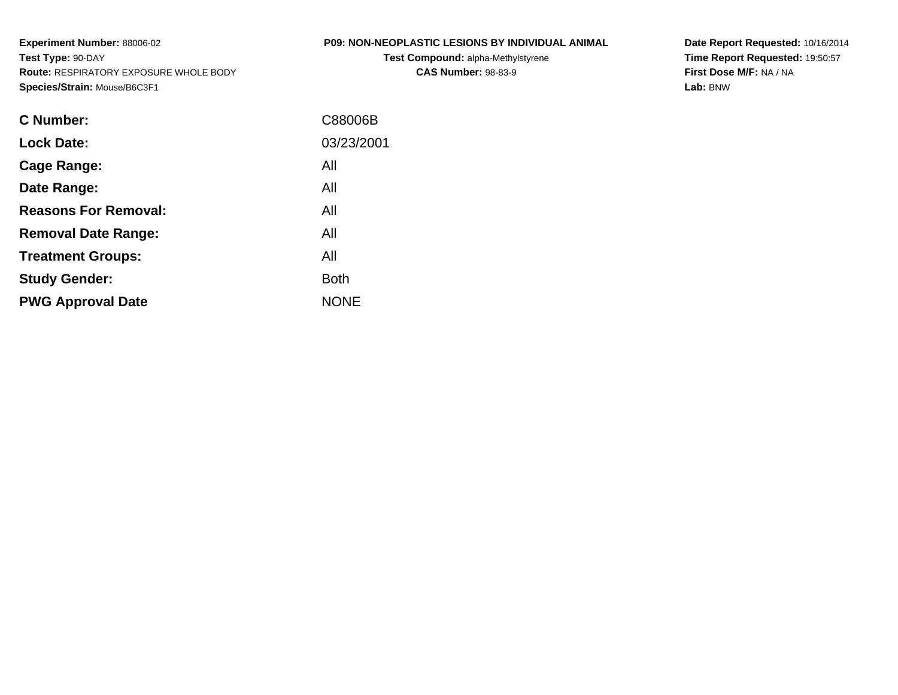**Experiment Number:** 88006-02**Test Type:** 90-DAY **Route:** RESPIRATORY EXPOSURE WHOLE BODY**Species/Strain:** Mouse/B6C3F1

# **P09: NON-NEOPLASTIC LESIONS BY INDIVIDUAL ANIMAL**

**Test Compound:** alpha-Methylstyrene**CAS Number:** 98-83-9

**Date Report Requested:** 10/16/2014 **Time Report Requested:** 19:50:57**First Dose M/F:** NA / NA**Lab:** BNW

| <b>C</b> Number:            | C88006B     |
|-----------------------------|-------------|
| <b>Lock Date:</b>           | 03/23/2001  |
| Cage Range:                 | All         |
| Date Range:                 | All         |
| <b>Reasons For Removal:</b> | All         |
| <b>Removal Date Range:</b>  | All         |
| <b>Treatment Groups:</b>    | All         |
| <b>Study Gender:</b>        | <b>Both</b> |
| <b>PWG Approval Date</b>    | <b>NONE</b> |
|                             |             |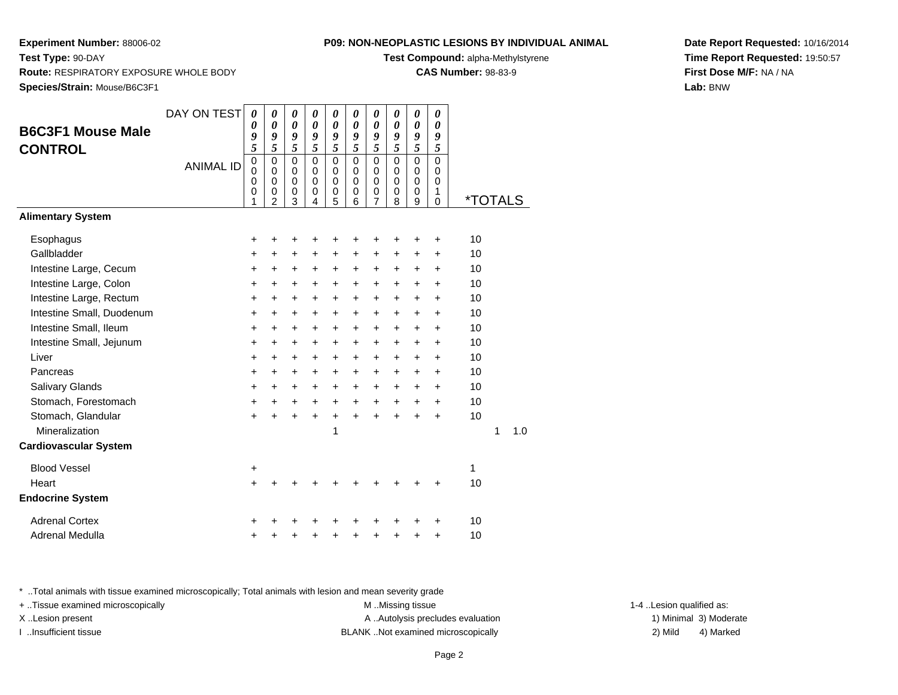#### **P09: NON-NEOPLASTIC LESIONS BY INDIVIDUAL ANIMAL**

**Test Compound:** alpha-Methylstyrene

**CAS Number:** 98-83-9

**Date Report Requested:** 10/16/2014**Time Report Requested:** 19:50:57**First Dose M/F:** NA / NA**Lab:** BNW

**Test Type:** 90-DAY **Route:** RESPIRATORY EXPOSURE WHOLE BODY**Species/Strain:** Mouse/B6C3F1

| <b>B6C3F1 Mouse Male</b><br><b>CONTROL</b> | DAY ON TEST<br><b>ANIMAL ID</b> | 0<br>0<br>9<br>5<br>$\mathbf 0$<br>$\Omega$<br>0<br>0<br>1 | 0<br>$\boldsymbol{\theta}$<br>9<br>5<br>$\mathbf 0$<br>$\Omega$<br>$\mathbf 0$<br>$\pmb{0}$<br>$\overline{2}$ | 0<br>$\boldsymbol{\theta}$<br>9<br>5<br>$\mathbf 0$<br>0<br>$\pmb{0}$<br>$\pmb{0}$<br>3 | 0<br>$\boldsymbol{\theta}$<br>9<br>5<br>$\mathbf 0$<br>0<br>$\Omega$<br>0<br>4 | 0<br>$\boldsymbol{\theta}$<br>9<br>5<br>$\mathbf 0$<br>0<br>0<br>0<br>5 | 0<br>$\boldsymbol{\theta}$<br>9<br>5<br>$\mathbf 0$<br>0<br>$\mathbf 0$<br>0<br>6 | 0<br>$\boldsymbol{\theta}$<br>9<br>5<br>$\mathbf 0$<br>$\mathbf 0$<br>0<br>$\mathbf 0$<br>7 | 0<br>$\boldsymbol{\theta}$<br>9<br>5<br>$\overline{0}$<br>0<br>$\mathbf 0$<br>0<br>8 | $\boldsymbol{\theta}$<br>$\boldsymbol{\theta}$<br>9<br>5<br>$\overline{0}$<br>$\mathbf 0$<br>$\mathbf 0$<br>$\mathbf 0$<br>9 | 0<br>$\boldsymbol{\theta}$<br>9<br>5<br>$\mathbf 0$<br>0<br>$\mathbf 0$<br>$\mathbf{1}$<br>$\Omega$ | <i><b>*TOTALS</b></i> |   |     |
|--------------------------------------------|---------------------------------|------------------------------------------------------------|---------------------------------------------------------------------------------------------------------------|-----------------------------------------------------------------------------------------|--------------------------------------------------------------------------------|-------------------------------------------------------------------------|-----------------------------------------------------------------------------------|---------------------------------------------------------------------------------------------|--------------------------------------------------------------------------------------|------------------------------------------------------------------------------------------------------------------------------|-----------------------------------------------------------------------------------------------------|-----------------------|---|-----|
| <b>Alimentary System</b>                   |                                 |                                                            |                                                                                                               |                                                                                         |                                                                                |                                                                         |                                                                                   |                                                                                             |                                                                                      |                                                                                                                              |                                                                                                     |                       |   |     |
| Esophagus                                  |                                 | +                                                          | +                                                                                                             | +                                                                                       |                                                                                | +                                                                       |                                                                                   | ٠                                                                                           | +                                                                                    | +                                                                                                                            | $\ddot{}$                                                                                           | 10                    |   |     |
| Gallbladder                                |                                 | +                                                          | +                                                                                                             | +                                                                                       | +                                                                              | +                                                                       | +                                                                                 | $\ddot{}$                                                                                   | +                                                                                    | +                                                                                                                            | +                                                                                                   | 10                    |   |     |
| Intestine Large, Cecum                     |                                 | $\ddot{}$                                                  | $\ddot{}$                                                                                                     | $\ddot{}$                                                                               | $+$                                                                            | $\ddot{}$                                                               | $\ddot{}$                                                                         | $\ddot{}$                                                                                   | $\ddot{}$                                                                            | +                                                                                                                            | $\ddot{}$                                                                                           | 10                    |   |     |
| Intestine Large, Colon                     |                                 | $\ddot{}$                                                  | +                                                                                                             | $\ddot{}$                                                                               | $\ddot{}$                                                                      | $\ddot{}$                                                               | $\ddot{}$                                                                         | $\ddot{}$                                                                                   | $\ddot{}$                                                                            | +                                                                                                                            | $\ddot{}$                                                                                           | 10                    |   |     |
| Intestine Large, Rectum                    |                                 | $\ddot{}$                                                  | $\ddot{}$                                                                                                     | $\ddot{}$                                                                               | $\ddot{}$                                                                      | $\ddot{}$                                                               | $\ddot{}$                                                                         | $\ddot{}$                                                                                   | $\ddot{}$                                                                            | $\ddot{}$                                                                                                                    | $\ddot{}$                                                                                           | 10                    |   |     |
| Intestine Small, Duodenum                  |                                 | $\ddot{}$                                                  | $\ddot{}$                                                                                                     | $\ddot{}$                                                                               | $\ddot{}$                                                                      | $\ddot{}$                                                               | $\ddot{}$                                                                         | $\ddot{}$                                                                                   | $\ddot{}$                                                                            | $\ddot{}$                                                                                                                    | $\ddot{}$                                                                                           | 10                    |   |     |
| Intestine Small, Ileum                     |                                 | $\ddot{}$                                                  | $\ddot{}$                                                                                                     | $\ddot{}$                                                                               | $\ddot{}$                                                                      | $\ddot{}$                                                               | $\ddot{}$                                                                         | $\ddot{}$                                                                                   | $\ddot{}$                                                                            | $\ddot{}$                                                                                                                    | $\ddot{}$                                                                                           | 10                    |   |     |
| Intestine Small, Jejunum                   |                                 | +                                                          | +                                                                                                             | +                                                                                       | +                                                                              | +                                                                       | +                                                                                 | +                                                                                           | $\ddot{}$                                                                            | +                                                                                                                            | +                                                                                                   | 10                    |   |     |
| Liver                                      |                                 | $\ddot{}$                                                  | +                                                                                                             | $\ddot{}$                                                                               | $\ddot{}$                                                                      | $\ddot{}$                                                               | +                                                                                 | +                                                                                           | $\ddot{}$                                                                            | +                                                                                                                            | $\ddot{}$                                                                                           | 10                    |   |     |
| Pancreas                                   |                                 | $\ddot{}$                                                  | $\ddot{}$                                                                                                     | $\ddot{}$                                                                               | $\ddot{}$                                                                      | $+$                                                                     | $+$                                                                               | $\ddot{}$                                                                                   | $\ddot{}$                                                                            | $\ddot{}$                                                                                                                    | $\ddot{}$                                                                                           | 10                    |   |     |
| Salivary Glands                            |                                 | +                                                          | $\ddot{}$                                                                                                     | $\ddot{}$                                                                               | $+$                                                                            | $\ddot{}$                                                               | $\ddot{}$                                                                         | $\ddot{}$                                                                                   | $\ddot{}$                                                                            | +                                                                                                                            | $\ddot{}$                                                                                           | 10                    |   |     |
| Stomach, Forestomach                       |                                 | $\ddot{}$                                                  | $\ddot{}$                                                                                                     | $\ddot{}$                                                                               | $\ddot{}$                                                                      | $\ddot{}$                                                               | $\ddot{}$                                                                         | $\ddot{}$                                                                                   | $\ddot{}$                                                                            | $\ddot{}$                                                                                                                    | $\ddot{}$                                                                                           | 10                    |   |     |
| Stomach, Glandular                         |                                 | $\ddot{}$                                                  | $\ddot{}$                                                                                                     | $\ddot{}$                                                                               | $+$                                                                            | +                                                                       | $\ddot{}$                                                                         | $+$                                                                                         | $\ddot{}$                                                                            | $\ddot{}$                                                                                                                    | $\ddot{}$                                                                                           | 10                    |   |     |
| Mineralization                             |                                 |                                                            |                                                                                                               |                                                                                         |                                                                                | 1                                                                       |                                                                                   |                                                                                             |                                                                                      |                                                                                                                              |                                                                                                     |                       | 1 | 1.0 |
| <b>Cardiovascular System</b>               |                                 |                                                            |                                                                                                               |                                                                                         |                                                                                |                                                                         |                                                                                   |                                                                                             |                                                                                      |                                                                                                                              |                                                                                                     |                       |   |     |
| <b>Blood Vessel</b>                        |                                 | +                                                          |                                                                                                               |                                                                                         |                                                                                |                                                                         |                                                                                   |                                                                                             |                                                                                      |                                                                                                                              |                                                                                                     | 1                     |   |     |
| Heart                                      |                                 | $\ddot{}$                                                  | +                                                                                                             | +                                                                                       |                                                                                |                                                                         |                                                                                   |                                                                                             |                                                                                      | +                                                                                                                            | +                                                                                                   | 10                    |   |     |
| <b>Endocrine System</b>                    |                                 |                                                            |                                                                                                               |                                                                                         |                                                                                |                                                                         |                                                                                   |                                                                                             |                                                                                      |                                                                                                                              |                                                                                                     |                       |   |     |
| <b>Adrenal Cortex</b>                      |                                 |                                                            |                                                                                                               |                                                                                         |                                                                                |                                                                         |                                                                                   |                                                                                             |                                                                                      |                                                                                                                              | ٠                                                                                                   | 10                    |   |     |
| <b>Adrenal Medulla</b>                     |                                 | +                                                          | +                                                                                                             | +                                                                                       |                                                                                | +                                                                       | +                                                                                 | +                                                                                           | +                                                                                    | +                                                                                                                            | +                                                                                                   | 10                    |   |     |

\* ..Total animals with tissue examined microscopically; Total animals with lesion and mean severity grade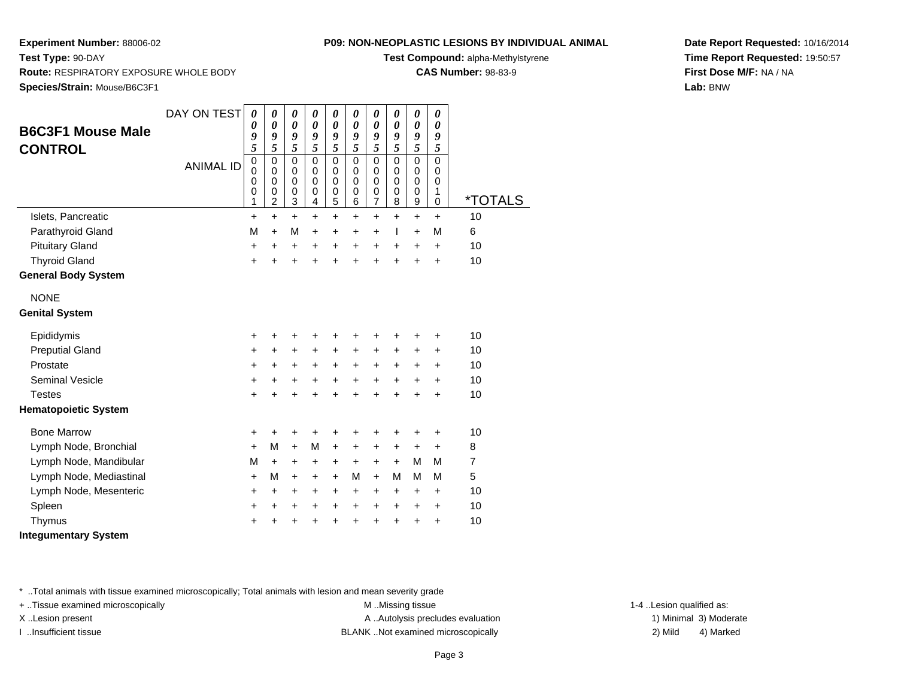### **P09: NON-NEOPLASTIC LESIONS BY INDIVIDUAL ANIMAL**

**Test Compound:** alpha-Methylstyrene

**CAS Number:** 98-83-9

**Date Report Requested:** 10/16/2014**Time Report Requested:** 19:50:57**First Dose M/F:** NA / NA**Lab:** BNW

**Test Type:** 90-DAY **Route:** RESPIRATORY EXPOSURE WHOLE BODY**Species/Strain:** Mouse/B6C3F1

| <b>B6C3F1 Mouse Male</b>    | DAY ON TEST      | $\boldsymbol{\theta}$<br>0<br>9             | 0<br>$\boldsymbol{\theta}$<br>9                          | 0<br>0<br>9                                 | 0<br>0<br>9                                    | 0<br>$\boldsymbol{\theta}$<br>9   | 0<br>0<br>9                                    | 0<br>$\boldsymbol{\theta}$<br>9                    | 0<br>0<br>9                                              | 0<br>0<br>9                                        | 0<br>$\theta$<br>9                          |                       |
|-----------------------------|------------------|---------------------------------------------|----------------------------------------------------------|---------------------------------------------|------------------------------------------------|-----------------------------------|------------------------------------------------|----------------------------------------------------|----------------------------------------------------------|----------------------------------------------------|---------------------------------------------|-----------------------|
| <b>CONTROL</b>              | <b>ANIMAL ID</b> | 5<br>$\mathbf 0$<br>$\Omega$<br>0<br>0<br>1 | 5<br>$\mathbf 0$<br>$\Omega$<br>0<br>0<br>$\overline{c}$ | 5<br>$\mathbf 0$<br>$\Omega$<br>0<br>0<br>3 | 5<br>$\mathbf 0$<br>0<br>$\mathbf 0$<br>0<br>4 | 5<br>0<br>$\Omega$<br>0<br>0<br>5 | 5<br>$\mathbf 0$<br>$\mathbf 0$<br>0<br>0<br>6 | 5<br>$\Omega$<br>$\Omega$<br>$\mathbf 0$<br>0<br>7 | 5<br>$\mathbf 0$<br>$\mathbf 0$<br>$\mathbf 0$<br>0<br>8 | 5<br>$\Omega$<br>$\Omega$<br>$\mathbf 0$<br>0<br>9 | 5<br>$\mathbf 0$<br>$\Omega$<br>0<br>1<br>0 | <i><b>*TOTALS</b></i> |
| Islets, Pancreatic          |                  | $\ddot{}$                                   | $\ddot{}$                                                | $\ddot{}$                                   | $\ddot{}$                                      | $\ddot{}$                         | $\ddot{}$                                      | $\ddot{}$                                          | $\ddot{}$                                                | $\ddot{}$                                          | $\ddot{}$                                   | 10                    |
| Parathyroid Gland           |                  | M                                           | $\ddot{}$                                                | М                                           | $\ddot{}$                                      | $\ddot{}$                         | $\ddot{}$                                      | $\ddot{}$                                          | T                                                        | $\ddot{}$                                          | M                                           | 6                     |
| <b>Pituitary Gland</b>      |                  | +                                           | +                                                        | +                                           | +                                              | $\ddot{}$                         | $\ddot{}$                                      | $\ddot{}$                                          | +                                                        | $\ddot{}$                                          | +                                           | 10                    |
| <b>Thyroid Gland</b>        |                  | $\ddot{}$                                   | $\ddot{}$                                                | $\ddot{}$                                   | $\ddot{}$                                      | $\ddot{}$                         | $\ddot{}$                                      | $\ddot{}$                                          | $\ddot{}$                                                | ÷                                                  | $\ddot{}$                                   | 10                    |
| <b>General Body System</b>  |                  |                                             |                                                          |                                             |                                                |                                   |                                                |                                                    |                                                          |                                                    |                                             |                       |
| <b>NONE</b>                 |                  |                                             |                                                          |                                             |                                                |                                   |                                                |                                                    |                                                          |                                                    |                                             |                       |
| <b>Genital System</b>       |                  |                                             |                                                          |                                             |                                                |                                   |                                                |                                                    |                                                          |                                                    |                                             |                       |
| Epididymis                  |                  | +                                           | +                                                        | +                                           | +                                              | +                                 | +                                              | +                                                  | +                                                        | +                                                  | +                                           | 10                    |
| <b>Preputial Gland</b>      |                  | +                                           | +                                                        | +                                           | +                                              | $\ddot{}$                         | $\ddot{}$                                      | $\ddot{}$                                          | +                                                        | $\pm$                                              | +                                           | 10                    |
| Prostate                    |                  | +                                           | +                                                        | +                                           | +                                              | +                                 | +                                              | +                                                  | +                                                        | $\ddot{}$                                          | $\ddot{}$                                   | 10                    |
| <b>Seminal Vesicle</b>      |                  | +                                           | $\ddot{}$                                                | +                                           | +                                              | +                                 | $\ddot{}$                                      | $\ddot{}$                                          | $\ddot{}$                                                | +                                                  | +                                           | 10                    |
| <b>Testes</b>               |                  | +                                           | $\ddot{}$                                                | $\ddot{}$                                   | $\ddot{}$                                      | $\ddot{}$                         | $\ddot{}$                                      | $\ddot{}$                                          | $\ddot{}$                                                | $\ddot{}$                                          | $\ddot{}$                                   | 10                    |
| <b>Hematopoietic System</b> |                  |                                             |                                                          |                                             |                                                |                                   |                                                |                                                    |                                                          |                                                    |                                             |                       |
| <b>Bone Marrow</b>          |                  | +                                           | +                                                        | ٠                                           | +                                              | +                                 | +                                              | ٠                                                  | +                                                        | +                                                  | +                                           | 10                    |
| Lymph Node, Bronchial       |                  | +                                           | М                                                        | $\ddot{}$                                   | M                                              | $\ddot{}$                         | $\ddot{}$                                      | +                                                  | $\ddot{}$                                                | $\ddot{}$                                          | $\ddot{}$                                   | 8                     |
| Lymph Node, Mandibular      |                  | М                                           | $\ddot{}$                                                | +                                           | +                                              | +                                 | +                                              | +                                                  | $\ddot{}$                                                | м                                                  | М                                           | 7                     |
| Lymph Node, Mediastinal     |                  | $\ddot{}$                                   | M                                                        | $\ddot{}$                                   | $\ddot{}$                                      | $\ddot{}$                         | M                                              | $\ddot{}$                                          | M                                                        | м                                                  | M                                           | 5                     |
| Lymph Node, Mesenteric      |                  | +                                           | $\ddot{}$                                                | +                                           | $\ddot{}$                                      | $\ddot{}$                         | +                                              | $\ddot{}$                                          | $\ddot{}$                                                | $\ddot{}$                                          | $\ddot{}$                                   | 10                    |
| Spleen                      |                  | +                                           | $\ddot{}$                                                | +                                           | +                                              | $\ddot{}$                         | +                                              | $\ddot{}$                                          | $\ddot{}$                                                | +                                                  | $\ddot{}$                                   | 10                    |
| Thymus                      |                  | +                                           | +                                                        | +                                           | $\ddot{}$                                      | +                                 | +                                              | +                                                  | $\ddot{}$                                                | +                                                  | +                                           | 10                    |
| <b>Integumentary System</b> |                  |                                             |                                                          |                                             |                                                |                                   |                                                |                                                    |                                                          |                                                    |                                             |                       |

\* ..Total animals with tissue examined microscopically; Total animals with lesion and mean severity grade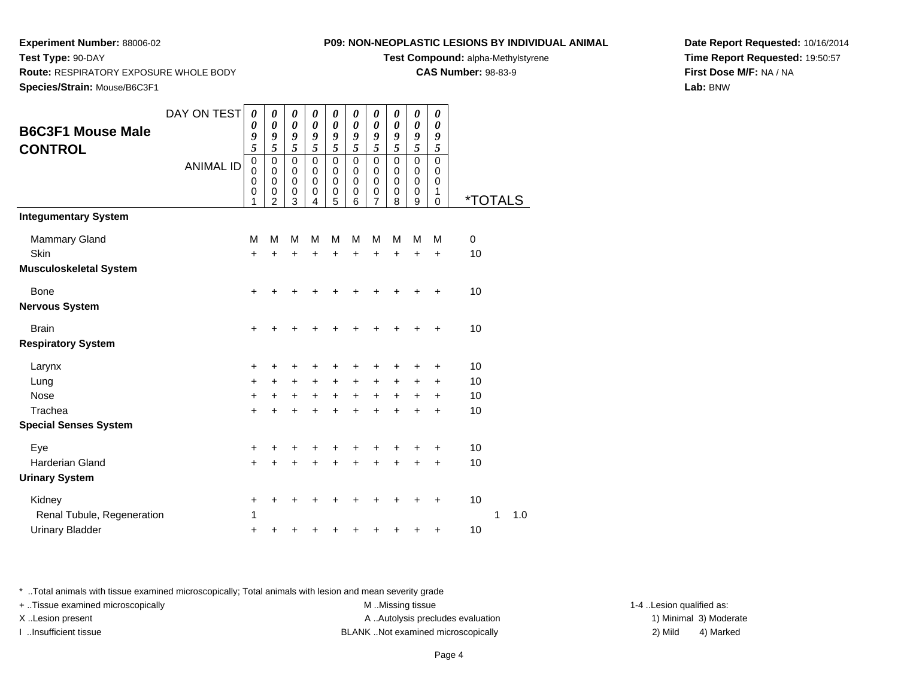**Species/Strain:** Mouse/B6C3F1

**Route:** RESPIRATORY EXPOSURE WHOLE BODY

**Test Type:** 90-DAY

#### **P09: NON-NEOPLASTIC LESIONS BY INDIVIDUAL ANIMAL**

**Test Compound:** alpha-Methylstyrene

**CAS Number:** 98-83-9

**Date Report Requested:** 10/16/2014**Time Report Requested:** 19:50:57**First Dose M/F:** NA / NA**Lab:** BNW

| <b>B6C3F1 Mouse Male</b>                  | DAY ON TEST      | $\boldsymbol{\theta}$<br>0<br>9 | 0<br>$\boldsymbol{\theta}$<br>9                                  | 0<br>$\boldsymbol{\theta}$<br>9                 | 0<br>$\boldsymbol{\theta}$<br>9                     | 0<br>0<br>9                                               | 0<br>0<br>9                                         | 0<br>0<br>9                                                  | 0<br>$\boldsymbol{\theta}$<br>9                               | 0<br>$\boldsymbol{\theta}$<br>9                     | 0<br>0<br>9                                         |                       |   |     |
|-------------------------------------------|------------------|---------------------------------|------------------------------------------------------------------|-------------------------------------------------|-----------------------------------------------------|-----------------------------------------------------------|-----------------------------------------------------|--------------------------------------------------------------|---------------------------------------------------------------|-----------------------------------------------------|-----------------------------------------------------|-----------------------|---|-----|
| <b>CONTROL</b>                            |                  | 5                               | $\overline{5}$                                                   | $\overline{5}$                                  | $\overline{5}$                                      | $\overline{\mathbf{5}}$                                   | $\overline{5}$                                      | $\overline{5}$                                               | 5                                                             | 5                                                   | 5                                                   |                       |   |     |
|                                           | <b>ANIMAL ID</b> | 0<br>$\mathbf 0$<br>0<br>0<br>1 | $\mathbf 0$<br>$\mathbf 0$<br>$\mathbf 0$<br>0<br>$\overline{2}$ | $\pmb{0}$<br>$\pmb{0}$<br>$\mathbf 0$<br>0<br>3 | $\mathbf 0$<br>$\mathbf 0$<br>$\mathbf 0$<br>0<br>4 | $\mathbf 0$<br>$\pmb{0}$<br>$\mathbf 0$<br>$\pmb{0}$<br>5 | $\mathbf 0$<br>$\mathbf 0$<br>$\mathbf 0$<br>0<br>6 | $\pmb{0}$<br>$\pmb{0}$<br>$\mathbf 0$<br>0<br>$\overline{7}$ | $\mathbf 0$<br>$\mathbf 0$<br>$\mathbf 0$<br>$\mathbf 0$<br>8 | $\mathbf 0$<br>$\mathbf 0$<br>$\mathbf 0$<br>0<br>9 | $\mathbf 0$<br>$\mathbf 0$<br>0<br>1<br>$\mathbf 0$ | <i><b>*TOTALS</b></i> |   |     |
| <b>Integumentary System</b>               |                  |                                 |                                                                  |                                                 |                                                     |                                                           |                                                     |                                                              |                                                               |                                                     |                                                     |                       |   |     |
| <b>Mammary Gland</b><br>Skin              |                  | M<br>$\ddot{}$                  | М                                                                | M<br>+                                          | м                                                   | M                                                         | M                                                   | M<br>+                                                       | M<br>٠                                                        | M<br>+                                              | M<br>+                                              | $\mathbf 0$<br>10     |   |     |
| <b>Musculoskeletal System</b>             |                  |                                 |                                                                  |                                                 |                                                     |                                                           |                                                     |                                                              |                                                               |                                                     |                                                     |                       |   |     |
| Bone<br>Nervous System                    |                  | +                               |                                                                  |                                                 |                                                     |                                                           |                                                     |                                                              |                                                               | +                                                   | $\ddot{}$                                           | 10                    |   |     |
| <b>Brain</b><br><b>Respiratory System</b> |                  | +                               |                                                                  |                                                 |                                                     |                                                           |                                                     |                                                              |                                                               | +                                                   | +                                                   | 10                    |   |     |
| Larynx                                    |                  | +                               |                                                                  |                                                 |                                                     |                                                           |                                                     |                                                              |                                                               | +                                                   | +                                                   | 10                    |   |     |
| Lung                                      |                  | +                               | +                                                                | +                                               | +                                                   | +                                                         | +                                                   | +                                                            | +                                                             | +                                                   | +                                                   | 10                    |   |     |
| <b>Nose</b>                               |                  | $\ddot{}$                       | +                                                                | $\ddot{}$                                       | $\ddot{}$                                           | $\ddot{}$                                                 | $\ddot{}$                                           | $\ddot{}$                                                    | $\ddot{}$                                                     | $\ddot{}$                                           | $\ddot{}$                                           | 10                    |   |     |
| Trachea                                   |                  | $\ddot{}$                       | +                                                                | +                                               |                                                     | +                                                         | +                                                   | +                                                            | +                                                             | +                                                   | +                                                   | 10                    |   |     |
| <b>Special Senses System</b>              |                  |                                 |                                                                  |                                                 |                                                     |                                                           |                                                     |                                                              |                                                               |                                                     |                                                     |                       |   |     |
| Eye                                       |                  | +                               |                                                                  |                                                 |                                                     |                                                           |                                                     |                                                              | +                                                             | +                                                   | +                                                   | 10                    |   |     |
| <b>Harderian Gland</b>                    |                  | +                               |                                                                  |                                                 |                                                     |                                                           |                                                     | +                                                            | +                                                             | +                                                   | +                                                   | 10                    |   |     |
| <b>Urinary System</b>                     |                  |                                 |                                                                  |                                                 |                                                     |                                                           |                                                     |                                                              |                                                               |                                                     |                                                     |                       |   |     |
| Kidney                                    |                  | +                               | +                                                                | +                                               |                                                     |                                                           |                                                     | +                                                            | +                                                             | +                                                   | +                                                   | 10                    |   |     |
| Renal Tubule, Regeneration                |                  | 1                               |                                                                  |                                                 |                                                     |                                                           |                                                     |                                                              |                                                               |                                                     |                                                     |                       | 1 | 1.0 |
| <b>Urinary Bladder</b>                    |                  | +                               | +                                                                |                                                 |                                                     |                                                           |                                                     |                                                              |                                                               | +                                                   | +                                                   | 10                    |   |     |

\* ..Total animals with tissue examined microscopically; Total animals with lesion and mean severity grade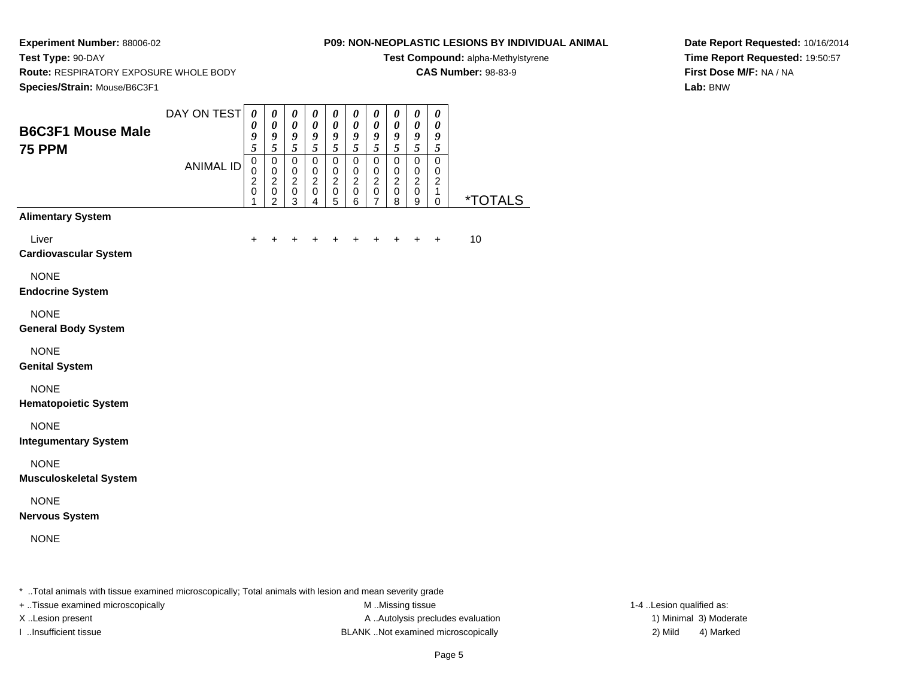**Test Type:** 90-DAY

### **P09: NON-NEOPLASTIC LESIONS BY INDIVIDUAL ANIMAL**

**Test Compound:** alpha-Methylstyrene

**CAS Number:** 98-83-9

**Route:** RESPIRATORY EXPOSURE WHOLE BODY

**Date Report Requested:** 10/16/2014**Time Report Requested:** 19:50:57**First Dose M/F:** NA / NA**Lab:** BNW

| <b>B6C3F1 Mouse Male</b>                     | DAY ON TEST      | $\pmb{\theta}$<br>0<br>9<br>5                                    | $\pmb{\theta}$<br>$\boldsymbol{\theta}$<br>$\pmb{9}$<br>5 | $\pmb{\theta}$<br>$\boldsymbol{\theta}$<br>$\boldsymbol{g}$<br>$\sqrt{5}$ | 0<br>$\pmb{\theta}$<br>9<br>5                                               | $\pmb{\theta}$<br>$\boldsymbol{\theta}$<br>9<br>$\sqrt{5}$     | $\pmb{\theta}$<br>$\boldsymbol{\theta}$<br>9<br>$\sqrt{5}$   | $\pmb{\theta}$<br>$\boldsymbol{\theta}$<br>$\boldsymbol{g}$                  | $\pmb{\theta}$<br>$\boldsymbol{\theta}$<br>$\boldsymbol{g}$<br>$\sqrt{5}$ | $\pmb{\theta}$<br>$\boldsymbol{\theta}$<br>$\pmb{9}$<br>$\sqrt{5}$        | $\pmb{\theta}$<br>$\boldsymbol{\theta}$<br>$\boldsymbol{g}$<br>$\overline{5}$ |                       |
|----------------------------------------------|------------------|------------------------------------------------------------------|-----------------------------------------------------------|---------------------------------------------------------------------------|-----------------------------------------------------------------------------|----------------------------------------------------------------|--------------------------------------------------------------|------------------------------------------------------------------------------|---------------------------------------------------------------------------|---------------------------------------------------------------------------|-------------------------------------------------------------------------------|-----------------------|
| <b>75 PPM</b>                                | <b>ANIMAL ID</b> | $\mathbf 0$<br>$\pmb{0}$<br>$\boldsymbol{2}$<br>$\mathbf 0$<br>1 | $\pmb{0}$<br>$\pmb{0}$<br>$^2_{\rm 0}$<br>$\overline{c}$  | $\mathsf 0$<br>$\mathbf 0$<br>$\boldsymbol{2}$<br>$\pmb{0}$<br>3          | $\mathsf 0$<br>$\pmb{0}$<br>$\overline{2}$<br>$\mathbf 0$<br>$\overline{4}$ | $\mathsf 0$<br>$\mathbf 0$<br>$\overline{2}$<br>$\pmb{0}$<br>5 | $\pmb{0}$<br>$\pmb{0}$<br>$\boldsymbol{2}$<br>$\pmb{0}$<br>6 | $\mathfrak{s}$<br>$\pmb{0}$<br>$\mathbf 0$<br>$^2_{\rm 0}$<br>$\overline{7}$ | $\mathbf 0$<br>$\pmb{0}$<br>$^2_{\rm 0}$<br>8                             | $\mathsf 0$<br>$\pmb{0}$<br>$\sqrt{2}$<br>$\mathsf 0$<br>$\boldsymbol{9}$ | $\mathsf 0$<br>$\pmb{0}$<br>$\sqrt{2}$<br>$\mathbf{1}$<br>$\mathbf 0$         | <i><b>*TOTALS</b></i> |
| <b>Alimentary System</b>                     |                  |                                                                  |                                                           |                                                                           |                                                                             |                                                                |                                                              |                                                                              |                                                                           |                                                                           |                                                                               |                       |
| Liver<br><b>Cardiovascular System</b>        |                  | +                                                                |                                                           |                                                                           |                                                                             |                                                                |                                                              | +                                                                            | ÷                                                                         | $\ddot{}$                                                                 | +                                                                             | 10                    |
| <b>NONE</b><br><b>Endocrine System</b>       |                  |                                                                  |                                                           |                                                                           |                                                                             |                                                                |                                                              |                                                                              |                                                                           |                                                                           |                                                                               |                       |
| <b>NONE</b><br><b>General Body System</b>    |                  |                                                                  |                                                           |                                                                           |                                                                             |                                                                |                                                              |                                                                              |                                                                           |                                                                           |                                                                               |                       |
| <b>NONE</b><br><b>Genital System</b>         |                  |                                                                  |                                                           |                                                                           |                                                                             |                                                                |                                                              |                                                                              |                                                                           |                                                                           |                                                                               |                       |
| <b>NONE</b><br><b>Hematopoietic System</b>   |                  |                                                                  |                                                           |                                                                           |                                                                             |                                                                |                                                              |                                                                              |                                                                           |                                                                           |                                                                               |                       |
| <b>NONE</b><br><b>Integumentary System</b>   |                  |                                                                  |                                                           |                                                                           |                                                                             |                                                                |                                                              |                                                                              |                                                                           |                                                                           |                                                                               |                       |
| <b>NONE</b><br><b>Musculoskeletal System</b> |                  |                                                                  |                                                           |                                                                           |                                                                             |                                                                |                                                              |                                                                              |                                                                           |                                                                           |                                                                               |                       |
| <b>NONE</b><br><b>Nervous System</b>         |                  |                                                                  |                                                           |                                                                           |                                                                             |                                                                |                                                              |                                                                              |                                                                           |                                                                           |                                                                               |                       |
| <b>NONE</b>                                  |                  |                                                                  |                                                           |                                                                           |                                                                             |                                                                |                                                              |                                                                              |                                                                           |                                                                           |                                                                               |                       |

\* ..Total animals with tissue examined microscopically; Total animals with lesion and mean severity grade

+ ..Tissue examined microscopically M ...Missing tissue 1-4 ... M ...Missing tissue

X..Lesion present **A ..Autolysis precludes evaluation** A ..Autolysis precludes evaluation 1) Minimal 3) Moderate I ..Insufficient tissue BLANK ..Not examined microscopically 2) Mild 4) Marked

1-4 ..Lesion qualified as: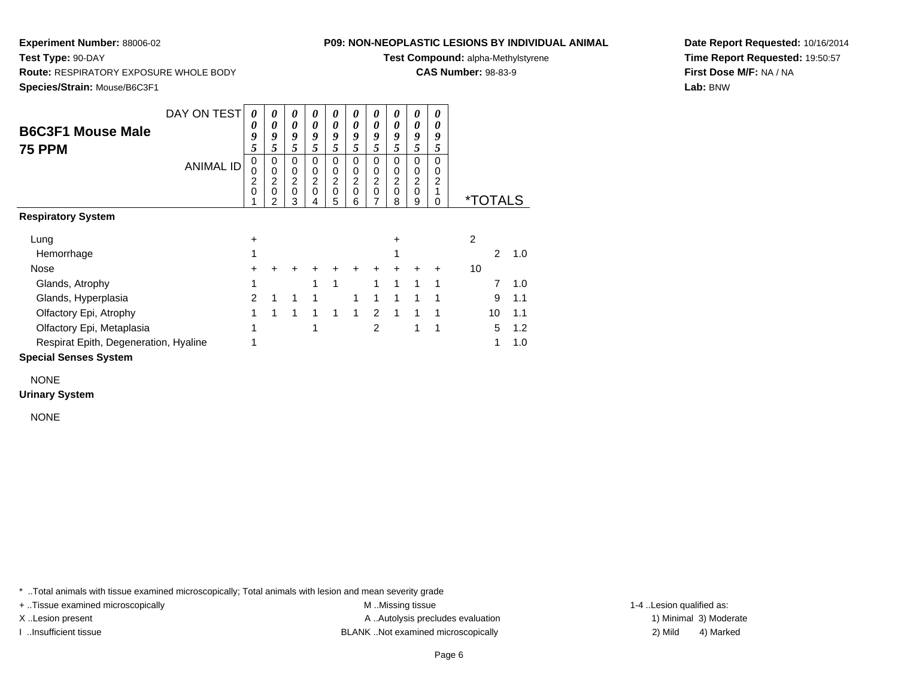**Test Type:** 90-DAY

#### **P09: NON-NEOPLASTIC LESIONS BY INDIVIDUAL ANIMAL**

**Test Compound:** alpha-Methylstyrene

**CAS Number:** 98-83-9

**Date Report Requested:** 10/16/2014**Time Report Requested:** 19:50:57**First Dose M/F:** NA / NA**Lab:** BNW

 **Route:** RESPIRATORY EXPOSURE WHOLE BODY**Species/Strain:** Mouse/B6C3F1

|                                       | DAY ON TEST      | 0                   | 0        | 0        | 0      | 0           | 0      | 0             | 0      | 0                   | 0      |    |                       |     |
|---------------------------------------|------------------|---------------------|----------|----------|--------|-------------|--------|---------------|--------|---------------------|--------|----|-----------------------|-----|
| <b>B6C3F1 Mouse Male</b>              |                  | 0                   | 0        | 0        | 0      | 0           | 0      | 0             | 0      | 0                   |        |    |                       |     |
|                                       |                  | 9                   | 9        | 9        | 9      | 9           | 9      | 9             | 9      | 9                   | 9      |    |                       |     |
| <b>75 PPM</b>                         |                  | 5                   | 5        | 5        | 5      | 5           | 5      | 5             | 5      | 5                   | 5      |    |                       |     |
|                                       | <b>ANIMAL ID</b> | 0                   | 0        | $\Omega$ | 0      | $\Omega$    | 0      | 0             | 0      | 0                   | 0      |    |                       |     |
|                                       |                  | 0<br>$\overline{c}$ | 0<br>2   | 0<br>2   | 0<br>2 | 0<br>2      | 0<br>2 | 0             | 0<br>2 | 0<br>$\overline{c}$ | 0<br>2 |    |                       |     |
|                                       |                  | 0                   | $\Omega$ | 0        | 0      | $\mathbf 0$ | 0      | $\frac{2}{0}$ | 0      | 0                   |        |    |                       |     |
|                                       |                  |                     | 2        | 3        | 4      | 5           | 6      | 7             | 8      | 9                   | 0      |    | <i><b>*TOTALS</b></i> |     |
| <b>Respiratory System</b>             |                  |                     |          |          |        |             |        |               |        |                     |        |    |                       |     |
| Lung                                  |                  | $\pm$               |          |          |        |             |        |               | +      |                     |        | 2  |                       |     |
| Hemorrhage                            |                  |                     |          |          |        |             |        |               |        |                     |        |    | 2                     | 1.0 |
| Nose                                  |                  |                     |          |          |        |             |        |               |        |                     | ٠      | 10 |                       |     |
| Glands, Atrophy                       |                  | 1                   |          |          |        | 1           |        | 1             | 1      | 1                   | 1      |    | 7                     | 1.0 |
| Glands, Hyperplasia                   |                  | 2                   | 1        |          |        |             |        | 1             |        |                     |        |    | 9                     | 1.1 |
| Olfactory Epi, Atrophy                |                  | 1                   | 1        | 1        | 1      | 1           | 1      | $\mathcal{P}$ | 1      |                     |        |    | 10                    | 1.1 |
| Olfactory Epi, Metaplasia             |                  |                     |          |          |        |             |        | 2             |        |                     |        |    | 5                     | 1.2 |
| Respirat Epith, Degeneration, Hyaline |                  |                     |          |          |        |             |        |               |        |                     |        |    | 1                     | 1.0 |
| <b>Connicl Connon Cuntom</b>          |                  |                     |          |          |        |             |        |               |        |                     |        |    |                       |     |

#### **Special Senses System**

NONE

#### **Urinary System**

NONE

\* ..Total animals with tissue examined microscopically; Total animals with lesion and mean severity grade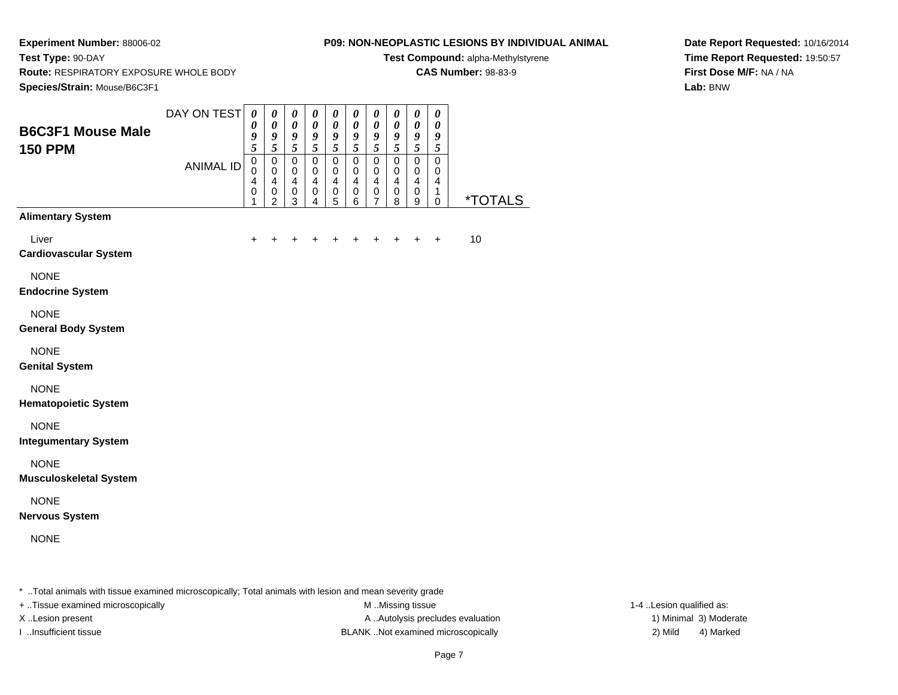**Test Type:** 90-DAY

### **P09: NON-NEOPLASTIC LESIONS BY INDIVIDUAL ANIMAL**

**Test Compound:** alpha-Methylstyrene

**CAS Number:** 98-83-9

**Date Report Requested:** 10/16/2014**Time Report Requested:** 19:50:57**First Dose M/F:** NA / NA**Lab:** BNW

**Route:** RESPIRATORY EXPOSURE WHOLE BODY

| Species/Strain: Mouse/B6C3F1                 |                  |                                                   |                                                                  |                                                                 |                                                                                  |                                                                |                                                                    |                                                                                  |                                                                         |                                                                       |                                                               |                       |
|----------------------------------------------|------------------|---------------------------------------------------|------------------------------------------------------------------|-----------------------------------------------------------------|----------------------------------------------------------------------------------|----------------------------------------------------------------|--------------------------------------------------------------------|----------------------------------------------------------------------------------|-------------------------------------------------------------------------|-----------------------------------------------------------------------|---------------------------------------------------------------|-----------------------|
| <b>B6C3F1 Mouse Male</b><br><b>150 PPM</b>   | DAY ON TEST      | $\pmb{\theta}$<br>$\boldsymbol{\theta}$<br>9<br>5 | $\pmb{\theta}$<br>$\boldsymbol{\theta}$<br>9<br>5                | $\pmb{\theta}$<br>$\boldsymbol{\theta}$<br>9<br>$\tilde{s}$     | $\boldsymbol{\theta}$<br>$\pmb{\theta}$<br>9<br>$\overline{5}$                   | $\pmb{\theta}$<br>$\boldsymbol{\theta}$<br>9<br>5              | $\boldsymbol{\theta}$<br>$\boldsymbol{\theta}$<br>9<br>$\tilde{s}$ | $\pmb{\theta}$<br>$\boldsymbol{\theta}$<br>9<br>$\overline{5}$                   | $\pmb{\theta}$<br>$\boldsymbol{\theta}$<br>9<br>5                       | $\pmb{\theta}$<br>$\boldsymbol{\theta}$<br>9<br>5                     | $\pmb{\theta}$<br>$\pmb{\theta}$<br>9<br>5                    |                       |
|                                              | <b>ANIMAL ID</b> | $\pmb{0}$<br>$\mathbf 0$<br>4<br>$\mathbf 0$<br>1 | $\pmb{0}$<br>0<br>$\overline{\mathbf{4}}$<br>0<br>$\overline{2}$ | $\mathbf 0$<br>$\mathbf 0$<br>$\overline{\mathbf{4}}$<br>0<br>3 | $\mathbf 0$<br>$\pmb{0}$<br>$\overline{\mathbf{4}}$<br>$\,0\,$<br>$\overline{4}$ | $\mathbf 0$<br>$\mathbf 0$<br>$\overline{4}$<br>$\pmb{0}$<br>5 | $\mathbf 0$<br>$\pmb{0}$<br>$\overline{4}$<br>$\mathbf 0$<br>6     | $\pmb{0}$<br>$\pmb{0}$<br>$\overline{\mathbf{4}}$<br>$\pmb{0}$<br>$\overline{7}$ | $\mathbf 0$<br>$\mathbf 0$<br>$\overline{\mathbf{4}}$<br>$\pmb{0}$<br>8 | $\pmb{0}$<br>$\mathbf 0$<br>$\overline{\mathbf{4}}$<br>$\pmb{0}$<br>9 | $\mathbf 0$<br>$\pmb{0}$<br>$\overline{\mathbf{4}}$<br>1<br>0 | <i><b>*TOTALS</b></i> |
| <b>Alimentary System</b>                     |                  |                                                   |                                                                  |                                                                 |                                                                                  |                                                                |                                                                    |                                                                                  |                                                                         |                                                                       |                                                               |                       |
| Liver<br><b>Cardiovascular System</b>        |                  | +                                                 |                                                                  |                                                                 |                                                                                  |                                                                |                                                                    |                                                                                  |                                                                         | +                                                                     | $\ddot{}$                                                     | 10                    |
| <b>NONE</b><br><b>Endocrine System</b>       |                  |                                                   |                                                                  |                                                                 |                                                                                  |                                                                |                                                                    |                                                                                  |                                                                         |                                                                       |                                                               |                       |
| <b>NONE</b><br><b>General Body System</b>    |                  |                                                   |                                                                  |                                                                 |                                                                                  |                                                                |                                                                    |                                                                                  |                                                                         |                                                                       |                                                               |                       |
| <b>NONE</b><br><b>Genital System</b>         |                  |                                                   |                                                                  |                                                                 |                                                                                  |                                                                |                                                                    |                                                                                  |                                                                         |                                                                       |                                                               |                       |
| <b>NONE</b><br><b>Hematopoietic System</b>   |                  |                                                   |                                                                  |                                                                 |                                                                                  |                                                                |                                                                    |                                                                                  |                                                                         |                                                                       |                                                               |                       |
| <b>NONE</b><br><b>Integumentary System</b>   |                  |                                                   |                                                                  |                                                                 |                                                                                  |                                                                |                                                                    |                                                                                  |                                                                         |                                                                       |                                                               |                       |
| <b>NONE</b><br><b>Musculoskeletal System</b> |                  |                                                   |                                                                  |                                                                 |                                                                                  |                                                                |                                                                    |                                                                                  |                                                                         |                                                                       |                                                               |                       |
| <b>NONE</b><br><b>Nervous System</b>         |                  |                                                   |                                                                  |                                                                 |                                                                                  |                                                                |                                                                    |                                                                                  |                                                                         |                                                                       |                                                               |                       |
| <b>NONE</b>                                  |                  |                                                   |                                                                  |                                                                 |                                                                                  |                                                                |                                                                    |                                                                                  |                                                                         |                                                                       |                                                               |                       |
|                                              |                  |                                                   |                                                                  |                                                                 | $\cdots$                                                                         |                                                                |                                                                    |                                                                                  |                                                                         |                                                                       |                                                               |                       |

\* ..Total animals with tissue examined microscopically; Total animals with lesion and mean severity grade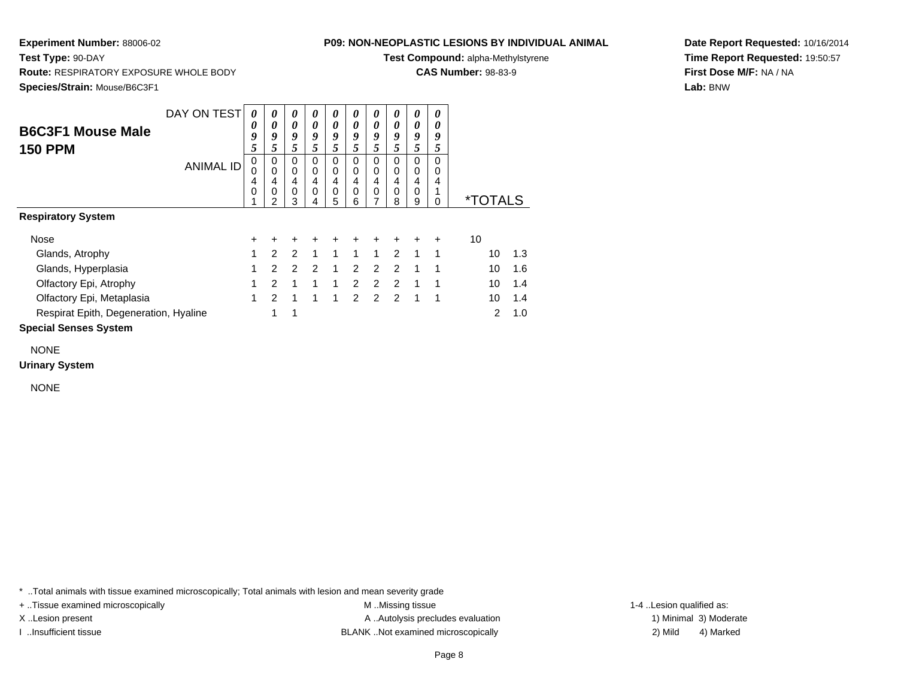**Test Type:** 90-DAY

#### **P09: NON-NEOPLASTIC LESIONS BY INDIVIDUAL ANIMAL**

**Test Compound:** alpha-Methylstyrene

**CAS Number:** 98-83-9

**Date Report Requested:** 10/16/2014**Time Report Requested:** 19:50:57**First Dose M/F:** NA / NA**Lab:** BNW

 **Route:** RESPIRATORY EXPOSURE WHOLE BODY**Species/Strain:** Mouse/B6C3F1

| <b>B6C3F1 Mouse Male</b><br><b>150 PPM</b> | DAY ON TEST<br><b>ANIMAL ID</b> | $\theta$<br>0<br>9<br>5<br>0<br>0<br>4<br>0 | 0<br>0<br>9<br>5<br>0<br>$\mathbf 0$<br>4<br>0<br>2 | $\boldsymbol{\theta}$<br>0<br>9<br>5<br>0<br>$\mathbf 0$<br>4<br>$\mathbf 0$<br>3 | 0<br>$\theta$<br>9<br>5<br>0<br>0<br>4<br>0<br>4 | 0<br>$\boldsymbol{\theta}$<br>9<br>5<br>0<br>0<br>$\overline{4}$<br>0<br>5 | 0<br>0<br>9<br>5<br>0<br>0<br>4<br>0<br>6 | 0<br>0<br>9<br>5<br>0<br>0<br>4<br>0<br>7 | 0<br>0<br>9<br>5<br>$\Omega$<br>0<br>4<br>0<br>8 | 0<br>0<br>9<br>5<br>0<br>0<br>4<br>0<br>9 | 0<br>0<br>9<br>5<br>$\Omega$<br>0<br>4<br>0 | <i><b>*TOTALS</b></i> |     |
|--------------------------------------------|---------------------------------|---------------------------------------------|-----------------------------------------------------|-----------------------------------------------------------------------------------|--------------------------------------------------|----------------------------------------------------------------------------|-------------------------------------------|-------------------------------------------|--------------------------------------------------|-------------------------------------------|---------------------------------------------|-----------------------|-----|
| <b>Respiratory System</b>                  |                                 |                                             |                                                     |                                                                                   |                                                  |                                                                            |                                           |                                           |                                                  |                                           |                                             |                       |     |
| Nose                                       |                                 | $\ddot{}$                                   | $\ddot{}$                                           | $\ddot{}$                                                                         | +                                                | ٠                                                                          |                                           | +                                         |                                                  |                                           |                                             | 10                    |     |
| Glands, Atrophy                            |                                 | 1                                           | $\mathcal{P}$                                       | $\mathcal{P}$                                                                     | $\mathbf{1}$                                     | $\mathbf{1}$                                                               | $\mathbf{1}$                              | $\mathbf{1}$                              | $\mathcal{P}$                                    | $\mathbf{1}$                              | 1                                           | 10                    | 1.3 |
| Glands, Hyperplasia                        |                                 | 1                                           | $\overline{2}$                                      | 2                                                                                 | $\overline{2}$                                   | 1                                                                          | $\overline{2}$                            | 2                                         | $\mathcal{P}$                                    | 1                                         | 1                                           | 10                    | 1.6 |
| Olfactory Epi, Atrophy                     |                                 | 1                                           | $\mathcal{P}$                                       | 1                                                                                 | 1                                                | 1                                                                          | $\overline{2}$                            | $\mathcal{P}$                             | $\mathcal{P}$                                    | 1                                         | 1                                           | 10                    | 1.4 |
| Olfactory Epi, Metaplasia                  |                                 | 1                                           | $\mathcal{P}$                                       | 1                                                                                 | 1                                                | 1                                                                          | $\mathcal{P}$                             | $\overline{2}$                            | 2                                                | $\mathbf{1}$                              | -1                                          | 10                    | 1.4 |
| Respirat Epith, Degeneration, Hyaline      |                                 |                                             | 1                                                   | 1                                                                                 |                                                  |                                                                            |                                           |                                           |                                                  |                                           |                                             | $\mathcal{P}$         | 1.0 |
| <b>Special Senses System</b>               |                                 |                                             |                                                     |                                                                                   |                                                  |                                                                            |                                           |                                           |                                                  |                                           |                                             |                       |     |

NONE

**Urinary System**

NONE

\* ..Total animals with tissue examined microscopically; Total animals with lesion and mean severity grade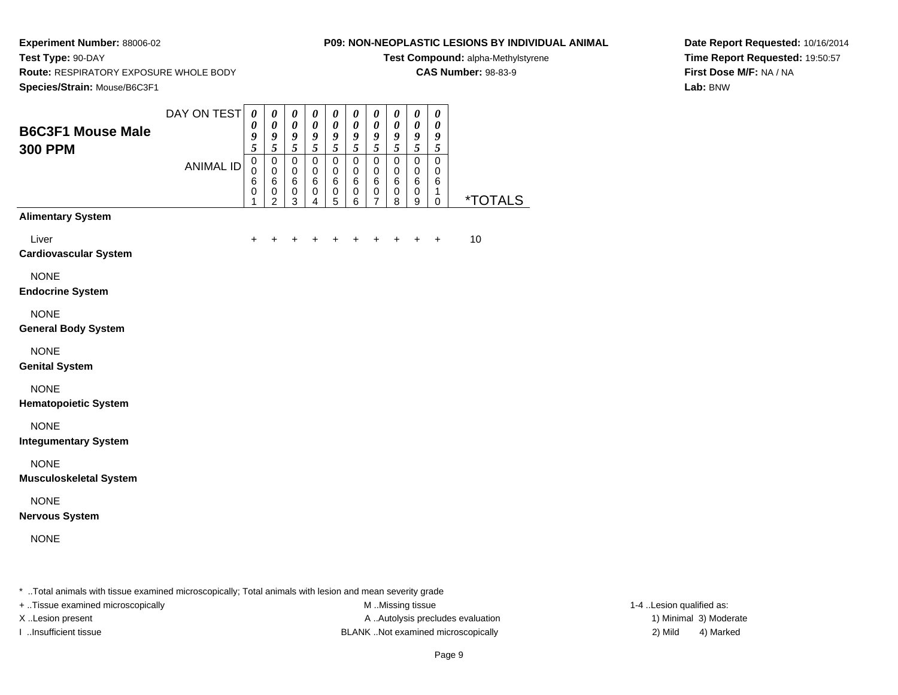**Test Type:** 90-DAY

### **P09: NON-NEOPLASTIC LESIONS BY INDIVIDUAL ANIMAL**

**Test Compound:** alpha-Methylstyrene

**CAS Number:** 98-83-9

**Date Report Requested:** 10/16/2014**Time Report Requested:** 19:50:57**First Dose M/F:** NA / NA**Lab:** BNW

**Route:** RESPIRATORY EXPOSURE WHOLE BODY

| Species/Strain: Mouse/B6C3F1                 |                                 |                                                                                      |                                                                     |                                                                            |                                                                        |                                                                        |                                                              |                                                                        |                                                                        |                                                                        |                                                                  |                       |
|----------------------------------------------|---------------------------------|--------------------------------------------------------------------------------------|---------------------------------------------------------------------|----------------------------------------------------------------------------|------------------------------------------------------------------------|------------------------------------------------------------------------|--------------------------------------------------------------|------------------------------------------------------------------------|------------------------------------------------------------------------|------------------------------------------------------------------------|------------------------------------------------------------------|-----------------------|
| <b>B6C3F1 Mouse Male</b><br><b>300 PPM</b>   | DAY ON TEST<br><b>ANIMAL ID</b> | $\boldsymbol{\theta}$<br>$\boldsymbol{\theta}$<br>9<br>$\overline{5}$<br>$\mathbf 0$ | $\pmb{\theta}$<br>$\boldsymbol{\theta}$<br>9<br>$\overline{5}$<br>0 | $\pmb{\theta}$<br>$\boldsymbol{\theta}$<br>9<br>$\tilde{s}$<br>$\mathbf 0$ | $\pmb{\theta}$<br>$\pmb{\theta}$<br>9<br>$\overline{5}$<br>$\mathbf 0$ | $\pmb{\theta}$<br>$\pmb{\theta}$<br>9<br>$\overline{5}$<br>$\mathbf 0$ | $\pmb{\theta}$<br>$\pmb{\theta}$<br>9<br>$\overline{5}$<br>0 | $\pmb{\theta}$<br>$\pmb{\theta}$<br>9<br>$\overline{5}$<br>$\mathbf 0$ | $\pmb{\theta}$<br>$\pmb{\theta}$<br>9<br>$\overline{5}$<br>$\mathbf 0$ | $\pmb{\theta}$<br>$\pmb{\theta}$<br>9<br>$\overline{5}$<br>$\mathbf 0$ | $\pmb{\theta}$<br>$\boldsymbol{\theta}$<br>9<br>5<br>$\mathbf 0$ |                       |
|                                              |                                 | $\mathbf 0$<br>$\,6$<br>0<br>1                                                       | $\mathbf 0$<br>$\,6\,$<br>0<br>$\overline{2}$                       | $\pmb{0}$<br>6<br>0<br>$\overline{3}$                                      | $\mathbf 0$<br>$\,6$<br>0<br>$\overline{4}$                            | $\mathbf 0$<br>$\,6$<br>0<br>$\overline{5}$                            | $\mathbf 0$<br>$\,6$<br>0<br>$\,6$                           | $\mathbf 0$<br>$\,6\,$<br>0<br>$\overline{7}$                          | $\mathbf 0$<br>$\,6\,$<br>0<br>8                                       | $\mathbf 0$<br>$\,6\,$<br>0<br>9                                       | 0<br>$\,6\,$<br>1<br>0                                           | <i><b>*TOTALS</b></i> |
| <b>Alimentary System</b>                     |                                 |                                                                                      |                                                                     |                                                                            |                                                                        |                                                                        |                                                              |                                                                        |                                                                        |                                                                        |                                                                  |                       |
| Liver<br><b>Cardiovascular System</b>        |                                 | $\ddot{}$                                                                            | $\ddot{}$                                                           | $\ddot{}$                                                                  | +                                                                      | +                                                                      | +                                                            | $\ddot{}$                                                              | $\ddot{}$                                                              | $\ddot{}$                                                              | $\ddot{}$                                                        | 10                    |
| <b>NONE</b><br><b>Endocrine System</b>       |                                 |                                                                                      |                                                                     |                                                                            |                                                                        |                                                                        |                                                              |                                                                        |                                                                        |                                                                        |                                                                  |                       |
| <b>NONE</b><br><b>General Body System</b>    |                                 |                                                                                      |                                                                     |                                                                            |                                                                        |                                                                        |                                                              |                                                                        |                                                                        |                                                                        |                                                                  |                       |
| <b>NONE</b><br><b>Genital System</b>         |                                 |                                                                                      |                                                                     |                                                                            |                                                                        |                                                                        |                                                              |                                                                        |                                                                        |                                                                        |                                                                  |                       |
| <b>NONE</b><br><b>Hematopoietic System</b>   |                                 |                                                                                      |                                                                     |                                                                            |                                                                        |                                                                        |                                                              |                                                                        |                                                                        |                                                                        |                                                                  |                       |
| <b>NONE</b><br><b>Integumentary System</b>   |                                 |                                                                                      |                                                                     |                                                                            |                                                                        |                                                                        |                                                              |                                                                        |                                                                        |                                                                        |                                                                  |                       |
| <b>NONE</b><br><b>Musculoskeletal System</b> |                                 |                                                                                      |                                                                     |                                                                            |                                                                        |                                                                        |                                                              |                                                                        |                                                                        |                                                                        |                                                                  |                       |
| <b>NONE</b><br><b>Nervous System</b>         |                                 |                                                                                      |                                                                     |                                                                            |                                                                        |                                                                        |                                                              |                                                                        |                                                                        |                                                                        |                                                                  |                       |
| <b>NONE</b>                                  |                                 |                                                                                      |                                                                     |                                                                            |                                                                        |                                                                        |                                                              |                                                                        |                                                                        |                                                                        |                                                                  |                       |
|                                              |                                 |                                                                                      |                                                                     |                                                                            |                                                                        |                                                                        |                                                              |                                                                        |                                                                        |                                                                        |                                                                  |                       |

+ ..Tissue examined microscopically M ...Missing tissue 1-4 ... M ...Missing tissue

X..Lesion present **A ..Autolysis precludes evaluation** A ..Autolysis precludes evaluation 1) Minimal 3) Moderate I ..Insufficient tissue BLANK ..Not examined microscopically 2) Mild 4) Marked

1-4 ..Lesion qualified as: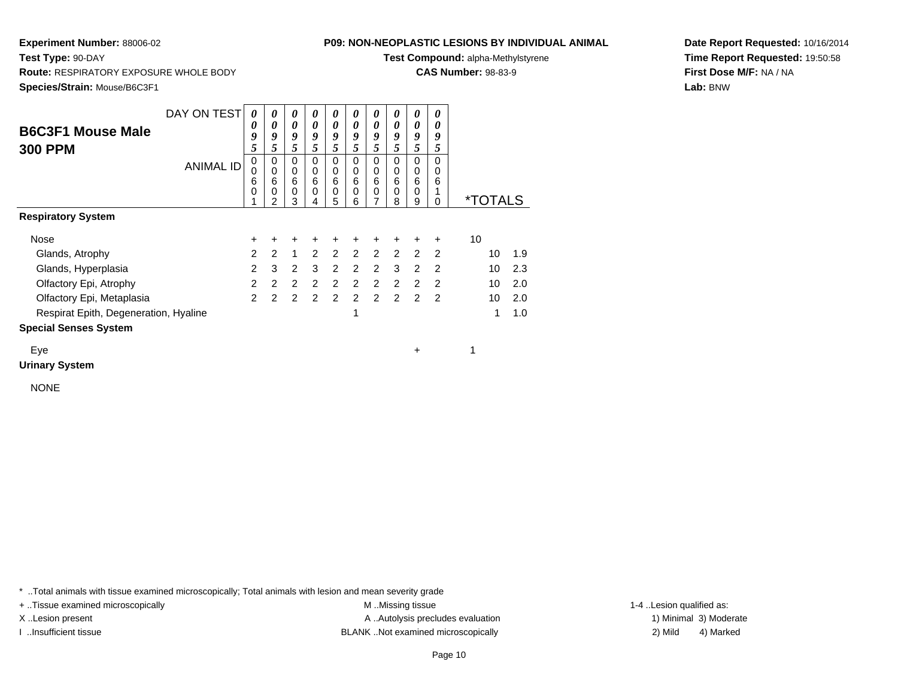**Route:** RESPIRATORY EXPOSURE WHOLE BODY

**Test Type:** 90-DAY

#### **P09: NON-NEOPLASTIC LESIONS BY INDIVIDUAL ANIMAL**

**Test Compound:** alpha-Methylstyrene

**CAS Number:** 98-83-9

0 \*TOTALS

**Date Report Requested:** 10/16/2014**Time Report Requested:** 19:50:58**First Dose M/F:** NA / NA**Lab:** BNW

**Species/Strain:** Mouse/B6C3F1DAY ON TEST **B6C3F1 Mouse Male300 PPM**ANIMAL ID*0 0 9 5* 0 0 6 0 1*0 0 9 5*0<br>0<br>6<br>0<br>2 *0 0 9 5* 0 0 6 0 3*0 0 9 5* 0 0 6 0 4*0 0 9 5* 0 0 6 0 5*0 0 9 5* 0 0 6 0 6*0 0 9 5* 0 0 6 0 7*0 0 9 5* 0 0 6 0 8*0 0 9 5* 0 0 6 0 9**Respiratory System**Nose $e$  + <sup>+</sup> <sup>+</sup> <sup>+</sup> <sup>+</sup> <sup>+</sup> <sup>+</sup> <sup>+</sup> <sup>+</sup> + 10 Glands, Atrophy $\mathsf{y}$  2 <sup>2</sup> <sup>1</sup> <sup>2</sup> <sup>2</sup> <sup>2</sup> <sup>2</sup> <sup>2</sup> <sup>2</sup> <sup>2</sup> <sup>10</sup> 1.9 Glands, Hyperplasia

y 2

a 2 3 2 3 2 2 2 3 2 2 2 10 2.3

a 2 2 2 2 2 2 2 2 2 2 2 10 2.0

<sup>2</sup> <sup>2</sup> <sup>2</sup> <sup>2</sup> <sup>2</sup> <sup>2</sup> <sup>2</sup> <sup>2</sup> <sup>2</sup> <sup>10</sup> 2.0

e 1 1.0

Respirat Epith, Degeneration, Hyaline

Olfactory Epi, Atrophy

Olfactory Epi, Metaplasia

**Special Senses System**

Eyee + 1

**Urinary System**

NONE

\* ..Total animals with tissue examined microscopically; Total animals with lesion and mean severity grade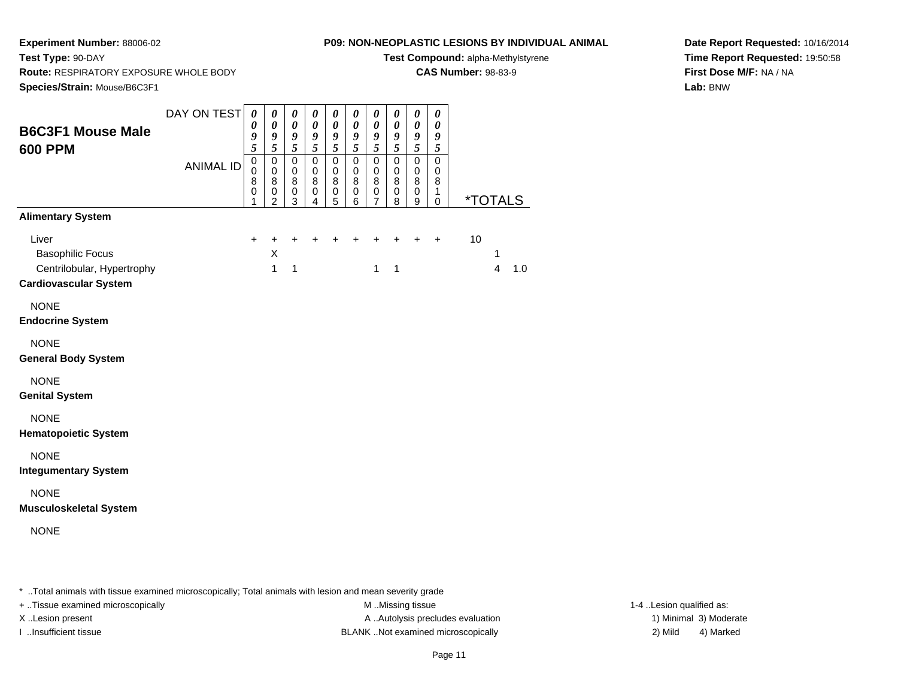**Test Type:** 90-DAY

#### **P09: NON-NEOPLASTIC LESIONS BY INDIVIDUAL ANIMAL**

**Test Compound:** alpha-Methylstyrene

**CAS Number:** 98-83-9

**Date Report Requested:** 10/16/2014**Time Report Requested:** 19:50:58**First Dose M/F:** NA / NA**Lab:** BNW

 **Route:** RESPIRATORY EXPOSURE WHOLE BODY**Species/Strain:** Mouse/B6C3F1

| <b>B6C3F1 Mouse Male</b><br><b>600 PPM</b>                                                     | DAY ON TEST<br><b>ANIMAL ID</b> | $\pmb{\theta}$<br>$\pmb{\theta}$<br>9<br>$\overline{\mathbf{5}}$<br>$\mathbf 0$<br>$\pmb{0}$<br>8<br>$\pmb{0}$<br>1 | $\boldsymbol{\theta}$<br>$\pmb{\theta}$<br>$\boldsymbol{g}$<br>$\overline{5}$<br>$\pmb{0}$<br>$\mathbf 0$<br>8<br>$\mathbf 0$<br>$\overline{2}$ | $\boldsymbol{\theta}$<br>$\pmb{\theta}$<br>$\boldsymbol{g}$<br>5<br>$\pmb{0}$<br>$\mathbf 0$<br>8<br>$\,0\,$<br>3 | $\boldsymbol{\theta}$<br>$\pmb{\theta}$<br>$\boldsymbol{g}$<br>5<br>$\mathbf 0$<br>$\mathbf 0$<br>8<br>0<br>$\overline{4}$ | 0<br>$\boldsymbol{\theta}$<br>9<br>5<br>$\pmb{0}$<br>0<br>$\bf 8$<br>0<br>$\overline{5}$ | 0<br>$\pmb{\theta}$<br>9<br>$\overline{5}$<br>0<br>$\mathbf 0$<br>8<br>0<br>6 | $\boldsymbol{\theta}$<br>$\pmb{\theta}$<br>$\boldsymbol{g}$<br>5<br>$\pmb{0}$<br>$\mathbf 0$<br>$\bf 8$<br>$\pmb{0}$<br>$\overline{7}$ | 0<br>$\pmb{\theta}$<br>9<br>5<br>$\pmb{0}$<br>$\mathbf 0$<br>8<br>0<br>8 | $\boldsymbol{\theta}$<br>$\pmb{\theta}$<br>$\boldsymbol{g}$<br>$\mathfrak{s}$<br>$\pmb{0}$<br>$\mathbf 0$<br>$\bf 8$<br>$\pmb{0}$<br>9 | $\boldsymbol{\theta}$<br>$\boldsymbol{\theta}$<br>9<br>5<br>$\mathbf 0$<br>0<br>8<br>1<br>$\mathsf 0$ | <i><b>*TOTALS</b></i> |
|------------------------------------------------------------------------------------------------|---------------------------------|---------------------------------------------------------------------------------------------------------------------|-------------------------------------------------------------------------------------------------------------------------------------------------|-------------------------------------------------------------------------------------------------------------------|----------------------------------------------------------------------------------------------------------------------------|------------------------------------------------------------------------------------------|-------------------------------------------------------------------------------|----------------------------------------------------------------------------------------------------------------------------------------|--------------------------------------------------------------------------|----------------------------------------------------------------------------------------------------------------------------------------|-------------------------------------------------------------------------------------------------------|-----------------------|
| <b>Alimentary System</b>                                                                       |                                 |                                                                                                                     |                                                                                                                                                 |                                                                                                                   |                                                                                                                            |                                                                                          |                                                                               |                                                                                                                                        |                                                                          |                                                                                                                                        |                                                                                                       |                       |
| Liver<br><b>Basophilic Focus</b><br>Centrilobular, Hypertrophy<br><b>Cardiovascular System</b> |                                 | $\ddot{}$                                                                                                           | $\ddot{}$<br>X<br>$\mathbf{1}$                                                                                                                  | $\ddot{}$<br>1                                                                                                    | $\ddot{}$                                                                                                                  | $\ddot{}$                                                                                | +                                                                             | $\mathbf{1}$                                                                                                                           | $+$<br>1                                                                 | $+$                                                                                                                                    | $+$                                                                                                   | 10<br>1<br>4<br>1.0   |
| <b>NONE</b><br><b>Endocrine System</b>                                                         |                                 |                                                                                                                     |                                                                                                                                                 |                                                                                                                   |                                                                                                                            |                                                                                          |                                                                               |                                                                                                                                        |                                                                          |                                                                                                                                        |                                                                                                       |                       |
| <b>NONE</b><br><b>General Body System</b>                                                      |                                 |                                                                                                                     |                                                                                                                                                 |                                                                                                                   |                                                                                                                            |                                                                                          |                                                                               |                                                                                                                                        |                                                                          |                                                                                                                                        |                                                                                                       |                       |
| <b>NONE</b><br><b>Genital System</b>                                                           |                                 |                                                                                                                     |                                                                                                                                                 |                                                                                                                   |                                                                                                                            |                                                                                          |                                                                               |                                                                                                                                        |                                                                          |                                                                                                                                        |                                                                                                       |                       |
| <b>NONE</b><br><b>Hematopoietic System</b>                                                     |                                 |                                                                                                                     |                                                                                                                                                 |                                                                                                                   |                                                                                                                            |                                                                                          |                                                                               |                                                                                                                                        |                                                                          |                                                                                                                                        |                                                                                                       |                       |
| <b>NONE</b><br><b>Integumentary System</b>                                                     |                                 |                                                                                                                     |                                                                                                                                                 |                                                                                                                   |                                                                                                                            |                                                                                          |                                                                               |                                                                                                                                        |                                                                          |                                                                                                                                        |                                                                                                       |                       |
| <b>NONE</b><br><b>Musculoskeletal System</b>                                                   |                                 |                                                                                                                     |                                                                                                                                                 |                                                                                                                   |                                                                                                                            |                                                                                          |                                                                               |                                                                                                                                        |                                                                          |                                                                                                                                        |                                                                                                       |                       |
| <b>NONE</b>                                                                                    |                                 |                                                                                                                     |                                                                                                                                                 |                                                                                                                   |                                                                                                                            |                                                                                          |                                                                               |                                                                                                                                        |                                                                          |                                                                                                                                        |                                                                                                       |                       |
|                                                                                                |                                 |                                                                                                                     |                                                                                                                                                 |                                                                                                                   |                                                                                                                            |                                                                                          |                                                                               |                                                                                                                                        |                                                                          |                                                                                                                                        |                                                                                                       |                       |

\* ..Total animals with tissue examined microscopically; Total animals with lesion and mean severity grade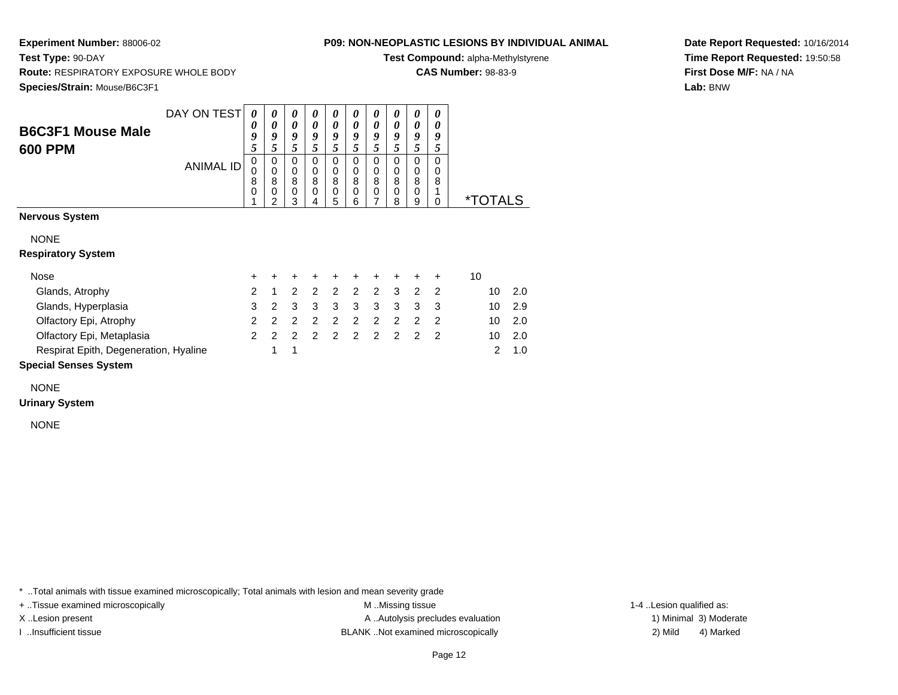**Test Type:** 90-DAY

## **P09: NON-NEOPLASTIC LESIONS BY INDIVIDUAL ANIMAL**

**Test Compound:** alpha-Methylstyrene

**CAS Number:** 98-83-9

**Species/Strain:** Mouse/B6C3F1

**Route:** RESPIRATORY EXPOSURE WHOLE BODY

**Date Report Requested:** 10/16/2014**Time Report Requested:** 19:50:58**First Dose M/F:** NA / NA**Lab:** BNW

|                                            | DAY ON TEST      | 0                | 0                          | 0                | 0                | 0                                    | 0                                 | 0                          | 0                                 | 0                          | 0                       |                       |     |
|--------------------------------------------|------------------|------------------|----------------------------|------------------|------------------|--------------------------------------|-----------------------------------|----------------------------|-----------------------------------|----------------------------|-------------------------|-----------------------|-----|
| <b>B6C3F1 Mouse Male</b><br><b>600 PPM</b> |                  | 0<br>9<br>5      | 0<br>9<br>5                | 0<br>9<br>5      | 0<br>9<br>5      | 0<br>9<br>5                          | 0<br>9<br>5                       | 0<br>9<br>5                | 0<br>9<br>5                       | 0<br>9<br>5                | 0<br>9<br>5             |                       |     |
|                                            | <b>ANIMAL ID</b> | 0<br>0<br>8<br>0 | 0<br>$\mathbf 0$<br>8<br>0 | 0<br>0<br>8<br>0 | 0<br>0<br>8<br>0 | $\mathbf 0$<br>$\mathbf 0$<br>8<br>0 | $\Omega$<br>$\mathbf 0$<br>8<br>0 | 0<br>$\mathbf 0$<br>8<br>0 | $\Omega$<br>0<br>8<br>$\mathbf 0$ | 0<br>$\mathbf 0$<br>8<br>0 | $\Omega$<br>0<br>8<br>1 |                       |     |
| <b>Nervous System</b>                      |                  | 1                | $\mathfrak{p}$             | 3                | 4                | 5                                    | 6                                 | 7                          | 8                                 | 9                          | $\Omega$                | <i><b>*TOTALS</b></i> |     |
|                                            |                  |                  |                            |                  |                  |                                      |                                   |                            |                                   |                            |                         |                       |     |
| <b>NONE</b>                                |                  |                  |                            |                  |                  |                                      |                                   |                            |                                   |                            |                         |                       |     |
| <b>Respiratory System</b>                  |                  |                  |                            |                  |                  |                                      |                                   |                            |                                   |                            |                         |                       |     |
| Nose                                       |                  | $\pm$            | +                          | ٠                | ÷                | ÷                                    | $\ddot{}$                         | $\ddot{}$                  | ÷                                 | ÷                          | $\ddot{}$               | 10                    |     |
| Glands, Atrophy                            |                  | $\overline{2}$   | 1                          | 2                | $\mathcal{P}$    | 2                                    | 2                                 | 2                          | 3                                 | 2                          | $\overline{2}$          | 10                    | 2.0 |
| Glands, Hyperplasia                        |                  | 3                | $\overline{2}$             | 3                | 3                | 3                                    | 3                                 | 3                          | 3                                 | 3                          | 3                       | 10                    | 2.9 |
| Olfactory Epi, Atrophy                     |                  | $\overline{2}$   | $\mathcal{P}$              | 2                | 2                | 2                                    | 2                                 | 2                          | 2                                 | 2                          | $\overline{2}$          | 10                    | 2.0 |
| Olfactory Epi, Metaplasia                  |                  | $\mathcal{P}$    | 2                          | 2                | 2                | $\overline{2}$                       | 2                                 | 2                          | 2                                 | 2                          | $\overline{2}$          | 10                    | 2.0 |
| Respirat Epith, Degeneration, Hyaline      |                  |                  | 1                          | 1                |                  |                                      |                                   |                            |                                   |                            |                         | 2                     | 1.0 |
| <b>Special Senses System</b>               |                  |                  |                            |                  |                  |                                      |                                   |                            |                                   |                            |                         |                       |     |

NONE

**Urinary System**

NONE

\* ..Total animals with tissue examined microscopically; Total animals with lesion and mean severity grade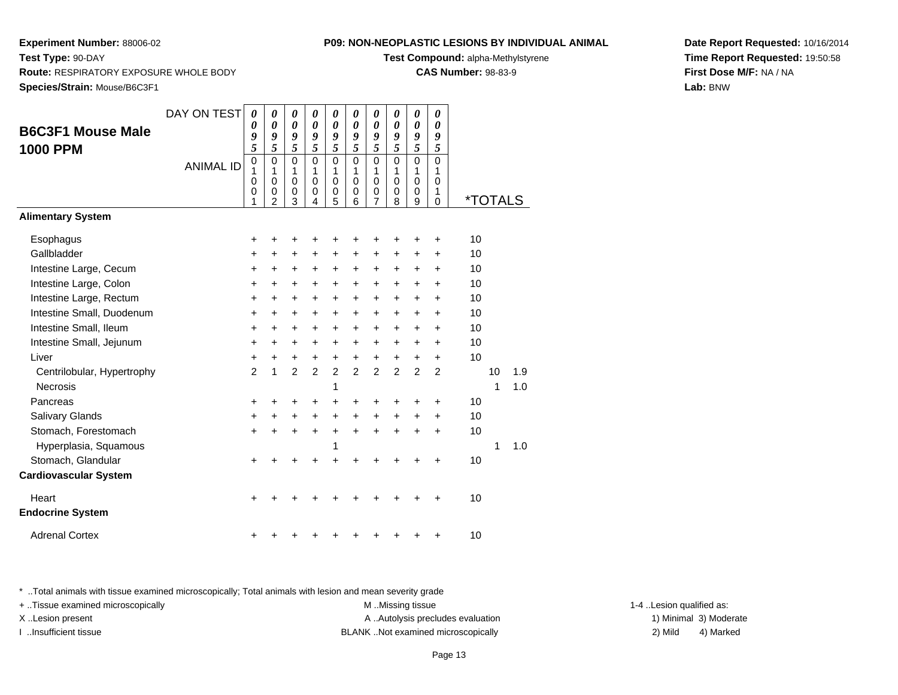**Test Type:** 90-DAY

#### **P09: NON-NEOPLASTIC LESIONS BY INDIVIDUAL ANIMAL**

**Test Compound:** alpha-Methylstyrene

**CAS Number:** 98-83-9

**Date Report Requested:** 10/16/2014**Time Report Requested:** 19:50:58**First Dose M/F:** NA / NA**Lab:** BNW

**Route:** RESPIRATORY EXPOSURE WHOLE BODY

**Species/Strain:** Mouse/B6C3F1

|                              | DAY ON TEST      | $\boldsymbol{\theta}$ | $\boldsymbol{\theta}$      | $\boldsymbol{\theta}$      | $\boldsymbol{\theta}$       | 0                | 0                          | $\boldsymbol{\theta}$ | 0              | 0                | 0              |    |                       |     |
|------------------------------|------------------|-----------------------|----------------------------|----------------------------|-----------------------------|------------------|----------------------------|-----------------------|----------------|------------------|----------------|----|-----------------------|-----|
| <b>B6C3F1 Mouse Male</b>     |                  | 0<br>9                | $\boldsymbol{\theta}$<br>9 | $\boldsymbol{\theta}$<br>9 | 0<br>9                      | 0<br>9           | $\boldsymbol{\theta}$<br>9 | $\theta$<br>9         | 0<br>9         | 0<br>9           | 0<br>9         |    |                       |     |
| <b>1000 PPM</b>              |                  | 5                     | 5                          | 5                          | 5                           | 5                | 5                          | 5                     | 5              | 5                | 5              |    |                       |     |
|                              | <b>ANIMAL ID</b> | 0                     | $\mathbf 0$                | $\mathbf 0$                | $\mathbf 0$                 | $\mathbf 0$      | $\mathbf 0$                | $\mathbf 0$           | $\mathbf 0$    | 0                | $\Omega$       |    |                       |     |
|                              |                  | 1<br>0                | 1<br>$\mathbf 0$           | 1<br>$\mathbf 0$           | $\mathbf{1}$<br>$\mathbf 0$ | 1<br>$\mathbf 0$ | 1<br>$\Omega$              | 1<br>$\mathbf 0$      | 1<br>0         | 1<br>$\mathbf 0$ | 1<br>0         |    |                       |     |
|                              |                  | 0                     | 0                          | 0                          | 0                           | 0                | $\Omega$                   | 0                     | 0              | 0                | 1              |    |                       |     |
|                              |                  | 1                     | 2                          | 3                          | $\overline{4}$              | 5                | 6                          | $\overline{7}$        | 8              | 9                | $\Omega$       |    | <i><b>*TOTALS</b></i> |     |
| <b>Alimentary System</b>     |                  |                       |                            |                            |                             |                  |                            |                       |                |                  |                |    |                       |     |
| Esophagus                    |                  | +                     | +                          | +                          | +                           | +                | ٠                          | ٠                     | ٠              | ٠                | ٠              | 10 |                       |     |
| Gallbladder                  |                  | +                     | +                          | $\ddot{}$                  | +                           | $\ddot{}$        | +                          | $\ddot{}$             | +              | +                | $\ddot{}$      | 10 |                       |     |
| Intestine Large, Cecum       |                  | +                     | +                          | +                          | +                           | +                | +                          | +                     | +              | +                | +              | 10 |                       |     |
| Intestine Large, Colon       |                  | $\ddot{}$             | +                          | $\ddot{}$                  | $\ddot{}$                   | +                | +                          | $\ddot{}$             | +              | +                | $\ddot{}$      | 10 |                       |     |
| Intestine Large, Rectum      |                  | $\ddot{}$             | $\ddot{}$                  | $\ddot{}$                  | $\ddot{}$                   | $\ddot{}$        | $\ddot{}$                  | $\ddot{}$             | $\ddot{}$      | $\ddot{}$        | $\ddot{}$      | 10 |                       |     |
| Intestine Small, Duodenum    |                  | +                     | +                          | $\ddot{}$                  | $\ddot{}$                   | +                | +                          | +                     | +              | +                | +              | 10 |                       |     |
| Intestine Small, Ileum       |                  | $\ddot{}$             | $\ddot{}$                  | $\ddot{}$                  | $\ddot{}$                   | $\ddot{}$        | $\ddot{}$                  | $\ddot{}$             | $\ddot{}$      | $\ddot{}$        | $\ddot{}$      | 10 |                       |     |
| Intestine Small, Jejunum     |                  | +                     | +                          | +                          | $\ddot{}$                   | $\ddot{}$        | +                          | $\ddot{}$             | $\ddot{}$      | +                | $\ddot{}$      | 10 |                       |     |
| Liver                        |                  | +                     | $\ddot{}$                  | $\ddot{}$                  | $\ddot{}$                   | $\ddot{}$        | $\ddot{}$                  | $\ddot{}$             | $\ddot{}$      | $\ddot{}$        | $\ddot{}$      | 10 |                       |     |
| Centrilobular, Hypertrophy   |                  | $\overline{2}$        | 1                          | $\overline{2}$             | $\overline{2}$              | $\overline{2}$   | $\overline{2}$             | $\overline{2}$        | $\overline{2}$ | $\overline{2}$   | $\overline{2}$ |    | 10                    | 1.9 |
| <b>Necrosis</b>              |                  |                       |                            |                            |                             | 1                |                            |                       |                |                  |                |    | 1                     | 1.0 |
| Pancreas                     |                  | +                     | +                          | +                          | +                           | +                | +                          | +                     | +              | +                | +              | 10 |                       |     |
| Salivary Glands              |                  | $\ddot{}$             | +                          | $\ddot{}$                  | $\ddot{}$                   | +                | $\ddot{}$                  | $\ddot{}$             | $\ddot{}$      | +                | $\ddot{}$      | 10 |                       |     |
| Stomach, Forestomach         |                  | +                     |                            |                            | +                           | $\ddot{}$        | $\ddot{}$                  | $\ddot{}$             | $\ddot{}$      | +                | $\ddot{}$      | 10 |                       |     |
| Hyperplasia, Squamous        |                  |                       |                            |                            |                             | 1                |                            |                       |                |                  |                |    | 1                     | 1.0 |
| Stomach, Glandular           |                  | ٠                     |                            |                            |                             |                  |                            |                       |                |                  |                | 10 |                       |     |
| <b>Cardiovascular System</b> |                  |                       |                            |                            |                             |                  |                            |                       |                |                  |                |    |                       |     |
| Heart                        |                  | +                     |                            |                            |                             |                  |                            |                       |                |                  |                | 10 |                       |     |
| <b>Endocrine System</b>      |                  |                       |                            |                            |                             |                  |                            |                       |                |                  |                |    |                       |     |
| <b>Adrenal Cortex</b>        |                  | ٠                     |                            |                            |                             |                  |                            |                       |                |                  | ٠              | 10 |                       |     |

\* ..Total animals with tissue examined microscopically; Total animals with lesion and mean severity grade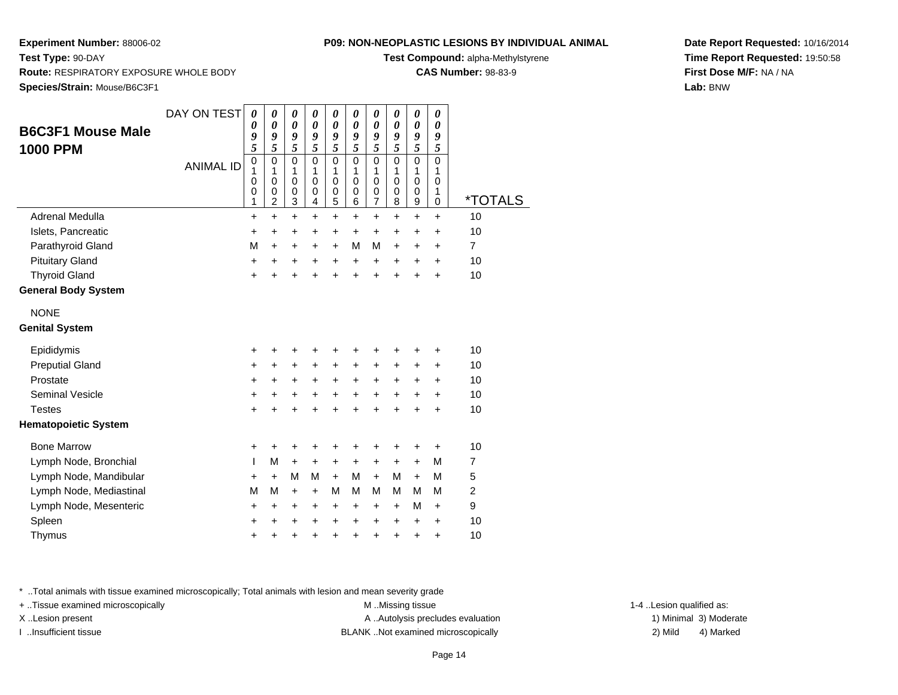**Species/Strain:** Mouse/B6C3F1

**Route:** RESPIRATORY EXPOSURE WHOLE BODY

**Test Type:** 90-DAY

### **P09: NON-NEOPLASTIC LESIONS BY INDIVIDUAL ANIMAL**

**Test Compound:** alpha-Methylstyrene

**CAS Number:** 98-83-9

**Date Report Requested:** 10/16/2014**Time Report Requested:** 19:50:58**First Dose M/F:** NA / NA**Lab:** BNW

| <b>B6C3F1 Mouse Male</b><br>1000 PPM | DAY ON TEST<br><b>ANIMAL ID</b> | 0<br>0<br>9<br>5<br>$\pmb{0}$<br>1<br>0<br>0<br>1 | 0<br>0<br>9<br>5<br>$\mathbf 0$<br>1<br>0<br>$\boldsymbol{0}$<br>$\overline{c}$ | 0<br>0<br>9<br>5<br>$\mathbf 0$<br>1<br>0<br>$\boldsymbol{0}$<br>3 | 0<br>0<br>9<br>5<br>$\mathsf 0$<br>1<br>0<br>$\boldsymbol{0}$<br>4 | 0<br>0<br>9<br>5<br>$\mathsf 0$<br>1<br>0<br>$\boldsymbol{0}$<br>5 | 0<br>0<br>9<br>5<br>$\mathsf 0$<br>1<br>0<br>0<br>6 | 0<br>$\boldsymbol{\theta}$<br>9<br>5<br>$\mathsf 0$<br>1<br>0<br>$\boldsymbol{0}$<br>$\overline{7}$ | 0<br>0<br>9<br>5<br>0<br>1<br>0<br>0<br>8 | 0<br>$\pmb{\theta}$<br>9<br>5<br>$\mathsf 0$<br>1<br>0<br>$\boldsymbol{0}$<br>$\boldsymbol{9}$ | 0<br>0<br>9<br>5<br>$\mathbf 0$<br>1<br>0<br>1<br>0 | <i><b>*TOTALS</b></i> |
|--------------------------------------|---------------------------------|---------------------------------------------------|---------------------------------------------------------------------------------|--------------------------------------------------------------------|--------------------------------------------------------------------|--------------------------------------------------------------------|-----------------------------------------------------|-----------------------------------------------------------------------------------------------------|-------------------------------------------|------------------------------------------------------------------------------------------------|-----------------------------------------------------|-----------------------|
| Adrenal Medulla                      |                                 | +                                                 | +                                                                               | +                                                                  | +                                                                  | +                                                                  | +                                                   | +                                                                                                   | +                                         | +                                                                                              | +                                                   | 10                    |
| Islets, Pancreatic                   |                                 | +                                                 | $\ddot{}$                                                                       | +                                                                  | $\ddot{}$                                                          | +                                                                  | $\ddot{}$                                           | +                                                                                                   | $\ddot{}$                                 | +                                                                                              | $\ddot{}$                                           | 10                    |
| Parathyroid Gland                    |                                 | M                                                 | $\ddot{}$                                                                       | +                                                                  | +                                                                  | +                                                                  | M                                                   | М                                                                                                   | +                                         | +                                                                                              | +                                                   | $\overline{7}$        |
| <b>Pituitary Gland</b>               |                                 | +                                                 | +                                                                               | +                                                                  | +                                                                  | +                                                                  | +                                                   | +                                                                                                   | +                                         | +                                                                                              | +                                                   | 10                    |
| <b>Thyroid Gland</b>                 |                                 | +                                                 | +                                                                               | $\ddot{}$                                                          | +                                                                  | $\ddot{}$                                                          | $\ddot{}$                                           | $\ddot{}$                                                                                           | $\ddot{}$                                 | +                                                                                              | $\ddot{}$                                           | 10                    |
| <b>General Body System</b>           |                                 |                                                   |                                                                                 |                                                                    |                                                                    |                                                                    |                                                     |                                                                                                     |                                           |                                                                                                |                                                     |                       |
| <b>NONE</b>                          |                                 |                                                   |                                                                                 |                                                                    |                                                                    |                                                                    |                                                     |                                                                                                     |                                           |                                                                                                |                                                     |                       |
| <b>Genital System</b>                |                                 |                                                   |                                                                                 |                                                                    |                                                                    |                                                                    |                                                     |                                                                                                     |                                           |                                                                                                |                                                     |                       |
| Epididymis                           |                                 | +                                                 |                                                                                 | +                                                                  |                                                                    | +                                                                  |                                                     | +                                                                                                   |                                           | +                                                                                              | +                                                   | 10                    |
| <b>Preputial Gland</b>               |                                 | +                                                 | +                                                                               | +                                                                  | +                                                                  | +                                                                  | +                                                   | +                                                                                                   | +                                         | +                                                                                              | +                                                   | 10                    |
| Prostate                             |                                 | +                                                 | +                                                                               | +                                                                  | +                                                                  | +                                                                  | +                                                   | +                                                                                                   | +                                         | +                                                                                              | $\ddot{}$                                           | 10                    |
| Seminal Vesicle                      |                                 | +                                                 | +                                                                               | +                                                                  | +                                                                  | +                                                                  | +                                                   | +                                                                                                   | +                                         | +                                                                                              | +                                                   | 10                    |
| <b>Testes</b>                        |                                 | $\ddot{}$                                         |                                                                                 | ÷                                                                  |                                                                    | Ŧ.                                                                 |                                                     | ÷                                                                                                   |                                           | $\ddot{}$                                                                                      | $\ddot{}$                                           | 10                    |
| <b>Hematopoietic System</b>          |                                 |                                                   |                                                                                 |                                                                    |                                                                    |                                                                    |                                                     |                                                                                                     |                                           |                                                                                                |                                                     |                       |
| <b>Bone Marrow</b>                   |                                 | +                                                 | +                                                                               | +                                                                  | +                                                                  | +                                                                  | +                                                   | +                                                                                                   | +                                         | +                                                                                              | +                                                   | 10                    |
| Lymph Node, Bronchial                |                                 | T                                                 | M                                                                               | $\ddot{}$                                                          | $\ddot{}$                                                          | $\ddot{}$                                                          | $\ddot{}$                                           | $\ddot{}$                                                                                           | $\ddot{}$                                 | $\ddot{}$                                                                                      | M                                                   | $\overline{7}$        |
| Lymph Node, Mandibular               |                                 | +                                                 | +                                                                               | M                                                                  | M                                                                  | $+$                                                                | M                                                   | $+$                                                                                                 | M                                         | $+$                                                                                            | M                                                   | 5                     |
| Lymph Node, Mediastinal              |                                 | M                                                 | M                                                                               | +                                                                  | $\ddot{}$                                                          | M                                                                  | м                                                   | M                                                                                                   | М                                         | M                                                                                              | M                                                   | $\overline{c}$        |
| Lymph Node, Mesenteric               |                                 | +                                                 | +                                                                               | $\ddot{}$                                                          | +                                                                  | $\ddot{}$                                                          | +                                                   | $\ddot{}$                                                                                           | +                                         | M                                                                                              | +                                                   | 9                     |
| Spleen                               |                                 | +                                                 |                                                                                 | +                                                                  | +                                                                  | +                                                                  | +                                                   | +                                                                                                   | +                                         | +                                                                                              | +                                                   | 10                    |
| Thymus                               |                                 | +                                                 | +                                                                               | +                                                                  | +                                                                  | +                                                                  | +                                                   | +                                                                                                   | +                                         | +                                                                                              | $\ddot{}$                                           | 10                    |
|                                      |                                 |                                                   |                                                                                 |                                                                    |                                                                    |                                                                    |                                                     |                                                                                                     |                                           |                                                                                                |                                                     |                       |

\* ..Total animals with tissue examined microscopically; Total animals with lesion and mean severity grade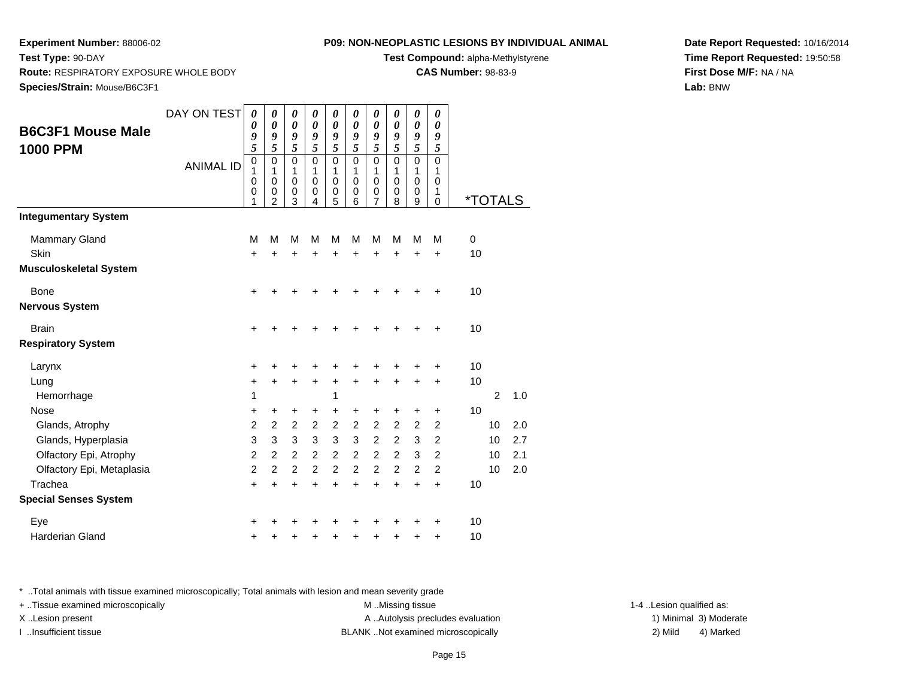**Route:** RESPIRATORY EXPOSURE WHOLE BODY

**Test Type:** 90-DAY

#### **P09: NON-NEOPLASTIC LESIONS BY INDIVIDUAL ANIMAL**

**Test Compound:** alpha-Methylstyrene

**CAS Number:** 98-83-9

**Date Report Requested:** 10/16/2014**Time Report Requested:** 19:50:58**First Dose M/F:** NA / NA**Lab:** BNW

| Species/Strain: Mouse/B6C3F1                                     |                  |                                                               |                                                              |                                                               |                                                                 |                                                               |                                                               |                                                      |                                                      |                                                      |                                                    |                   |                       |                   |
|------------------------------------------------------------------|------------------|---------------------------------------------------------------|--------------------------------------------------------------|---------------------------------------------------------------|-----------------------------------------------------------------|---------------------------------------------------------------|---------------------------------------------------------------|------------------------------------------------------|------------------------------------------------------|------------------------------------------------------|----------------------------------------------------|-------------------|-----------------------|-------------------|
| <b>B6C3F1 Mouse Male</b><br><b>1000 PPM</b>                      | DAY ON TEST      | $\boldsymbol{\theta}$<br>$\boldsymbol{\theta}$<br>9<br>5      | 0<br>$\boldsymbol{\theta}$<br>9<br>5                         | 0<br>$\boldsymbol{\theta}$<br>9<br>5                          | 0<br>$\boldsymbol{\theta}$<br>9<br>5                            | 0<br>$\boldsymbol{\theta}$<br>9<br>5                          | 0<br>$\boldsymbol{\theta}$<br>9<br>5                          | 0<br>$\boldsymbol{\theta}$<br>9<br>$\sqrt{5}$        | 0<br>$\boldsymbol{\theta}$<br>9<br>5                 | $\pmb{\theta}$<br>$\boldsymbol{\theta}$<br>9<br>5    | 0<br>$\boldsymbol{\theta}$<br>9<br>5               |                   |                       |                   |
|                                                                  | <b>ANIMAL ID</b> | $\mathbf 0$<br>1<br>0<br>$\boldsymbol{0}$<br>1                | $\mathbf 0$<br>1<br>$\pmb{0}$<br>$\pmb{0}$<br>$\overline{2}$ | $\mathbf 0$<br>1<br>$\pmb{0}$<br>$\boldsymbol{0}$<br>3        | $\mathbf 0$<br>1<br>$\mathbf 0$<br>$\pmb{0}$<br>4               | $\mathbf 0$<br>1<br>$\pmb{0}$<br>$\pmb{0}$<br>5               | $\mathbf 0$<br>1<br>$\mathbf 0$<br>0<br>6                     | $\mathbf 0$<br>1<br>$\mathbf 0$<br>$\pmb{0}$<br>7    | $\mathbf 0$<br>1<br>$\mathbf 0$<br>$\pmb{0}$<br>8    | $\mathbf 0$<br>$\mathbf{1}$<br>$\mathbf 0$<br>0<br>9 | $\mathbf 0$<br>1<br>0<br>1<br>$\Omega$             |                   | <i><b>*TOTALS</b></i> |                   |
| <b>Integumentary System</b>                                      |                  |                                                               |                                                              |                                                               |                                                                 |                                                               |                                                               |                                                      |                                                      |                                                      |                                                    |                   |                       |                   |
| Mammary Gland<br><b>Skin</b>                                     |                  | M<br>$\ddot{}$                                                | M<br>$\ddot{}$                                               | M<br>$\ddot{}$                                                | M<br>$\ddot{}$                                                  | M<br>$\ddot{}$                                                | M<br>$\ddot{}$                                                | M<br>$\ddot{}$                                       | M<br>$\ddot{}$                                       | M<br>$\ddot{}$                                       | M<br>$\ddot{}$                                     | $\mathbf 0$<br>10 |                       |                   |
| <b>Musculoskeletal System</b>                                    |                  |                                                               |                                                              |                                                               |                                                                 |                                                               |                                                               |                                                      |                                                      |                                                      |                                                    |                   |                       |                   |
| Bone<br><b>Nervous System</b>                                    |                  | $\ddot{}$                                                     |                                                              |                                                               |                                                                 |                                                               |                                                               |                                                      |                                                      |                                                      | +                                                  | 10                |                       |                   |
| <b>Brain</b><br><b>Respiratory System</b>                        |                  | $\ddot{}$                                                     |                                                              |                                                               |                                                                 |                                                               |                                                               |                                                      |                                                      |                                                      | +                                                  | 10                |                       |                   |
| Larynx                                                           |                  | +                                                             | +                                                            | +                                                             |                                                                 |                                                               |                                                               |                                                      |                                                      |                                                      | ٠                                                  | 10                |                       |                   |
| Lung<br>Hemorrhage                                               |                  | $\ddot{}$<br>1                                                | $\ddot{}$                                                    | $\ddot{}$                                                     | $\ddot{}$                                                       | $\ddot{}$<br>1                                                | $\ddot{}$                                                     | $\ddot{}$                                            | $\ddot{}$                                            | $\ddot{}$                                            | $\ddot{}$                                          | 10                | 2                     | 1.0               |
| <b>Nose</b>                                                      |                  | +                                                             | +                                                            | +                                                             | +                                                               | $\ddot{}$                                                     | $\ddot{}$                                                     | +                                                    | +                                                    | +                                                    | +                                                  | 10                |                       |                   |
| Glands, Atrophy<br>Glands, Hyperplasia<br>Olfactory Epi, Atrophy |                  | $\overline{c}$<br>$\ensuremath{\mathsf{3}}$<br>$\overline{c}$ | $\overline{c}$<br>$\mathfrak{S}$<br>$\overline{2}$           | $\overline{c}$<br>$\ensuremath{\mathsf{3}}$<br>$\overline{2}$ | $\boldsymbol{2}$<br>$\ensuremath{\mathsf{3}}$<br>$\overline{c}$ | $\overline{c}$<br>$\ensuremath{\mathsf{3}}$<br>$\overline{2}$ | $\overline{c}$<br>$\ensuremath{\mathsf{3}}$<br>$\overline{2}$ | $\overline{c}$<br>$\boldsymbol{2}$<br>$\overline{2}$ | $\overline{2}$<br>$\boldsymbol{2}$<br>$\overline{2}$ | $\overline{c}$<br>$\ensuremath{\mathsf{3}}$<br>3     | $\overline{c}$<br>$\overline{c}$<br>$\overline{2}$ |                   | 10<br>10<br>10        | 2.0<br>2.7<br>2.1 |
| Olfactory Epi, Metaplasia                                        |                  | $\overline{2}$                                                | $\overline{2}$                                               | $\overline{c}$                                                | $\overline{2}$                                                  | $\overline{2}$                                                | $\overline{2}$                                                | $\overline{2}$                                       | $\overline{2}$                                       | $\overline{2}$                                       | $\overline{2}$                                     |                   | 10                    | 2.0               |
| Trachea<br><b>Special Senses System</b>                          |                  | $\ddot{}$                                                     | $\ddot{}$                                                    | $\ddot{}$                                                     | $\ddot{}$                                                       | $\ddot{}$                                                     | $\ddot{}$                                                     | $\ddot{}$                                            | $\ddot{}$                                            | $\ddot{}$                                            | $\ddot{}$                                          | 10                |                       |                   |
| Eye<br><b>Harderian Gland</b>                                    |                  | +<br>+                                                        |                                                              |                                                               |                                                                 |                                                               |                                                               |                                                      |                                                      | +                                                    | +<br>$\ddot{}$                                     | 10<br>10          |                       |                   |

\* ..Total animals with tissue examined microscopically; Total animals with lesion and mean severity grade

+ ..Tissue examined microscopically examined microscopically examined as:  $M$  ..Missing tissue 1-4 ..Lesion qualified as:

X..Lesion present **A ..Autolysis precludes evaluation** A ..Autolysis precludes evaluation 1) Minimal 3) Moderate I ..Insufficient tissue BLANK ..Not examined microscopically 2) Mild 4) Marked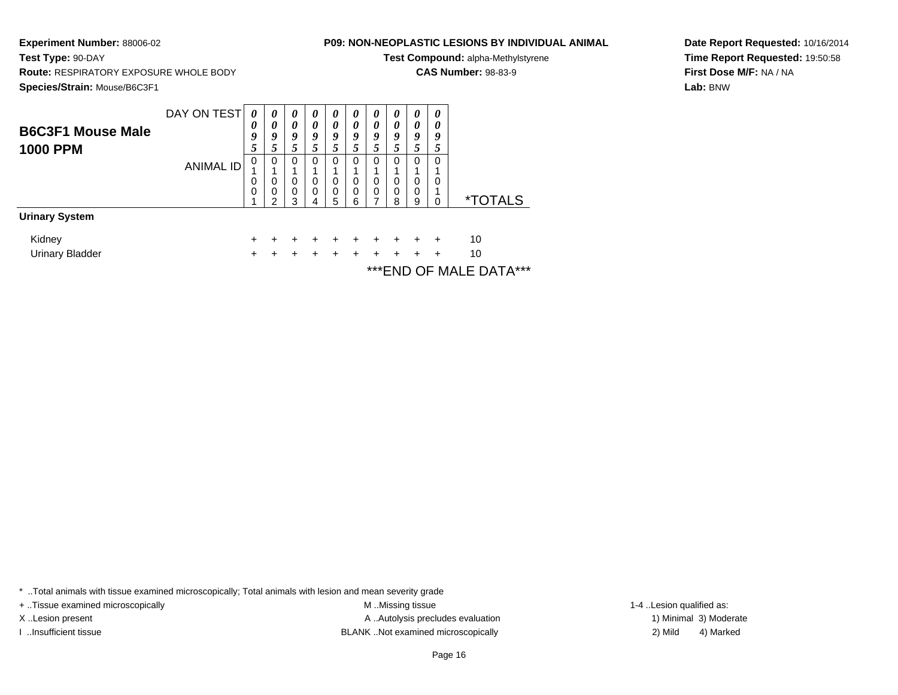**Experiment Number:** 88006-02**Test Type:** 90-DAY

**Route:** RESPIRATORY EXPOSURE WHOLE BODY

# **P09: NON-NEOPLASTIC LESIONS BY INDIVIDUAL ANIMAL**

**Test Compound:** alpha-Methylstyrene

**CAS Number:** 98-83-9

**Date Report Requested:** 10/16/2014**Time Report Requested:** 19:50:58**First Dose M/F:** NA / NA**Lab:** BNW

**Species/Strain:** Mouse/B6C3F1DAY ON TEST**B6C3F1 Mouse Male1000 PPM**ANIMAL ID*0 0 9 5* 0 1 0 0 1*0 0 9 5* 0 1 0 0 2*0 0 9 5* 0 1 0 0 3*0 0 9 5* 0 1 0 0 4*0 0 9 5* 0 1 0 0 5*0 0 9 5* 0 1 0 0 6*0 0 9 5* 0 1 0 0 7*0 0 9 5* 0 1 0 0 8*0 0 9 5* 0 1 0 0 9*0 0 9 5* 0 1 0 1 $\overline{0}$ 0 \*TOTALS**Urinary System**Kidney <sup>+</sup> <sup>+</sup> <sup>+</sup> <sup>+</sup> <sup>+</sup> <sup>+</sup> <sup>+</sup> <sup>+</sup> <sup>+</sup> + 10 Urinary Bladder $\mathsf{r}$  + <sup>+</sup> <sup>+</sup> <sup>+</sup> <sup>+</sup> <sup>+</sup> <sup>+</sup> <sup>+</sup> <sup>+</sup> + 10

\*\*\*END OF MALE DATA\*\*\*

\* ..Total animals with tissue examined microscopically; Total animals with lesion and mean severity grade

+ ..Tissue examined microscopically examined microscopically examined as: M ..Missing tissue 1-4 ..Lesion qualified as:

X..Lesion present **A ..**Autolysis precludes evaluation A ..Autolysis precludes evaluation 1) Minimal 3) Moderate I ..Insufficient tissue BLANK ..Not examined microscopically 2) Mild 4) Marked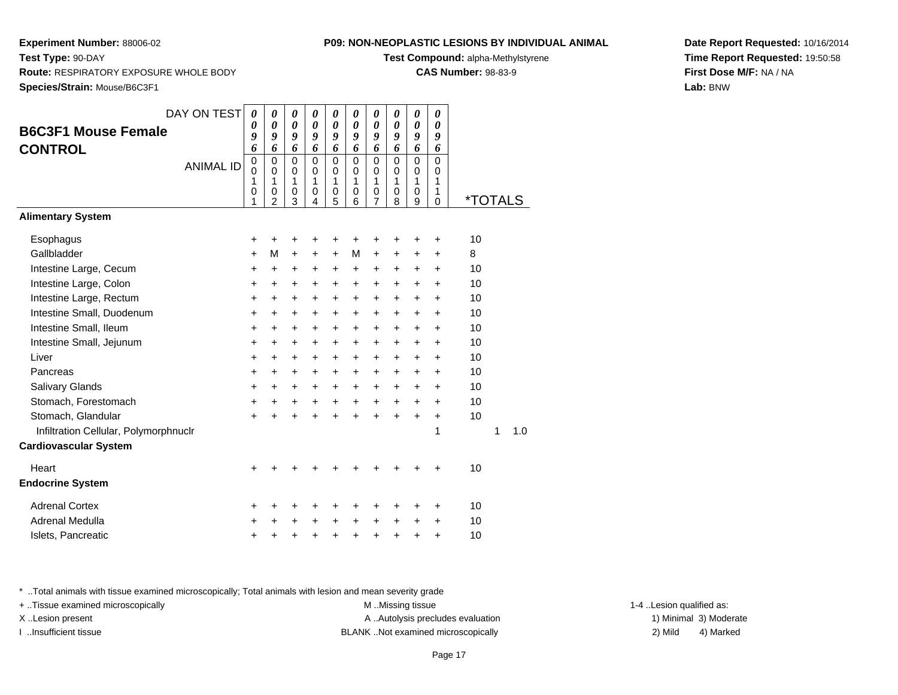**Route:** RESPIRATORY EXPOSURE WHOLE BODY

**Test Type:** 90-DAY

#### **P09: NON-NEOPLASTIC LESIONS BY INDIVIDUAL ANIMAL**

**Test Compound:** alpha-Methylstyrene

**CAS Number:** 98-83-9

**Date Report Requested:** 10/16/2014**Time Report Requested:** 19:50:58**First Dose M/F:** NA / NA**Lab:** BNW

**Species/Strain:** Mouse/B6C3F1DAY ON TEST**B6C3F1 Mouse FemaleCONTROL**ANIMAL ID*0 0 9 6* 0 0 1 0 1*0 0 9 6* 0 0 1 0 2*0 0 9 6* 0 0 1 0 3*0 0 9 6* 0 0 1 0 4*0 0 9 6* 0 0 1 0 5*0 0 9 6* 0 0 1 0 6*0 0 9 6* 0 0 1 0 7*0 0 9 6* 0 0 1 0 8*0 0 9 6* 0 0 1 0 9*0 0 9 6* 0 0 1 1 $\overline{0}$ 0 \*TOTALS**Alimentary SystemEsophagus**  $\mathsf{S}$  + <sup>+</sup> <sup>+</sup> <sup>+</sup> <sup>+</sup> <sup>+</sup> <sup>+</sup> <sup>+</sup> <sup>+</sup> + 10 Gallbladderr + <sup>M</sup> <sup>+</sup> <sup>+</sup> <sup>+</sup> <sup>M</sup> <sup>+</sup> <sup>+</sup> <sup>+</sup> + 8 Intestine Large, Cecum <sup>+</sup> <sup>+</sup> <sup>+</sup> <sup>+</sup> <sup>+</sup> <sup>+</sup> <sup>+</sup> <sup>+</sup> <sup>+</sup> + 10 Intestine Large, Colon $\mathsf{n}$  + <sup>+</sup> <sup>+</sup> <sup>+</sup> <sup>+</sup> <sup>+</sup> <sup>+</sup> <sup>+</sup> <sup>+</sup> + 10 Intestine Large, Rectum <sup>+</sup> <sup>+</sup> <sup>+</sup> <sup>+</sup> <sup>+</sup> <sup>+</sup> <sup>+</sup> <sup>+</sup> <sup>+</sup> + 10 Intestine Small, Duodenum <sup>+</sup> <sup>+</sup> <sup>+</sup> <sup>+</sup> <sup>+</sup> <sup>+</sup> <sup>+</sup> <sup>+</sup> <sup>+</sup> + 10 Intestine Small, Ileum <sup>+</sup> <sup>+</sup> <sup>+</sup> <sup>+</sup> <sup>+</sup> <sup>+</sup> <sup>+</sup> <sup>+</sup> <sup>+</sup> + 10 Intestine Small, Jejunum <sup>+</sup> <sup>+</sup> <sup>+</sup> <sup>+</sup> <sup>+</sup> <sup>+</sup> <sup>+</sup> <sup>+</sup> <sup>+</sup> + 10 Liver $\mathsf{r}$  + <sup>+</sup> <sup>+</sup> <sup>+</sup> <sup>+</sup> <sup>+</sup> <sup>+</sup> <sup>+</sup> <sup>+</sup> + 10 Pancreas <sup>+</sup> <sup>+</sup> <sup>+</sup> <sup>+</sup> <sup>+</sup> <sup>+</sup> <sup>+</sup> <sup>+</sup> <sup>+</sup> + 10 Salivary Glands $\sim$   $\sim$   $\sim$   $\sim$   $\sim$   $\sim$  <sup>+</sup> <sup>+</sup> <sup>+</sup> <sup>+</sup> <sup>+</sup> <sup>+</sup> <sup>+</sup> <sup>+</sup> + 10 Stomach, Forestomach $h \rightarrow$  <sup>+</sup> <sup>+</sup> <sup>+</sup> <sup>+</sup> <sup>+</sup> <sup>+</sup> <sup>+</sup> <sup>+</sup> + 10 Stomach, Glandular $\mathsf{r}$  + <sup>+</sup> <sup>+</sup> <sup>+</sup> <sup>+</sup> <sup>+</sup> <sup>+</sup> <sup>+</sup> <sup>+</sup> + 10 Infiltration Cellular, Polymorphnuclr $\mathbf r$  1 <sup>1</sup> 1.0 **Cardiovascular SystemHeart**  $\frac{1}{2}$  <sup>+</sup> <sup>+</sup> <sup>+</sup> <sup>+</sup> <sup>+</sup> <sup>+</sup> <sup>+</sup> <sup>+</sup> + 10 **Endocrine System**Adrenal Cortex $\mathsf{x}$  + <sup>+</sup> <sup>+</sup> <sup>+</sup> <sup>+</sup> <sup>+</sup> <sup>+</sup> <sup>+</sup> <sup>+</sup> + 10 Adrenal Medullaa  $+$  <sup>+</sup> <sup>+</sup> <sup>+</sup> <sup>+</sup> <sup>+</sup> <sup>+</sup> <sup>+</sup> <sup>+</sup> + 10 Islets, Pancreatic $\sim$   $\sim$   $\sim$   $\sim$   $\sim$ <sup>+</sup> <sup>+</sup> <sup>+</sup> <sup>+</sup> <sup>+</sup> <sup>+</sup> <sup>+</sup> <sup>+</sup> + 10

\* ..Total animals with tissue examined microscopically; Total animals with lesion and mean severity grade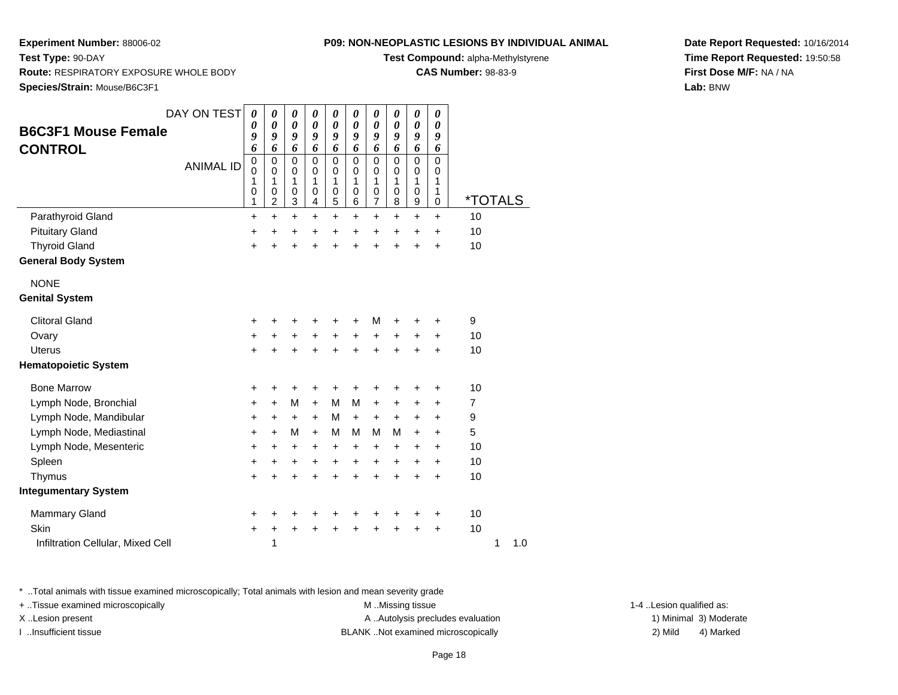#### **P09: NON-NEOPLASTIC LESIONS BY INDIVIDUAL ANIMAL**

**Test Compound:** alpha-Methylstyrene

**CAS Number:** 98-83-9

**Date Report Requested:** 10/16/2014**Time Report Requested:** 19:50:58**First Dose M/F:** NA / NA**Lab:** BNW

**Test Type:** 90-DAY **Route:** RESPIRATORY EXPOSURE WHOLE BODY**Species/Strain:** Mouse/B6C3F1

| <b>B6C3F1 Mouse Female</b><br><b>CONTROL</b> | DAY ON TEST<br><b>ANIMAL ID</b> | $\boldsymbol{\theta}$<br>0<br>9<br>6<br>$\mathbf 0$<br>$\mathbf 0$<br>1<br>0<br>1 | $\boldsymbol{\theta}$<br>$\boldsymbol{\theta}$<br>9<br>6<br>$\mathbf 0$<br>$\mathbf 0$<br>1<br>$\mathbf 0$<br>$\overline{c}$ | 0<br>$\boldsymbol{\theta}$<br>9<br>6<br>$\mathbf 0$<br>0<br>1<br>$\mathbf 0$<br>3 | 0<br>$\boldsymbol{\theta}$<br>9<br>6<br>$\mathbf 0$<br>$\mathbf 0$<br>1<br>$\mathbf 0$<br>4 | 0<br>$\boldsymbol{\theta}$<br>9<br>6<br>$\mathbf 0$<br>0<br>1<br>0<br>5 | 0<br>$\boldsymbol{\theta}$<br>9<br>6<br>$\mathbf 0$<br>$\mathbf 0$<br>1<br>$\mathbf 0$<br>6 | 0<br>0<br>9<br>6<br>$\mathbf 0$<br>0<br>1<br>0<br>$\overline{7}$ | 0<br>0<br>9<br>6<br>$\mathbf 0$<br>$\mathbf 0$<br>1<br>$\mathbf 0$<br>8 | 0<br>$\boldsymbol{\theta}$<br>9<br>6<br>$\mathbf 0$<br>$\mathbf 0$<br>1<br>0<br>9 | 0<br>$\boldsymbol{\theta}$<br>9<br>6<br>$\mathbf 0$<br>$\Omega$<br>1<br>1<br>$\mathbf 0$ | <i><b>*TOTALS</b></i> |   |     |
|----------------------------------------------|---------------------------------|-----------------------------------------------------------------------------------|------------------------------------------------------------------------------------------------------------------------------|-----------------------------------------------------------------------------------|---------------------------------------------------------------------------------------------|-------------------------------------------------------------------------|---------------------------------------------------------------------------------------------|------------------------------------------------------------------|-------------------------------------------------------------------------|-----------------------------------------------------------------------------------|------------------------------------------------------------------------------------------|-----------------------|---|-----|
| Parathyroid Gland                            |                                 | +                                                                                 | $\ddot{}$                                                                                                                    | $\ddot{}$                                                                         | $\ddot{}$                                                                                   | $\ddot{}$                                                               | $\ddot{}$                                                                                   | +                                                                | +                                                                       | +                                                                                 | +                                                                                        | 10                    |   |     |
| <b>Pituitary Gland</b>                       |                                 | $\ddot{}$                                                                         | $\ddot{}$                                                                                                                    | +                                                                                 | $\ddot{}$                                                                                   | $\ddot{}$                                                               | $\ddot{}$                                                                                   | $\ddot{}$                                                        | $\ddot{}$                                                               | +                                                                                 | $\ddot{}$                                                                                | 10                    |   |     |
| <b>Thyroid Gland</b>                         |                                 | $\ddot{}$                                                                         | $\ddot{}$                                                                                                                    | $\ddot{}$                                                                         | $\ddot{}$                                                                                   | $\ddot{}$                                                               | $\ddot{}$                                                                                   | $\ddot{}$                                                        | $\ddot{}$                                                               | $\ddot{}$                                                                         | $\ddot{}$                                                                                | 10                    |   |     |
| <b>General Body System</b>                   |                                 |                                                                                   |                                                                                                                              |                                                                                   |                                                                                             |                                                                         |                                                                                             |                                                                  |                                                                         |                                                                                   |                                                                                          |                       |   |     |
| <b>NONE</b>                                  |                                 |                                                                                   |                                                                                                                              |                                                                                   |                                                                                             |                                                                         |                                                                                             |                                                                  |                                                                         |                                                                                   |                                                                                          |                       |   |     |
| <b>Genital System</b>                        |                                 |                                                                                   |                                                                                                                              |                                                                                   |                                                                                             |                                                                         |                                                                                             |                                                                  |                                                                         |                                                                                   |                                                                                          |                       |   |     |
| <b>Clitoral Gland</b>                        |                                 | +                                                                                 |                                                                                                                              |                                                                                   |                                                                                             |                                                                         |                                                                                             | M                                                                |                                                                         | +                                                                                 | +                                                                                        | 9                     |   |     |
| Ovary                                        |                                 | +                                                                                 | +                                                                                                                            | $\ddot{}$                                                                         |                                                                                             | $\ddot{}$                                                               | $\ddot{}$                                                                                   | +                                                                | +                                                                       | +                                                                                 | +                                                                                        | 10                    |   |     |
| <b>Uterus</b>                                |                                 | $\ddot{}$                                                                         | $\ddot{}$                                                                                                                    | $\ddot{}$                                                                         |                                                                                             | $\ddot{}$                                                               | $\ddot{}$                                                                                   | $\ddot{}$                                                        | $\ddot{}$                                                               | $\ddot{}$                                                                         | $\ddot{}$                                                                                | 10                    |   |     |
| <b>Hematopoietic System</b>                  |                                 |                                                                                   |                                                                                                                              |                                                                                   |                                                                                             |                                                                         |                                                                                             |                                                                  |                                                                         |                                                                                   |                                                                                          |                       |   |     |
| <b>Bone Marrow</b>                           |                                 | +                                                                                 | +                                                                                                                            | +                                                                                 | +                                                                                           | +                                                                       | +                                                                                           | +                                                                | +                                                                       | +                                                                                 | +                                                                                        | 10                    |   |     |
| Lymph Node, Bronchial                        |                                 | +                                                                                 | $\ddot{}$                                                                                                                    | M                                                                                 | $+$                                                                                         | M                                                                       | м                                                                                           | $\ddot{}$                                                        | +                                                                       | +                                                                                 | $\ddot{}$                                                                                | $\overline{7}$        |   |     |
| Lymph Node, Mandibular                       |                                 | +                                                                                 | $\ddot{}$                                                                                                                    | $\ddot{}$                                                                         | $+$                                                                                         | M                                                                       | $+$                                                                                         | $+$                                                              | $\ddot{}$                                                               | $\ddot{}$                                                                         | +                                                                                        | 9                     |   |     |
| Lymph Node, Mediastinal                      |                                 | +                                                                                 | $\ddot{}$                                                                                                                    | M                                                                                 | $\ddot{}$                                                                                   | М                                                                       | M                                                                                           | M                                                                | M                                                                       | +                                                                                 | +                                                                                        | 5                     |   |     |
| Lymph Node, Mesenteric                       |                                 | +                                                                                 | $\ddot{}$                                                                                                                    | $\ddot{}$                                                                         | $\ddot{}$                                                                                   | +                                                                       | $\ddot{}$                                                                                   | $\pm$                                                            | $\ddot{}$                                                               | +                                                                                 | $\ddot{}$                                                                                | 10                    |   |     |
| Spleen                                       |                                 | $\ddot{}$                                                                         | $\ddot{}$                                                                                                                    | $\ddot{}$                                                                         | $\ddot{}$                                                                                   | $\ddot{}$                                                               | $\ddot{}$                                                                                   | $\ddot{}$                                                        | $\ddot{}$                                                               | +                                                                                 | $\ddot{}$                                                                                | 10                    |   |     |
| Thymus                                       |                                 | $\ddot{}$                                                                         | $\ddot{}$                                                                                                                    | $\ddot{}$                                                                         | $\ddot{}$                                                                                   | $\ddot{}$                                                               | $\ddot{}$                                                                                   | $\ddot{}$                                                        | $\ddot{}$                                                               | $\ddot{}$                                                                         | $\ddot{}$                                                                                | 10                    |   |     |
| <b>Integumentary System</b>                  |                                 |                                                                                   |                                                                                                                              |                                                                                   |                                                                                             |                                                                         |                                                                                             |                                                                  |                                                                         |                                                                                   |                                                                                          |                       |   |     |
| <b>Mammary Gland</b>                         |                                 | +                                                                                 | +                                                                                                                            | +                                                                                 |                                                                                             | +                                                                       | +                                                                                           | +                                                                | +                                                                       | +                                                                                 | +                                                                                        | 10                    |   |     |
| Skin                                         |                                 | $\ddot{}$                                                                         | +                                                                                                                            | $\ddot{}$                                                                         |                                                                                             |                                                                         |                                                                                             | +                                                                |                                                                         | +                                                                                 | $\ddot{}$                                                                                | 10                    |   |     |
| Infiltration Cellular, Mixed Cell            |                                 |                                                                                   | 1                                                                                                                            |                                                                                   |                                                                                             |                                                                         |                                                                                             |                                                                  |                                                                         |                                                                                   |                                                                                          |                       | 1 | 1.0 |

\* ..Total animals with tissue examined microscopically; Total animals with lesion and mean severity grade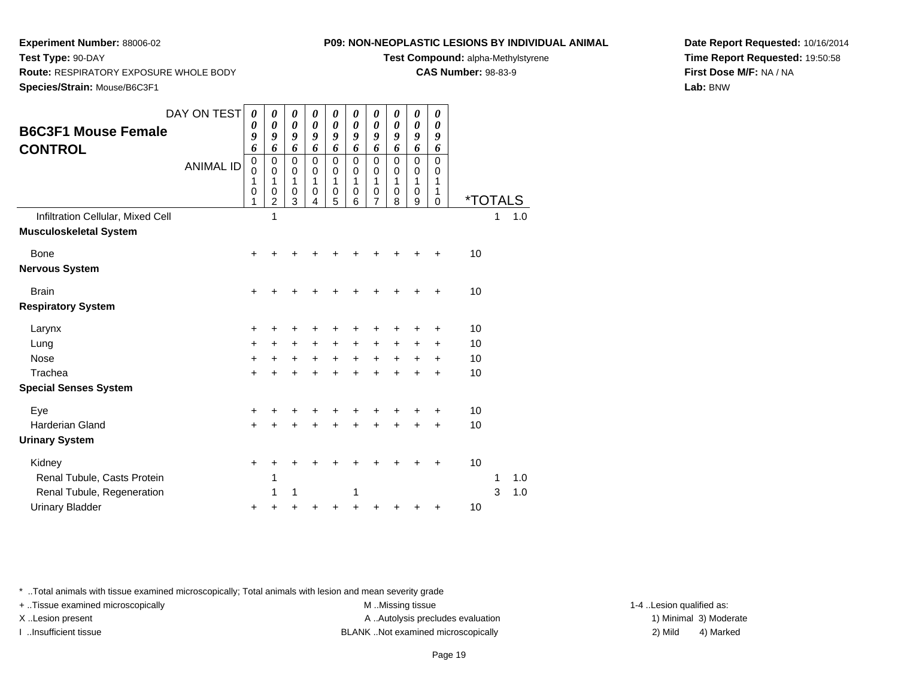**Species/Strain:** Mouse/B6C3F1

**Route:** RESPIRATORY EXPOSURE WHOLE BODY

**Test Type:** 90-DAY

### **P09: NON-NEOPLASTIC LESIONS BY INDIVIDUAL ANIMAL**

**Test Compound:** alpha-Methylstyrene

**CAS Number:** 98-83-9

**Date Report Requested:** 10/16/2014**Time Report Requested:** 19:50:58**First Dose M/F:** NA / NA**Lab:** BNW

| <b>B6C3F1 Mouse Female</b><br><b>CONTROL</b>                       | DAY ON TEST<br><b>ANIMAL ID</b> | 0<br>0<br>9<br>6<br>0<br>0<br>1<br>0<br>1 | 0<br>$\boldsymbol{\theta}$<br>9<br>6<br>0<br>0<br>$\mathbf{1}$<br>0<br>2<br>1 | 0<br>$\boldsymbol{\theta}$<br>9<br>6<br>$\mathbf 0$<br>0<br>1<br>$\mathbf 0$<br>3 | 0<br>$\boldsymbol{\theta}$<br>9<br>6<br>0<br>0<br>1<br>$\mathbf 0$<br>4 | 0<br>$\boldsymbol{\theta}$<br>9<br>6<br>0<br>0<br>1<br>0<br>5 | 0<br>$\pmb{\theta}$<br>$\boldsymbol{g}$<br>6<br>$\pmb{0}$<br>0<br>1<br>$\pmb{0}$<br>6 | 0<br>$\boldsymbol{\theta}$<br>9<br>6<br>0<br>0<br>1<br>0<br>7 | 0<br>$\boldsymbol{\theta}$<br>9<br>6<br>$\mathbf 0$<br>0<br>$\mathbf 1$<br>$\pmb{0}$<br>8 | 0<br>$\boldsymbol{\theta}$<br>9<br>6<br>0<br>0<br>1<br>0<br>9 | 0<br>0<br>9<br>6<br>0<br>0<br>1<br>1<br>$\mathbf 0$ | <i><b>*TOTALS</b></i> | 1 |     |  |
|--------------------------------------------------------------------|---------------------------------|-------------------------------------------|-------------------------------------------------------------------------------|-----------------------------------------------------------------------------------|-------------------------------------------------------------------------|---------------------------------------------------------------|---------------------------------------------------------------------------------------|---------------------------------------------------------------|-------------------------------------------------------------------------------------------|---------------------------------------------------------------|-----------------------------------------------------|-----------------------|---|-----|--|
| Infiltration Cellular, Mixed Cell<br><b>Musculoskeletal System</b> |                                 |                                           |                                                                               |                                                                                   |                                                                         |                                                               |                                                                                       |                                                               |                                                                                           |                                                               |                                                     |                       |   | 1.0 |  |
| Bone<br><b>Nervous System</b>                                      |                                 | +                                         |                                                                               |                                                                                   |                                                                         |                                                               |                                                                                       |                                                               |                                                                                           |                                                               |                                                     | 10                    |   |     |  |
| <b>Brain</b><br><b>Respiratory System</b>                          |                                 | $\ddot{}$                                 |                                                                               |                                                                                   |                                                                         |                                                               |                                                                                       |                                                               |                                                                                           |                                                               | +                                                   | 10                    |   |     |  |
| Larynx                                                             |                                 | +                                         | +                                                                             | +                                                                                 | +                                                                       | +                                                             | +                                                                                     | +                                                             | +                                                                                         | +                                                             | +                                                   | 10                    |   |     |  |
| Lung                                                               |                                 | $\ddot{}$                                 | $\ddot{}$                                                                     | $\ddot{}$                                                                         | $\ddot{}$                                                               | $\ddot{}$                                                     | +                                                                                     | $\ddot{}$                                                     | $\ddot{}$                                                                                 | $\ddot{}$                                                     | $\ddot{}$                                           | 10                    |   |     |  |
| <b>Nose</b>                                                        |                                 | $\ddot{}$                                 | +                                                                             | +                                                                                 | $\ddot{}$                                                               | $+$                                                           | $\ddot{}$                                                                             | $\ddot{}$                                                     | $\ddot{}$                                                                                 | +                                                             | +                                                   | 10                    |   |     |  |
| Trachea                                                            |                                 | +                                         | +                                                                             | +                                                                                 | +                                                                       | +                                                             | +                                                                                     |                                                               | +                                                                                         | +                                                             | $\ddot{}$                                           | 10                    |   |     |  |
| <b>Special Senses System</b>                                       |                                 |                                           |                                                                               |                                                                                   |                                                                         |                                                               |                                                                                       |                                                               |                                                                                           |                                                               |                                                     |                       |   |     |  |
| Eye                                                                |                                 | +                                         | +                                                                             |                                                                                   | +                                                                       |                                                               | +                                                                                     |                                                               | +                                                                                         |                                                               | +                                                   | 10                    |   |     |  |
| <b>Harderian Gland</b>                                             |                                 | $\ddot{}$                                 | +                                                                             | $\ddot{}$                                                                         | $\ddot{}$                                                               | $\ddot{}$                                                     | $\ddot{}$                                                                             | ÷                                                             | $\ddot{}$                                                                                 | $\ddot{}$                                                     | $\ddot{}$                                           | 10                    |   |     |  |
| <b>Urinary System</b>                                              |                                 |                                           |                                                                               |                                                                                   |                                                                         |                                                               |                                                                                       |                                                               |                                                                                           |                                                               |                                                     |                       |   |     |  |
| Kidney                                                             |                                 | +                                         | +                                                                             |                                                                                   |                                                                         |                                                               | ┿                                                                                     |                                                               |                                                                                           |                                                               | +                                                   | 10                    |   |     |  |
| Renal Tubule, Casts Protein                                        |                                 |                                           | 1                                                                             |                                                                                   |                                                                         |                                                               |                                                                                       |                                                               |                                                                                           |                                                               |                                                     |                       | 1 | 1.0 |  |
| Renal Tubule, Regeneration                                         |                                 |                                           | 1                                                                             | 1                                                                                 |                                                                         |                                                               | 1                                                                                     |                                                               |                                                                                           |                                                               |                                                     |                       | 3 | 1.0 |  |
| <b>Urinary Bladder</b>                                             |                                 | +                                         | +                                                                             | +                                                                                 | +                                                                       | ٠                                                             | +                                                                                     |                                                               |                                                                                           |                                                               | +                                                   | 10                    |   |     |  |

\* ..Total animals with tissue examined microscopically; Total animals with lesion and mean severity grade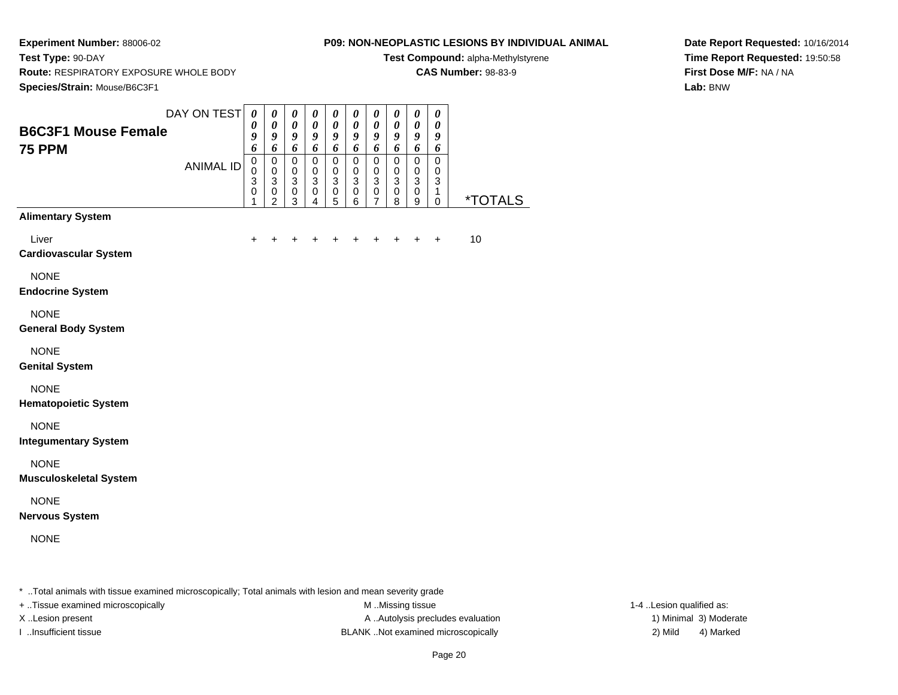**Experiment Number:** 88006-02**Test Type:** 90-DAY

### **P09: NON-NEOPLASTIC LESIONS BY INDIVIDUAL ANIMAL**

**Test Compound:** alpha-Methylstyrene

**CAS Number:** 98-83-9

**Route:** RESPIRATORY EXPOSURE WHOLE BODY

**Date Report Requested:** 10/16/2014**Time Report Requested:** 19:50:58**First Dose M/F:** NA / NA**Lab:** BNW

| DAY ON TEST<br>$\boldsymbol{\theta}$<br>$\pmb{\theta}$<br>$\pmb{\theta}$<br>$\pmb{\theta}$<br>$\pmb{\theta}$<br>$\boldsymbol{\theta}$<br>$\boldsymbol{\theta}$<br>$\boldsymbol{\theta}$<br>$\boldsymbol{\theta}$<br>$\pmb{\theta}$<br>$\boldsymbol{\theta}$<br>$\boldsymbol{\theta}$<br>$\pmb{\theta}$<br>$\pmb{\theta}$<br>$\pmb{\theta}$<br>$\pmb{\theta}$<br>$\pmb{\theta}$<br>$\pmb{\theta}$<br>$\boldsymbol{\theta}$<br>$\boldsymbol{\theta}$<br><b>B6C3F1 Mouse Female</b><br>9<br>9<br>$\boldsymbol{g}$<br>$\pmb{9}$<br>9<br>$\boldsymbol{9}$<br>$\boldsymbol{g}$<br>9<br>9<br>9<br>6<br>6<br>6<br>6<br>6<br>6<br>6<br>6<br>6<br>6<br><b>75 PPM</b><br>$\mathsf 0$<br>$\mathbf 0$<br>$\pmb{0}$<br>$\mathbf 0$<br>$\pmb{0}$<br>$\mathbf 0$<br>$\pmb{0}$<br>$\pmb{0}$<br>$\mathbf 0$<br>$\mathbf 0$<br><b>ANIMAL ID</b><br>0<br>$\mathbf 0$<br>$\pmb{0}$<br>$\pmb{0}$<br>$\pmb{0}$<br>$\pmb{0}$<br>$\pmb{0}$<br>0<br>0<br>0<br>$\overline{3}$<br>$\overline{3}$<br>$\overline{3}$<br>$\overline{3}$<br>$\overline{3}$<br>$\overline{3}$<br>$\overline{3}$<br>$\overline{3}$<br>$\overline{3}$<br>$\mathbf{3}$<br>0<br>$\pmb{0}$<br>$\,0\,$<br>$\,0\,$<br>$\pmb{0}$<br>$\pmb{0}$<br>$\pmb{0}$<br>$\pmb{0}$<br>$\pmb{0}$<br>$\mathbf{1}$<br><i><b>*TOTALS</b></i><br>$\overline{2}$<br>$\overline{6}$<br>$\overline{4}$<br>$\overline{7}$<br>$\boldsymbol{9}$<br>3<br>5<br>8<br>$\pmb{0}$<br>1<br><b>Alimentary System</b><br>Liver<br>10<br>$\ddot{}$<br>$\pm$<br>+<br>+<br>$\ddot{}$<br>$\pm$<br>$\ddot{}$<br>$\ddot{}$<br><b>Cardiovascular System</b><br><b>NONE</b><br><b>Endocrine System</b><br><b>NONE</b><br><b>General Body System</b><br><b>NONE</b><br><b>Genital System</b><br><b>NONE</b><br><b>Hematopoietic System</b><br><b>NONE</b><br><b>Integumentary System</b><br><b>NONE</b><br><b>Musculoskeletal System</b><br><b>NONE</b><br><b>Nervous System</b><br><b>NONE</b> | Species/Strain: Mouse/B6C3F1 |  |  |  |  |  |  |
|------------------------------------------------------------------------------------------------------------------------------------------------------------------------------------------------------------------------------------------------------------------------------------------------------------------------------------------------------------------------------------------------------------------------------------------------------------------------------------------------------------------------------------------------------------------------------------------------------------------------------------------------------------------------------------------------------------------------------------------------------------------------------------------------------------------------------------------------------------------------------------------------------------------------------------------------------------------------------------------------------------------------------------------------------------------------------------------------------------------------------------------------------------------------------------------------------------------------------------------------------------------------------------------------------------------------------------------------------------------------------------------------------------------------------------------------------------------------------------------------------------------------------------------------------------------------------------------------------------------------------------------------------------------------------------------------------------------------------------------------------------------------------------------------------------------------------------------------------------------------------------------------|------------------------------|--|--|--|--|--|--|
|                                                                                                                                                                                                                                                                                                                                                                                                                                                                                                                                                                                                                                                                                                                                                                                                                                                                                                                                                                                                                                                                                                                                                                                                                                                                                                                                                                                                                                                                                                                                                                                                                                                                                                                                                                                                                                                                                                |                              |  |  |  |  |  |  |
|                                                                                                                                                                                                                                                                                                                                                                                                                                                                                                                                                                                                                                                                                                                                                                                                                                                                                                                                                                                                                                                                                                                                                                                                                                                                                                                                                                                                                                                                                                                                                                                                                                                                                                                                                                                                                                                                                                |                              |  |  |  |  |  |  |
|                                                                                                                                                                                                                                                                                                                                                                                                                                                                                                                                                                                                                                                                                                                                                                                                                                                                                                                                                                                                                                                                                                                                                                                                                                                                                                                                                                                                                                                                                                                                                                                                                                                                                                                                                                                                                                                                                                |                              |  |  |  |  |  |  |
|                                                                                                                                                                                                                                                                                                                                                                                                                                                                                                                                                                                                                                                                                                                                                                                                                                                                                                                                                                                                                                                                                                                                                                                                                                                                                                                                                                                                                                                                                                                                                                                                                                                                                                                                                                                                                                                                                                |                              |  |  |  |  |  |  |
|                                                                                                                                                                                                                                                                                                                                                                                                                                                                                                                                                                                                                                                                                                                                                                                                                                                                                                                                                                                                                                                                                                                                                                                                                                                                                                                                                                                                                                                                                                                                                                                                                                                                                                                                                                                                                                                                                                |                              |  |  |  |  |  |  |
|                                                                                                                                                                                                                                                                                                                                                                                                                                                                                                                                                                                                                                                                                                                                                                                                                                                                                                                                                                                                                                                                                                                                                                                                                                                                                                                                                                                                                                                                                                                                                                                                                                                                                                                                                                                                                                                                                                |                              |  |  |  |  |  |  |
|                                                                                                                                                                                                                                                                                                                                                                                                                                                                                                                                                                                                                                                                                                                                                                                                                                                                                                                                                                                                                                                                                                                                                                                                                                                                                                                                                                                                                                                                                                                                                                                                                                                                                                                                                                                                                                                                                                |                              |  |  |  |  |  |  |
|                                                                                                                                                                                                                                                                                                                                                                                                                                                                                                                                                                                                                                                                                                                                                                                                                                                                                                                                                                                                                                                                                                                                                                                                                                                                                                                                                                                                                                                                                                                                                                                                                                                                                                                                                                                                                                                                                                |                              |  |  |  |  |  |  |
|                                                                                                                                                                                                                                                                                                                                                                                                                                                                                                                                                                                                                                                                                                                                                                                                                                                                                                                                                                                                                                                                                                                                                                                                                                                                                                                                                                                                                                                                                                                                                                                                                                                                                                                                                                                                                                                                                                |                              |  |  |  |  |  |  |
|                                                                                                                                                                                                                                                                                                                                                                                                                                                                                                                                                                                                                                                                                                                                                                                                                                                                                                                                                                                                                                                                                                                                                                                                                                                                                                                                                                                                                                                                                                                                                                                                                                                                                                                                                                                                                                                                                                |                              |  |  |  |  |  |  |
|                                                                                                                                                                                                                                                                                                                                                                                                                                                                                                                                                                                                                                                                                                                                                                                                                                                                                                                                                                                                                                                                                                                                                                                                                                                                                                                                                                                                                                                                                                                                                                                                                                                                                                                                                                                                                                                                                                |                              |  |  |  |  |  |  |

\* ..Total animals with tissue examined microscopically; Total animals with lesion and mean severity grade

+ ..Tissue examined microscopically M ...Missing tissue 1-4 ... M ...Missing tissue

X..Lesion present **A ..Autolysis precludes evaluation** A ..Autolysis precludes evaluation 1) Minimal 3) Moderate I ..Insufficient tissue BLANK ..Not examined microscopically 2) Mild 4) Marked

1-4 ..Lesion qualified as: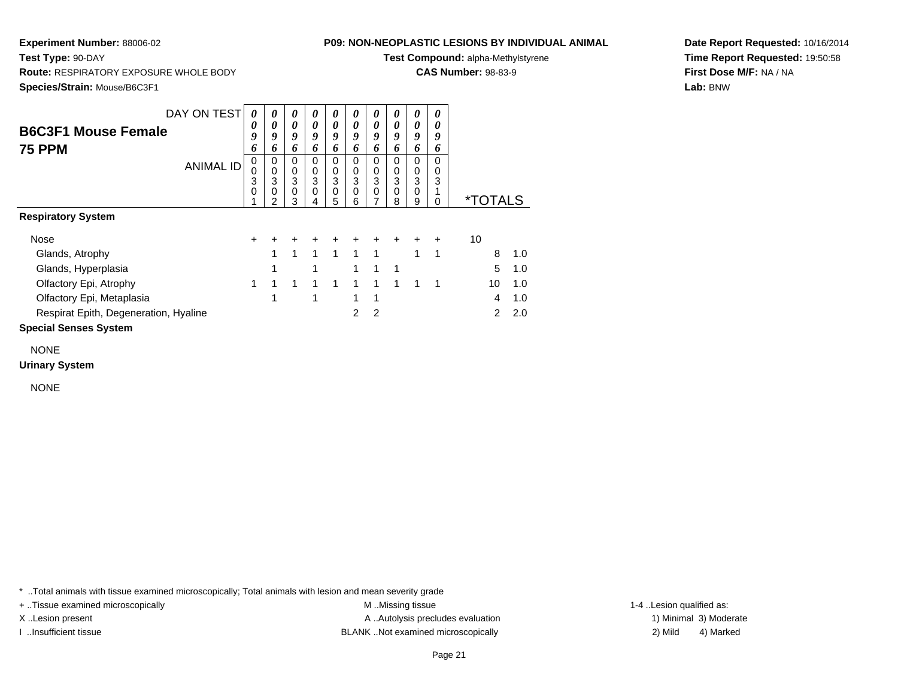### **P09: NON-NEOPLASTIC LESIONS BY INDIVIDUAL ANIMAL**

**Test Compound:** alpha-Methylstyrene

**CAS Number:** 98-83-9

**Date Report Requested:** 10/16/2014**Time Report Requested:** 19:50:58**First Dose M/F:** NA / NA**Lab:** BNW

**Test Type:** 90-DAY **Route:** RESPIRATORY EXPOSURE WHOLE BODY**Species/Strain:** Mouse/B6C3F1

|                                       | DAY ON TEST      | 0      | 0                | 0      | 0                | 0            | 0              | $\boldsymbol{\theta}$ | 0              | 0                          | 0         |                       |     |
|---------------------------------------|------------------|--------|------------------|--------|------------------|--------------|----------------|-----------------------|----------------|----------------------------|-----------|-----------------------|-----|
| <b>B6C3F1 Mouse Female</b>            |                  | 0<br>9 | 0<br>9           | 0<br>9 | 0<br>9           | 0<br>9       | 0<br>9         | 0<br>9                | 0<br>9         | $\boldsymbol{\theta}$<br>9 | 0<br>9    |                       |     |
| <b>75 PPM</b>                         |                  | 6      | 6                | 6      | 6                | 6            | 6              | 6                     | 6              | 6                          | 6         |                       |     |
|                                       | <b>ANIMAL ID</b> | 0<br>0 | 0<br>$\mathbf 0$ | 0<br>0 | 0<br>0           | 0<br>0       | 0<br>0         | 0<br>$\pmb{0}$        | 0<br>$\pmb{0}$ | 0<br>$\mathbf 0$           | 0<br>0    |                       |     |
|                                       |                  | 3      | 3                | 3      | 3                | 3            | 3              | 3                     | 3              | 3                          | 3         |                       |     |
|                                       |                  | 0      | 0<br>2           | 0<br>3 | $\mathbf 0$<br>4 | 0<br>5       | 0<br>6         | $\mathbf 0$<br>7      | 0<br>8         | $\mathbf 0$<br>9           | 0         | <i><b>*TOTALS</b></i> |     |
| <b>Respiratory System</b>             |                  |        |                  |        |                  |              |                |                       |                |                            |           |                       |     |
| Nose                                  |                  | $\div$ | ٠                | $\pm$  | $\pm$            | $\pm$        | $\pm$          | $\ddot{}$             | $\ddot{}$      | $\pm$                      | $\ddot{}$ | 10                    |     |
| Glands, Atrophy                       |                  |        | 1                | 1      | $\mathbf 1$      | $\mathbf{1}$ | $\mathbf{1}$   | 1                     |                | 1                          | 1         | 8                     | 1.0 |
| Glands, Hyperplasia                   |                  |        |                  |        | 1                |              | 1              | 1                     | 1              |                            |           | 5                     | 1.0 |
| Olfactory Epi, Atrophy                |                  | 1      | 1                | 1      | 1                | 1            | 1              | 1                     | 1              | 1                          | 1         | 10                    | 1.0 |
| Olfactory Epi, Metaplasia             |                  |        | 1                |        | 1                |              | 1              | 1                     |                |                            |           | 4                     | 1.0 |
| Respirat Epith, Degeneration, Hyaline |                  |        |                  |        |                  |              | $\overline{2}$ | $\overline{2}$        |                |                            |           | $\mathcal{P}$         | 2.0 |
| <b>Special Senses System</b>          |                  |        |                  |        |                  |              |                |                       |                |                            |           |                       |     |

NONE

**Urinary System**

NONE

\* ..Total animals with tissue examined microscopically; Total animals with lesion and mean severity grade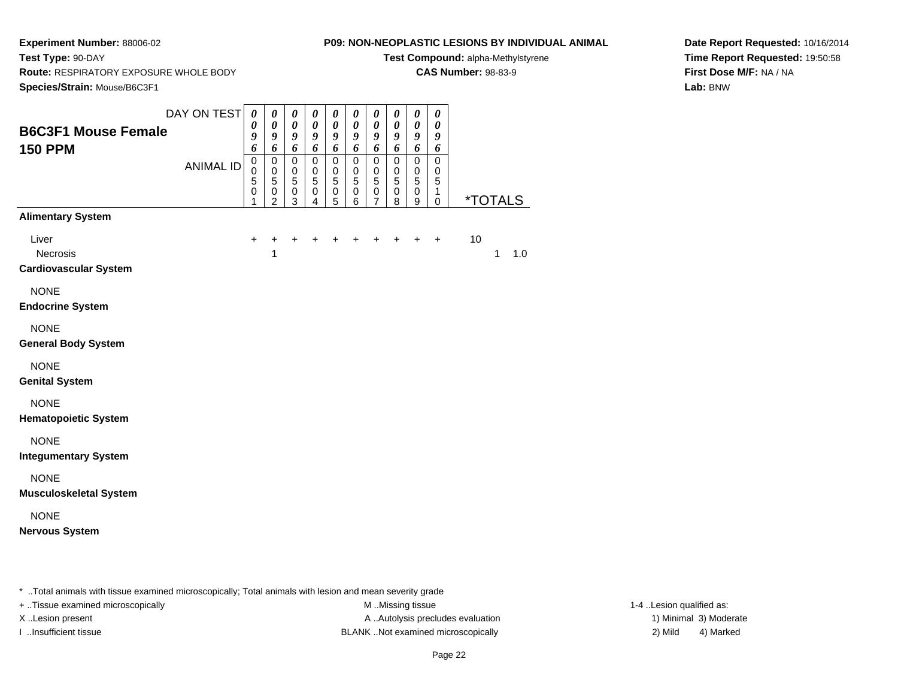**Route:** RESPIRATORY EXPOSURE WHOLE BODY

**Test Type:** 90-DAY

## **P09: NON-NEOPLASTIC LESIONS BY INDIVIDUAL ANIMAL**

**Test Compound:** alpha-Methylstyrene

**CAS Number:** 98-83-9

**Date Report Requested:** 10/16/2014**Time Report Requested:** 19:50:58**First Dose M/F:** NA / NA**Lab:** BNW

| Species/Strain: Mouse/B6C3F1                      |                                 |                                                                         |                                                                                                                                                  |                                                                                                             |                                                                                   |                                                                                                     |                                                                                                |                                                                                      |                                                                                                               |                                                                             |                                           |                       |
|---------------------------------------------------|---------------------------------|-------------------------------------------------------------------------|--------------------------------------------------------------------------------------------------------------------------------------------------|-------------------------------------------------------------------------------------------------------------|-----------------------------------------------------------------------------------|-----------------------------------------------------------------------------------------------------|------------------------------------------------------------------------------------------------|--------------------------------------------------------------------------------------|---------------------------------------------------------------------------------------------------------------|-----------------------------------------------------------------------------|-------------------------------------------|-----------------------|
| <b>B6C3F1 Mouse Female</b><br><b>150 PPM</b>      | DAY ON TEST<br><b>ANIMAL ID</b> | $\boldsymbol{\theta}$<br>0<br>9<br>6<br>$\mathbf 0$<br>0<br>5<br>0<br>1 | $\boldsymbol{\theta}$<br>$\boldsymbol{\theta}$<br>$\boldsymbol{g}$<br>6<br>$\pmb{0}$<br>$\mathbf 0$<br>$\sqrt{5}$<br>$\pmb{0}$<br>$\overline{2}$ | $\boldsymbol{\theta}$<br>$\boldsymbol{\theta}$<br>9<br>6<br>$\mathbf 0$<br>$\pmb{0}$<br>5<br>$\pmb{0}$<br>3 | 0<br>$\boldsymbol{\theta}$<br>9<br>6<br>$\pmb{0}$<br>$\,0\,$<br>5<br>$\,0\,$<br>4 | $\boldsymbol{\theta}$<br>$\boldsymbol{\theta}$<br>9<br>6<br>$\mathbf 0$<br>0<br>5<br>$\pmb{0}$<br>5 | $\pmb{\theta}$<br>$\boldsymbol{\theta}$<br>9<br>6<br>$\pmb{0}$<br>$\,0\,$<br>5<br>$\,0\,$<br>6 | 0<br>$\boldsymbol{\theta}$<br>9<br>6<br>$\mathbf 0$<br>0<br>5<br>0<br>$\overline{7}$ | $\pmb{\theta}$<br>$\boldsymbol{\theta}$<br>9<br>6<br>$\pmb{0}$<br>$\,0\,$<br>$\overline{5}$<br>$\pmb{0}$<br>8 | 0<br>$\boldsymbol{\theta}$<br>9<br>6<br>$\pmb{0}$<br>$\,0\,$<br>5<br>0<br>9 | 0<br>0<br>9<br>6<br>0<br>0<br>5<br>1<br>0 | <i><b>*TOTALS</b></i> |
| <b>Alimentary System</b>                          |                                 |                                                                         |                                                                                                                                                  |                                                                                                             |                                                                                   |                                                                                                     |                                                                                                |                                                                                      |                                                                                                               |                                                                             |                                           |                       |
| Liver<br>Necrosis<br><b>Cardiovascular System</b> |                                 | $\ddot{}$                                                               | +<br>1                                                                                                                                           | $\ddot{}$                                                                                                   | $\ddot{}$                                                                         | +                                                                                                   |                                                                                                | ٠                                                                                    | ٠                                                                                                             | $\ddot{}$                                                                   | $\ddot{}$                                 | 10<br>1<br>1.0        |
| <b>NONE</b><br><b>Endocrine System</b>            |                                 |                                                                         |                                                                                                                                                  |                                                                                                             |                                                                                   |                                                                                                     |                                                                                                |                                                                                      |                                                                                                               |                                                                             |                                           |                       |
| <b>NONE</b><br><b>General Body System</b>         |                                 |                                                                         |                                                                                                                                                  |                                                                                                             |                                                                                   |                                                                                                     |                                                                                                |                                                                                      |                                                                                                               |                                                                             |                                           |                       |
| <b>NONE</b><br><b>Genital System</b>              |                                 |                                                                         |                                                                                                                                                  |                                                                                                             |                                                                                   |                                                                                                     |                                                                                                |                                                                                      |                                                                                                               |                                                                             |                                           |                       |
| <b>NONE</b><br><b>Hematopoietic System</b>        |                                 |                                                                         |                                                                                                                                                  |                                                                                                             |                                                                                   |                                                                                                     |                                                                                                |                                                                                      |                                                                                                               |                                                                             |                                           |                       |
| <b>NONE</b><br><b>Integumentary System</b>        |                                 |                                                                         |                                                                                                                                                  |                                                                                                             |                                                                                   |                                                                                                     |                                                                                                |                                                                                      |                                                                                                               |                                                                             |                                           |                       |
| <b>NONE</b><br><b>Musculoskeletal System</b>      |                                 |                                                                         |                                                                                                                                                  |                                                                                                             |                                                                                   |                                                                                                     |                                                                                                |                                                                                      |                                                                                                               |                                                                             |                                           |                       |
| <b>NONE</b><br><b>Nervous System</b>              |                                 |                                                                         |                                                                                                                                                  |                                                                                                             |                                                                                   |                                                                                                     |                                                                                                |                                                                                      |                                                                                                               |                                                                             |                                           |                       |

\* ..Total animals with tissue examined microscopically; Total animals with lesion and mean severity grade

+ ..Tissue examined microscopically M ...Missing tissue 1-4 ... M ...Missing tissue

X..Lesion present **A ..Autolysis precludes evaluation** A ..Autolysis precludes evaluation 1) Minimal 3) Moderate I ..Insufficient tissue BLANK ..Not examined microscopically 2) Mild 4) Marked

1-4 ..Lesion qualified as: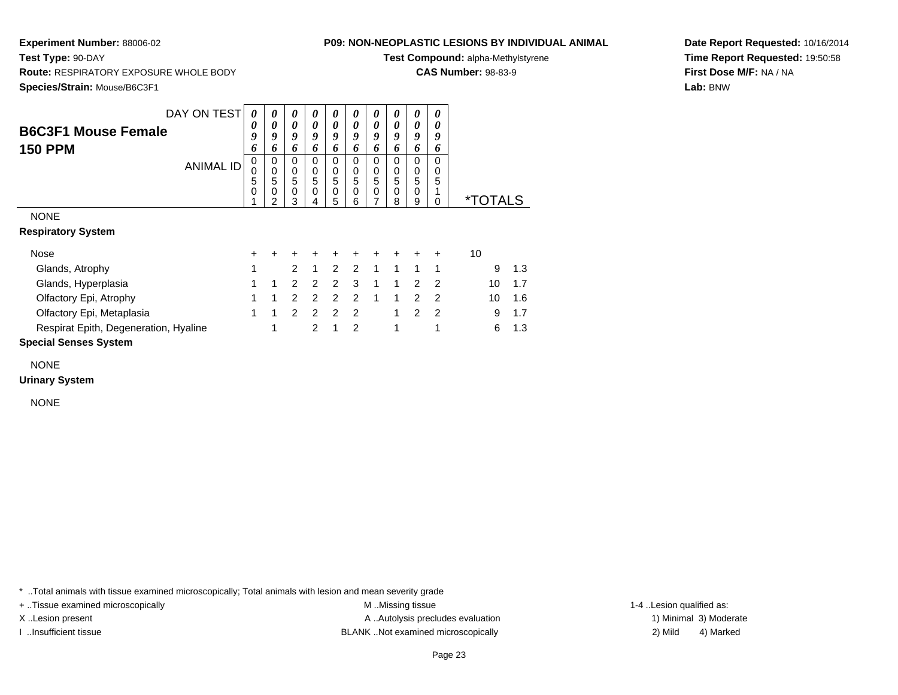**Test Type:** 90-DAY

## **P09: NON-NEOPLASTIC LESIONS BY INDIVIDUAL ANIMAL**

**Test Compound:** alpha-Methylstyrene

**CAS Number:** 98-83-9

**Date Report Requested:** 10/16/2014**Time Report Requested:** 19:50:58**First Dose M/F:** NA / NA**Lab:** BNW

 **Route:** RESPIRATORY EXPOSURE WHOLE BODY**Species/Strain:** Mouse/B6C3F1

|                                       | DAY ON TESTI     | 0                | 0                     | 0                     | 0                     | 0                     | 0                     | 0                     | 0                     | 0                                    | 0                       |                       |     |
|---------------------------------------|------------------|------------------|-----------------------|-----------------------|-----------------------|-----------------------|-----------------------|-----------------------|-----------------------|--------------------------------------|-------------------------|-----------------------|-----|
| <b>B6C3F1 Mouse Female</b>            |                  | 0<br>9<br>6      | 0<br>9<br>6           | 0<br>9<br>6           | 0<br>9<br>6           | 0<br>9<br>6           | 0<br>9<br>6           | 0<br>9<br>6           | 0<br>9<br>6           | 0<br>9<br>6                          | 0<br>9<br>6             |                       |     |
| <b>150 PPM</b>                        | <b>ANIMAL ID</b> | 0<br>0<br>5<br>0 | 0<br>0<br>5<br>0<br>2 | 0<br>0<br>5<br>0<br>3 | 0<br>0<br>5<br>0<br>4 | 0<br>0<br>5<br>0<br>5 | 0<br>0<br>5<br>0<br>6 | 0<br>0<br>5<br>0<br>7 | 0<br>0<br>5<br>0<br>8 | 0<br>0<br>5<br>$\boldsymbol{0}$<br>9 | 0<br>0<br>5<br>$\Omega$ | <i><b>*TOTALS</b></i> |     |
| <b>NONE</b>                           |                  |                  |                       |                       |                       |                       |                       |                       |                       |                                      |                         |                       |     |
| <b>Respiratory System</b>             |                  |                  |                       |                       |                       |                       |                       |                       |                       |                                      |                         |                       |     |
| Nose                                  |                  | +                |                       |                       |                       | +                     | +                     | +                     |                       |                                      | +                       | 10                    |     |
| Glands, Atrophy                       |                  | 1                |                       | $\mathcal{P}$         | 1                     | $\mathcal{P}$         | $\mathcal{P}$         | 1                     | 1                     | 1                                    | 1                       | 9                     | 1.3 |
| Glands, Hyperplasia                   |                  | 1                | 1                     | $\mathcal{P}$         | 2                     | $\mathcal{P}$         | 3                     | 1                     | 1                     | $\mathcal{P}$                        | $\mathcal{P}$           | 10                    | 1.7 |
| Olfactory Epi, Atrophy                |                  |                  |                       | $\overline{2}$        | 2                     | 2                     | $\mathcal{P}$         | 1                     | 1                     | 2                                    | $\mathcal{P}$           | 10                    | 1.6 |
| Olfactory Epi, Metaplasia             |                  | 1                | 1                     | $\mathcal{P}$         | $\mathcal{P}$         | $\mathcal{P}$         | $\mathcal{P}$         |                       | 1                     | $\mathcal{P}$                        | $\mathcal{P}$           | 9                     | 1.7 |
| Respirat Epith, Degeneration, Hyaline |                  |                  |                       |                       | 2                     |                       | 2                     |                       |                       |                                      |                         | 6                     | 1.3 |

#### **Special Senses System**

NONE

#### **Urinary System**

NONE

\* ..Total animals with tissue examined microscopically; Total animals with lesion and mean severity grade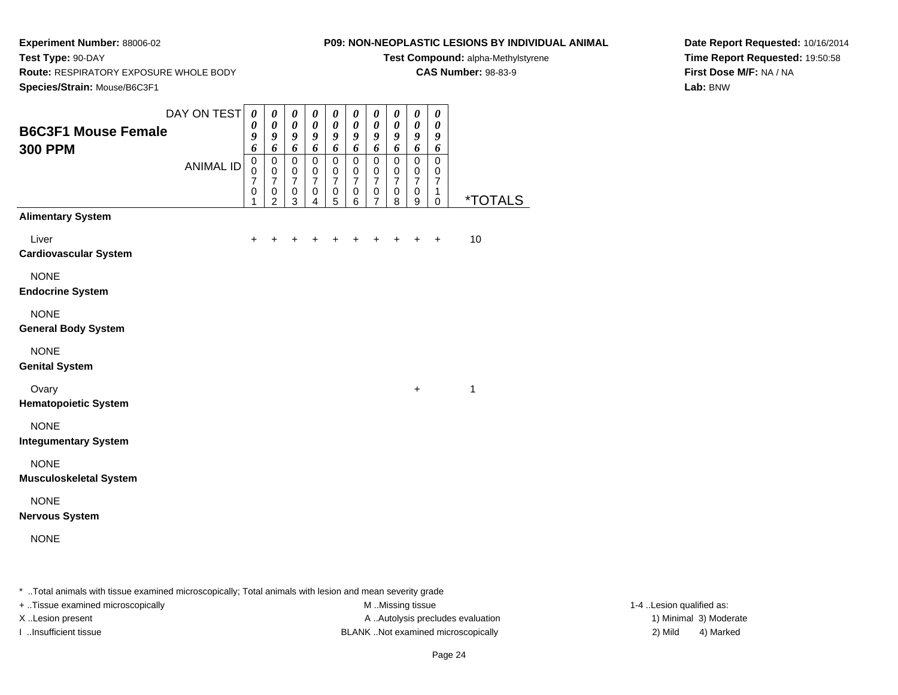**Test Type:** 90-DAY

#### **P09: NON-NEOPLASTIC LESIONS BY INDIVIDUAL ANIMAL**

**Test Compound:** alpha-Methylstyrene

**CAS Number:** 98-83-9

**Date Report Requested:** 10/16/2014**Time Report Requested:** 19:50:58**First Dose M/F:** NA / NA**Lab:** BNW

**Route:** RESPIRATORY EXPOSURE WHOLE BODY

| Species/Strain: Mouse/B6C3F1                                      |                                 |                                                                                                                  |                                                                                                                        |                                                                                                         |                                                                                                                   |                                                                                         |                                                                                                             |                                                                                                                    |                                                                                                        |                                                                                                   |                                                                                                                    |                       |
|-------------------------------------------------------------------|---------------------------------|------------------------------------------------------------------------------------------------------------------|------------------------------------------------------------------------------------------------------------------------|---------------------------------------------------------------------------------------------------------|-------------------------------------------------------------------------------------------------------------------|-----------------------------------------------------------------------------------------|-------------------------------------------------------------------------------------------------------------|--------------------------------------------------------------------------------------------------------------------|--------------------------------------------------------------------------------------------------------|---------------------------------------------------------------------------------------------------|--------------------------------------------------------------------------------------------------------------------|-----------------------|
| <b>B6C3F1 Mouse Female</b><br><b>300 PPM</b>                      | DAY ON TEST<br><b>ANIMAL ID</b> | $\boldsymbol{\theta}$<br>$\boldsymbol{\theta}$<br>9<br>6<br>$\pmb{0}$<br>$\mathbf 0$<br>$\overline{7}$<br>0<br>1 | $\pmb{\theta}$<br>$\boldsymbol{\theta}$<br>9<br>6<br>$\mathbf 0$<br>$\pmb{0}$<br>$\overline{7}$<br>0<br>$\overline{2}$ | $\boldsymbol{\theta}$<br>$\pmb{\theta}$<br>9<br>6<br>$\pmb{0}$<br>$\pmb{0}$<br>$\overline{7}$<br>0<br>3 | $\pmb{\theta}$<br>$\pmb{\theta}$<br>9<br>6<br>$\mathbf 0$<br>$\mathbf 0$<br>$\overline{7}$<br>0<br>$\overline{4}$ | $\pmb{\theta}$<br>$\boldsymbol{\theta}$<br>9<br>6<br>0<br>0<br>$\overline{7}$<br>0<br>5 | $\pmb{\theta}$<br>$\boldsymbol{\theta}$<br>9<br>6<br>$\mathbf 0$<br>0<br>$\overline{7}$<br>$\mathbf 0$<br>6 | $\boldsymbol{\theta}$<br>$\boldsymbol{\theta}$<br>9<br>6<br>$\mathbf 0$<br>$\mathbf 0$<br>$\overline{7}$<br>0<br>7 | 0<br>$\boldsymbol{\theta}$<br>9<br>6<br>$\mathbf 0$<br>$\pmb{0}$<br>$\overline{7}$<br>$\mathbf 0$<br>8 | $\boldsymbol{\theta}$<br>$\pmb{\theta}$<br>9<br>6<br>$\mathbf 0$<br>0<br>$\overline{7}$<br>0<br>9 | 0<br>$\boldsymbol{\theta}$<br>9<br>6<br>$\mathbf 0$<br>$\mathbf 0$<br>$\overline{7}$<br>$\mathbf 1$<br>$\mathbf 0$ | <i><b>*TOTALS</b></i> |
| <b>Alimentary System</b><br>Liver<br><b>Cardiovascular System</b> |                                 | $\ddot{}$                                                                                                        | +                                                                                                                      |                                                                                                         |                                                                                                                   |                                                                                         |                                                                                                             |                                                                                                                    |                                                                                                        | $\div$                                                                                            | $+$                                                                                                                | 10                    |
| <b>NONE</b><br><b>Endocrine System</b>                            |                                 |                                                                                                                  |                                                                                                                        |                                                                                                         |                                                                                                                   |                                                                                         |                                                                                                             |                                                                                                                    |                                                                                                        |                                                                                                   |                                                                                                                    |                       |
| <b>NONE</b><br><b>General Body System</b>                         |                                 |                                                                                                                  |                                                                                                                        |                                                                                                         |                                                                                                                   |                                                                                         |                                                                                                             |                                                                                                                    |                                                                                                        |                                                                                                   |                                                                                                                    |                       |
| <b>NONE</b><br><b>Genital System</b>                              |                                 |                                                                                                                  |                                                                                                                        |                                                                                                         |                                                                                                                   |                                                                                         |                                                                                                             |                                                                                                                    |                                                                                                        |                                                                                                   |                                                                                                                    |                       |
| Ovary<br><b>Hematopoietic System</b>                              |                                 |                                                                                                                  |                                                                                                                        |                                                                                                         |                                                                                                                   |                                                                                         |                                                                                                             |                                                                                                                    |                                                                                                        | $\ddot{}$                                                                                         |                                                                                                                    | 1                     |
| <b>NONE</b><br><b>Integumentary System</b>                        |                                 |                                                                                                                  |                                                                                                                        |                                                                                                         |                                                                                                                   |                                                                                         |                                                                                                             |                                                                                                                    |                                                                                                        |                                                                                                   |                                                                                                                    |                       |
| <b>NONE</b><br><b>Musculoskeletal System</b>                      |                                 |                                                                                                                  |                                                                                                                        |                                                                                                         |                                                                                                                   |                                                                                         |                                                                                                             |                                                                                                                    |                                                                                                        |                                                                                                   |                                                                                                                    |                       |
| <b>NONE</b><br><b>Nervous System</b>                              |                                 |                                                                                                                  |                                                                                                                        |                                                                                                         |                                                                                                                   |                                                                                         |                                                                                                             |                                                                                                                    |                                                                                                        |                                                                                                   |                                                                                                                    |                       |
| <b>NONE</b>                                                       |                                 |                                                                                                                  |                                                                                                                        |                                                                                                         |                                                                                                                   |                                                                                         |                                                                                                             |                                                                                                                    |                                                                                                        |                                                                                                   |                                                                                                                    |                       |

\* ..Total animals with tissue examined microscopically; Total animals with lesion and mean severity grade

+ ..Tissue examined microscopically M ...Missing tissue 1-4 ... M ...Missing tissue

X..Lesion present **A ..Autolysis precludes evaluation** A ..Autolysis precludes evaluation 1) Minimal 3) Moderate I ..Insufficient tissue BLANK ..Not examined microscopically 2) Mild 4) Marked

1-4 ..Lesion qualified as: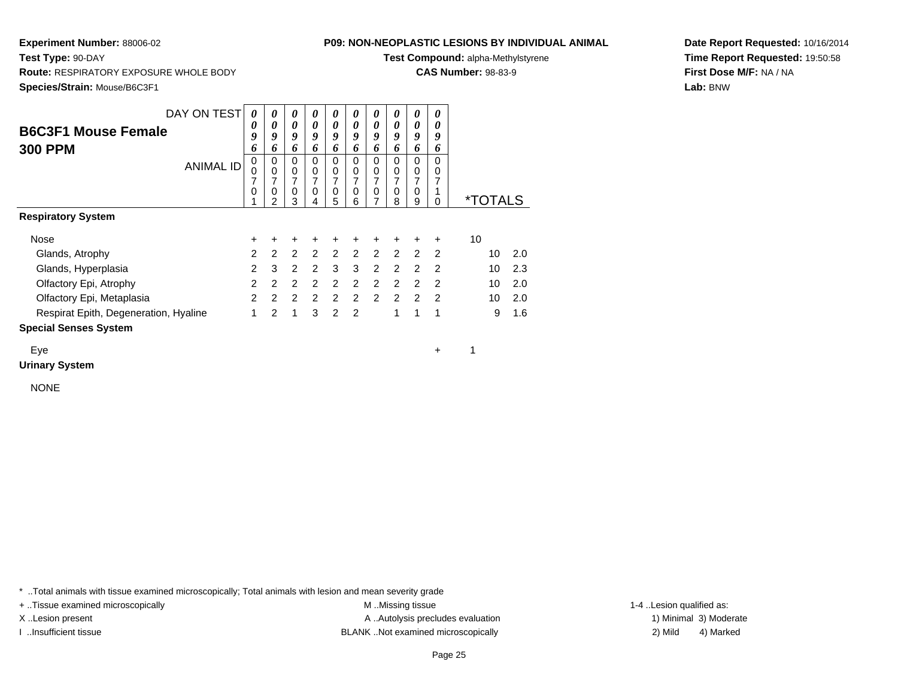#### **P09: NON-NEOPLASTIC LESIONS BY INDIVIDUAL ANIMAL**

**Test Compound:** alpha-Methylstyrene

**CAS Number:** 98-83-9

**Date Report Requested:** 10/16/2014**Time Report Requested:** 19:50:58**First Dose M/F:** NA / NA**Lab:** BNW

**Test Type:** 90-DAY **Route:** RESPIRATORY EXPOSURE WHOLE BODY**Species/Strain:** Mouse/B6C3F1

| DAY ON TEST                           | 0              | 0                   | 0                   | 0                   | 0                          | 0                          | 0                             | 0              | 0                   | 0              |                       |     |
|---------------------------------------|----------------|---------------------|---------------------|---------------------|----------------------------|----------------------------|-------------------------------|----------------|---------------------|----------------|-----------------------|-----|
| <b>B6C3F1 Mouse Female</b>            | 0              | 0                   | 0                   | 0                   | $\boldsymbol{\theta}$      | 0                          | 0                             | 0              | 0                   | 0              |                       |     |
|                                       | 9              | 9                   | 9                   | 9                   | 9                          | 9                          | 9                             | 9              | 9                   | 9              |                       |     |
| <b>300 PPM</b>                        | 6              | 6                   | 6                   | 6                   | 6                          | 6                          | 6                             | 6              | 6                   | 6              |                       |     |
| <b>ANIMAL ID</b>                      | 0              | 0                   | $\mathbf 0$         | $\mathbf 0$         | $\mathbf 0$                | $\Omega$                   | $\mathbf 0$                   | $\Omega$       | 0                   | $\Omega$       |                       |     |
|                                       | 0              | $\mathbf 0$         | 0                   | $\mathbf 0$         | $\pmb{0}$                  | 0                          | 0                             | 0              | 0                   | 0              |                       |     |
|                                       | 7<br>0         | $\overline{7}$<br>0 | $\overline{7}$<br>0 | $\overline{7}$<br>0 | $\overline{7}$<br>$\Omega$ | $\overline{7}$<br>$\Omega$ | $\overline{7}$<br>$\mathbf 0$ | 7<br>$\Omega$  | $\overline{7}$<br>0 | 7              |                       |     |
|                                       |                | $\mathfrak{p}$      | 3                   | 4                   | 5                          | 6                          | $\overline{7}$                | 8              | 9                   | O              | <i><b>*TOTALS</b></i> |     |
| <b>Respiratory System</b>             |                |                     |                     |                     |                            |                            |                               |                |                     |                |                       |     |
| Nose                                  | $\ddot{}$      | $\ddot{}$           | $\ddot{}$           | ÷                   | +                          | $\ddot{}$                  | $\ddot{}$                     | ٠              | ٠                   | $\ddot{}$      | 10                    |     |
| Glands, Atrophy                       | $\overline{2}$ | 2                   | 2                   | $\overline{2}$      |                            | 2 2 2 2                    |                               |                | 2                   | $\overline{2}$ | 10                    | 2.0 |
| Glands, Hyperplasia                   | $\mathcal{P}$  | 3                   | 2                   | 2                   | 3                          | 3                          | 2                             | $\mathfrak{p}$ | $\mathfrak{p}$      | $\mathcal{P}$  | 10                    | 2.3 |
| Olfactory Epi, Atrophy                | $\overline{2}$ | 2                   | 2                   | 2                   | 2                          | 2                          | 2                             | $\mathcal{P}$  | $\mathcal{P}$       | $\mathcal{P}$  | 10                    | 2.0 |
| Olfactory Epi, Metaplasia             | $\mathcal{P}$  | 2                   | $\overline{2}$      | 2                   | $2^{\circ}$                | 2                          | $\mathcal{P}$                 | $\mathcal{P}$  | $\mathcal{P}$       | $\mathcal{P}$  | 10                    | 2.0 |
| Respirat Epith, Degeneration, Hyaline | 1              | 2                   | 1                   | 3                   | 2                          | $\mathcal{P}$              |                               | 1              | 1                   | 1              | 9                     | 1.6 |
| <b>Special Senses System</b>          |                |                     |                     |                     |                            |                            |                               |                |                     |                |                       |     |
| Eye                                   |                |                     |                     |                     |                            |                            |                               |                |                     | ٠              |                       |     |

**Urinary System**

NONE

\* ..Total animals with tissue examined microscopically; Total animals with lesion and mean severity grade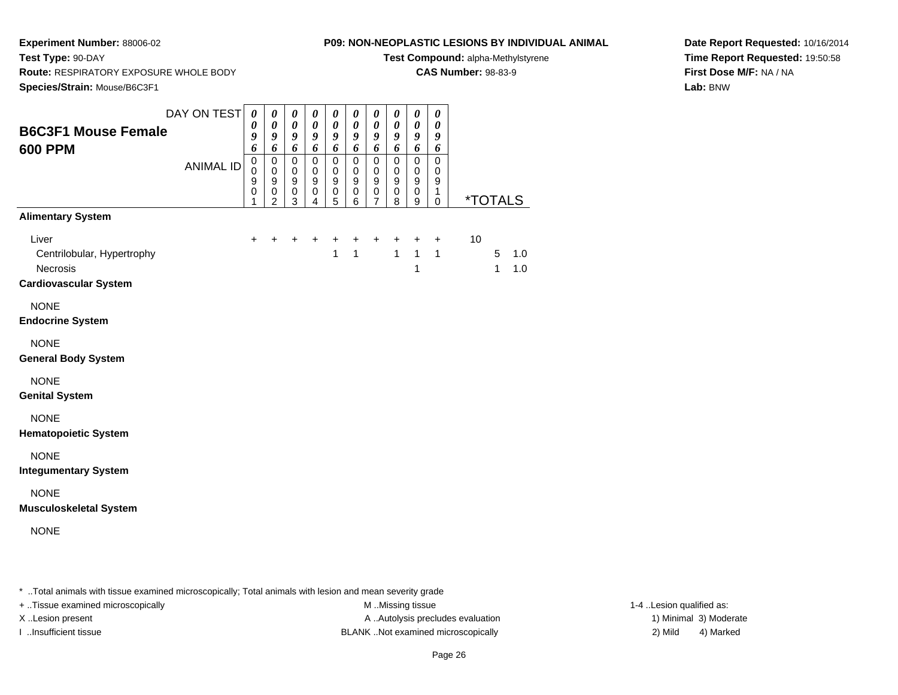**Test Type:** 90-DAY

#### **P09: NON-NEOPLASTIC LESIONS BY INDIVIDUAL ANIMAL**

**Test Compound:** alpha-Methylstyrene

**CAS Number:** 98-83-9

**Date Report Requested:** 10/16/2014**Time Report Requested:** 19:50:58**First Dose M/F:** NA / NA**Lab:** BNW

 **Route:** RESPIRATORY EXPOSURE WHOLE BODY**Species/Strain:** Mouse/B6C3F1

| <b>B6C3F1 Mouse Female</b><br><b>600 PPM</b>                                    | DAY ON TEST      | $\boldsymbol{\theta}$<br>$\boldsymbol{\theta}$<br>9<br>6              | 0<br>$\pmb{\theta}$<br>9<br>6                                   | 0<br>0<br>9<br>6                               | $\pmb{\theta}$<br>$\boldsymbol{\theta}$<br>9<br>$\boldsymbol{6}$             | 0<br>0<br>9<br>6                                     | $\boldsymbol{\theta}$<br>$\boldsymbol{\theta}$<br>$\boldsymbol{g}$<br>6 | $\boldsymbol{\theta}$<br>$\boldsymbol{\theta}$<br>$\boldsymbol{g}$<br>6 | $\boldsymbol{\theta}$<br>$\boldsymbol{\theta}$<br>$\boldsymbol{g}$<br>6 | $\boldsymbol{\theta}$<br>$\boldsymbol{\theta}$<br>$\boldsymbol{g}$<br>$\boldsymbol{6}$ | 0<br>$\boldsymbol{\theta}$<br>9<br>6                                       |    |                       |            |
|---------------------------------------------------------------------------------|------------------|-----------------------------------------------------------------------|-----------------------------------------------------------------|------------------------------------------------|------------------------------------------------------------------------------|------------------------------------------------------|-------------------------------------------------------------------------|-------------------------------------------------------------------------|-------------------------------------------------------------------------|----------------------------------------------------------------------------------------|----------------------------------------------------------------------------|----|-----------------------|------------|
|                                                                                 | <b>ANIMAL ID</b> | $\mathbf 0$<br>$\pmb{0}$<br>$\boldsymbol{9}$<br>$\boldsymbol{0}$<br>1 | $\pmb{0}$<br>$\pmb{0}$<br>$\overline{9}$<br>0<br>$\overline{2}$ | $\mathbf 0$<br>0<br>$\boldsymbol{9}$<br>0<br>3 | $\mathbf 0$<br>$\pmb{0}$<br>$\boldsymbol{9}$<br>0<br>$\overline{\mathbf{4}}$ | $\mathbf 0$<br>$\pmb{0}$<br>$\overline{9}$<br>0<br>5 | $\mathbf 0$<br>$\pmb{0}$<br>$\overline{9}$<br>0<br>6                    | $\mathbf 0$<br>0<br>$\overline{9}$<br>0<br>$\overline{7}$               | $\pmb{0}$<br>$\pmb{0}$<br>$\overline{9}$<br>$\,0\,$<br>8                | $\mathbf 0$<br>$\pmb{0}$<br>$\overline{9}$<br>$\pmb{0}$<br>$\boldsymbol{9}$            | $\Omega$<br>$\mathbf 0$<br>$\boldsymbol{9}$<br>$\mathbf{1}$<br>$\mathsf 0$ |    | <i><b>*TOTALS</b></i> |            |
| <b>Alimentary System</b>                                                        |                  |                                                                       |                                                                 |                                                |                                                                              |                                                      |                                                                         |                                                                         |                                                                         |                                                                                        |                                                                            |    |                       |            |
| Liver<br>Centrilobular, Hypertrophy<br>Necrosis<br><b>Cardiovascular System</b> |                  | $+$                                                                   | $+$                                                             | $\ddot{}$                                      | $\ddot{}$                                                                    | +<br>1                                               | $\ddot{}$<br>$\mathbf{1}$                                               | $\ddot{}$                                                               | $\ddot{}$<br>$\mathbf{1}$                                               | $\ddot{}$<br>$\mathbf{1}$<br>1                                                         | $\ddot{}$<br>$\mathbf{1}$                                                  | 10 | 5<br>$\mathbf{1}$     | 1.0<br>1.0 |
| <b>NONE</b><br><b>Endocrine System</b>                                          |                  |                                                                       |                                                                 |                                                |                                                                              |                                                      |                                                                         |                                                                         |                                                                         |                                                                                        |                                                                            |    |                       |            |
| <b>NONE</b><br><b>General Body System</b>                                       |                  |                                                                       |                                                                 |                                                |                                                                              |                                                      |                                                                         |                                                                         |                                                                         |                                                                                        |                                                                            |    |                       |            |
| <b>NONE</b><br><b>Genital System</b>                                            |                  |                                                                       |                                                                 |                                                |                                                                              |                                                      |                                                                         |                                                                         |                                                                         |                                                                                        |                                                                            |    |                       |            |
| <b>NONE</b><br><b>Hematopoietic System</b>                                      |                  |                                                                       |                                                                 |                                                |                                                                              |                                                      |                                                                         |                                                                         |                                                                         |                                                                                        |                                                                            |    |                       |            |
| <b>NONE</b><br><b>Integumentary System</b>                                      |                  |                                                                       |                                                                 |                                                |                                                                              |                                                      |                                                                         |                                                                         |                                                                         |                                                                                        |                                                                            |    |                       |            |
| <b>NONE</b><br><b>Musculoskeletal System</b>                                    |                  |                                                                       |                                                                 |                                                |                                                                              |                                                      |                                                                         |                                                                         |                                                                         |                                                                                        |                                                                            |    |                       |            |
| <b>NONE</b>                                                                     |                  |                                                                       |                                                                 |                                                |                                                                              |                                                      |                                                                         |                                                                         |                                                                         |                                                                                        |                                                                            |    |                       |            |

\* ..Total animals with tissue examined microscopically; Total animals with lesion and mean severity grade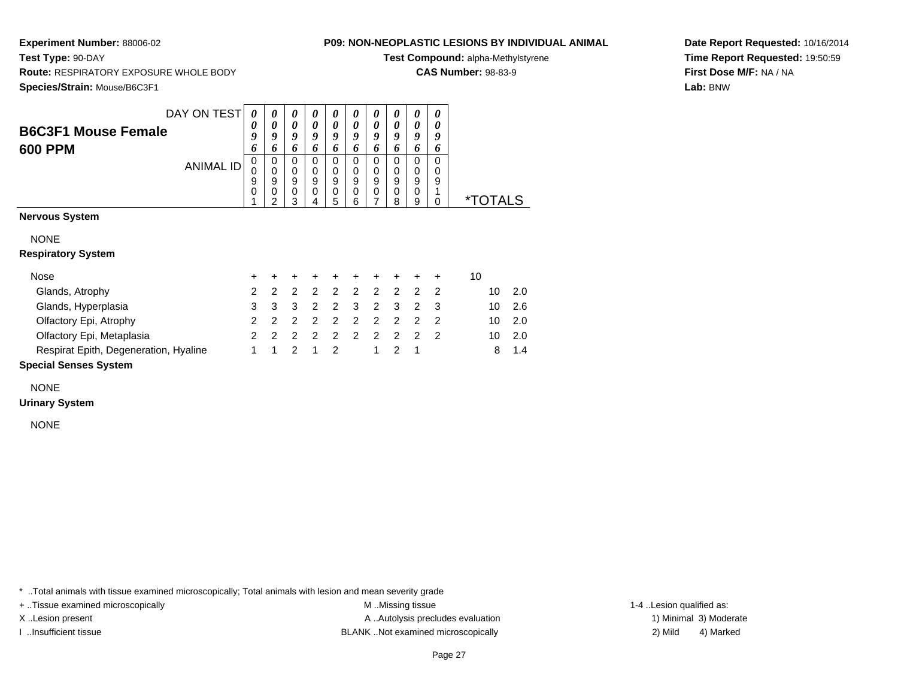**Test Type:** 90-DAY

## **P09: NON-NEOPLASTIC LESIONS BY INDIVIDUAL ANIMAL**

**Test Compound:** alpha-Methylstyrene

**CAS Number:** 98-83-9

**Date Report Requested:** 10/16/2014**Time Report Requested:** 19:50:59**First Dose M/F:** NA / NA**Lab:** BNW

 **Route:** RESPIRATORY EXPOSURE WHOLE BODY**Species/Strain:** Mouse/B6C3F1

| DAY ON TEST                           | 0                | $\theta$              | $\boldsymbol{\theta}$ | 0                     | 0                     | 0                     |                  | $\boldsymbol{v}$            | $\boldsymbol{\theta}$ | Ű                               |                       |
|---------------------------------------|------------------|-----------------------|-----------------------|-----------------------|-----------------------|-----------------------|------------------|-----------------------------|-----------------------|---------------------------------|-----------------------|
| <b>B6C3F1 Mouse Female</b><br>600 PPM | 0<br>9<br>6      | 0<br>9<br>o           | 0<br>9<br>o           | 0<br>Q                | 0<br>9<br>n           | 0<br>Q                | 9                | 0<br>9                      | 0<br>9<br>o           | $\boldsymbol{\theta}$<br>9<br>n |                       |
| ANIMAL ID                             | 0<br>U<br>9<br>0 | 0<br>0<br>9<br>0<br>ົ | 0<br>0<br>9<br>0<br>3 | 0<br>0<br>9<br>0<br>4 | 0<br>0<br>9<br>0<br>5 | O<br>0<br>9<br>0<br>6 | O<br>υ<br>9<br>0 | $\mathbf{U}$<br>9<br>0<br>8 | 0<br>9<br>0<br>9      | 9                               | <i><b>*TOTALS</b></i> |
| Nervous System                        |                  |                       |                       |                       |                       |                       |                  |                             |                       |                                 |                       |

NONE

**Respiratory System**

| Nose                                  |  | + + + + + + + + + + |  |       |  |     |                |
|---------------------------------------|--|---------------------|--|-------|--|-----|----------------|
| Glands, Atrophy                       |  | 2 2 2 2 2 2 2 2 2 2 |  |       |  |     | $10 \quad 2.0$ |
| Glands, Hyperplasia                   |  | 3 3 3 2 2 3 2 3 2 3 |  |       |  |     | $10 \quad 2.6$ |
| Olfactory Epi, Atrophy                |  | 222222222           |  |       |  |     | $10 \quad 2.0$ |
| Olfactory Epi, Metaplasia             |  | 222222222           |  |       |  | 10. | 2.0            |
| Respirat Epith, Degeneration, Hyaline |  | 1 1 2 1 2           |  | 1 2 1 |  |     | $8 \t1.4$      |

# **Special Senses System**

NONE

#### **Urinary System**

NONE

\* ..Total animals with tissue examined microscopically; Total animals with lesion and mean severity grade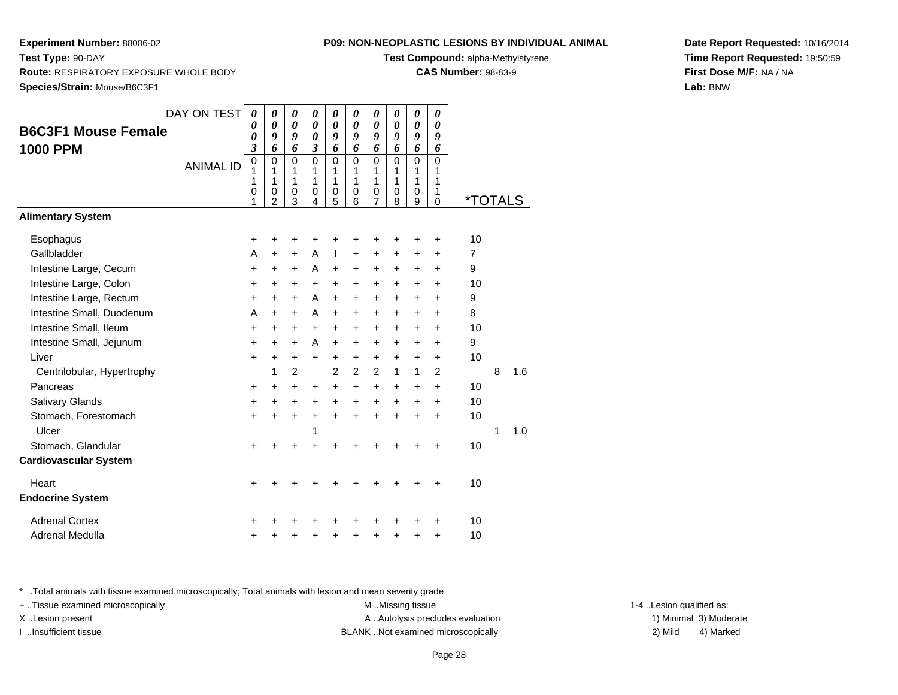**Test Type:** 90-DAY

#### **P09: NON-NEOPLASTIC LESIONS BY INDIVIDUAL ANIMAL**

**Test Compound:** alpha-Methylstyrene

**CAS Number:** 98-83-9

**Date Report Requested:** 10/16/2014**Time Report Requested:** 19:50:59**First Dose M/F:** NA / NA**Lab:** BNW

 **Route:** RESPIRATORY EXPOSURE WHOLE BODY**Species/Strain:** Mouse/B6C3F1

|                              | DAY ON TEST      | $\boldsymbol{\theta}$      | $\pmb{\theta}$      | 0                | $\boldsymbol{\theta}$                          | $\boldsymbol{\theta}$ | 0         | $\boldsymbol{\theta}$ | 0                | 0                          | 0         |                       |   |     |
|------------------------------|------------------|----------------------------|---------------------|------------------|------------------------------------------------|-----------------------|-----------|-----------------------|------------------|----------------------------|-----------|-----------------------|---|-----|
| <b>B6C3F1 Mouse Female</b>   |                  | $\boldsymbol{\theta}$<br>0 | 0<br>9              | 0<br>9           | $\boldsymbol{\theta}$<br>$\boldsymbol{\theta}$ | 0<br>9                | 0<br>9    | 0<br>9                | 0<br>9           | $\boldsymbol{\theta}$<br>9 | 0<br>9    |                       |   |     |
| <b>1000 PPM</b>              |                  | 3                          | 6                   | 6                | $\boldsymbol{\beta}$                           | 6                     | 6         | 6                     | 6                | 6                          | 6         |                       |   |     |
|                              | <b>ANIMAL ID</b> | $\mathbf 0$<br>1           | $\mathbf 0$<br>1    | $\mathbf 0$<br>1 | $\mathbf 0$<br>1                               | $\mathbf{0}$<br>1     | 0<br>1    | $\Omega$<br>1         | $\Omega$<br>1    | $\Omega$<br>1              | 0<br>1    |                       |   |     |
|                              |                  | 1                          | 1                   | 1                | 1                                              | 1                     | 1         | 1                     | $\mathbf{1}$     | 1                          | 1         |                       |   |     |
|                              |                  | 0<br>1                     | 0<br>$\overline{2}$ | 0<br>3           | 0<br>4                                         | $\mathbf 0$<br>5      | 0<br>6    | 0<br>7                | $\mathbf 0$<br>8 | $\mathbf 0$<br>9           | 1<br>0    | <i><b>*TOTALS</b></i> |   |     |
| <b>Alimentary System</b>     |                  |                            |                     |                  |                                                |                       |           |                       |                  |                            |           |                       |   |     |
| Esophagus                    |                  | $\ddot{}$                  | +                   | +                | +                                              |                       | +         | +                     |                  | +                          | $\ddot{}$ | 10                    |   |     |
| Gallbladder                  |                  | A                          | $\ddot{}$           | $\ddot{}$        | A                                              | ı                     | +         | $\ddot{}$             | $\ddot{}$        | +                          | +         | $\overline{7}$        |   |     |
| Intestine Large, Cecum       |                  | $\ddot{}$                  | +                   | +                | A                                              | $\ddot{}$             | +         | +                     | $\ddot{}$        | +                          | $\ddot{}$ | 9                     |   |     |
| Intestine Large, Colon       |                  | $\ddot{}$                  | $\ddot{}$           | +                | $\ddot{}$                                      | $\ddot{}$             | $\ddot{}$ | $\ddot{}$             | $\ddot{}$        | $\ddot{}$                  | $\ddot{}$ | 10                    |   |     |
| Intestine Large, Rectum      |                  | $\ddot{}$                  | $\ddot{}$           | +                | A                                              | $\ddot{}$             | +         | $\ddot{}$             | $\ddot{}$        | +                          | $\ddot{}$ | 9                     |   |     |
| Intestine Small, Duodenum    |                  | A                          | $\ddot{}$           | $\ddot{}$        | A                                              | +                     | +         | $\ddot{}$             | $\ddot{}$        | $\ddot{}$                  | $\ddot{}$ | 8                     |   |     |
| Intestine Small, Ileum       |                  | $\ddot{}$                  | +                   | +                | $\ddot{}$                                      | $\ddot{}$             | $\ddot{}$ | $\ddot{}$             | $\ddot{}$        | $\ddot{}$                  | $\ddot{}$ | 10                    |   |     |
| Intestine Small, Jejunum     |                  | $\ddot{}$                  | $\ddot{}$           | +                | A                                              | $\ddot{}$             | $\ddot{}$ | $\ddot{}$             | $\ddot{}$        | +                          | +         | 9                     |   |     |
| Liver                        |                  | $\ddot{}$                  | $\ddot{}$           | +                | $\ddot{}$                                      | $\ddot{}$             | $\ddot{}$ | $\ddot{}$             | $\ddot{}$        | +                          | $\ddot{}$ | 10                    |   |     |
| Centrilobular, Hypertrophy   |                  |                            | 1                   | $\overline{2}$   |                                                | $\overline{c}$        | 2         | 2                     | $\mathbf{1}$     | 1                          | 2         |                       | 8 | 1.6 |
| Pancreas                     |                  | $\ddot{}$                  | $\ddot{}$           | $\ddot{}$        | $\ddot{}$                                      | $\ddot{}$             | +         | $\ddot{}$             | $\ddot{}$        | $\ddot{}$                  | $\ddot{}$ | 10                    |   |     |
| Salivary Glands              |                  | +                          | $\ddot{}$           | +                | $\ddot{}$                                      | $\ddot{}$             | $\ddot{}$ | $\ddot{}$             | $\ddot{}$        | $\ddot{}$                  | $\ddot{}$ | 10                    |   |     |
| Stomach, Forestomach         |                  | $\ddot{}$                  | $\ddot{}$           | $\ddot{}$        | $\ddot{}$                                      | $+$                   | $\ddot{}$ | $\ddot{}$             | $\ddot{}$        | $\ddot{}$                  | $\ddot{}$ | 10                    |   |     |
| Ulcer                        |                  |                            |                     |                  | 1                                              |                       |           |                       |                  |                            |           |                       | 1 | 1.0 |
| Stomach, Glandular           |                  | +                          |                     |                  |                                                |                       |           |                       |                  |                            | +         | 10                    |   |     |
| <b>Cardiovascular System</b> |                  |                            |                     |                  |                                                |                       |           |                       |                  |                            |           |                       |   |     |
| Heart                        |                  | $\ddot{}$                  |                     |                  | +                                              |                       | +         |                       |                  |                            | +         | 10                    |   |     |
| <b>Endocrine System</b>      |                  |                            |                     |                  |                                                |                       |           |                       |                  |                            |           |                       |   |     |
| <b>Adrenal Cortex</b>        |                  |                            |                     |                  |                                                |                       |           |                       |                  |                            | +         | 10                    |   |     |
| Adrenal Medulla              |                  | +                          |                     |                  | +                                              | +                     | +         | +                     |                  | +                          | $\ddot{}$ | 10                    |   |     |

\* ..Total animals with tissue examined microscopically; Total animals with lesion and mean severity grade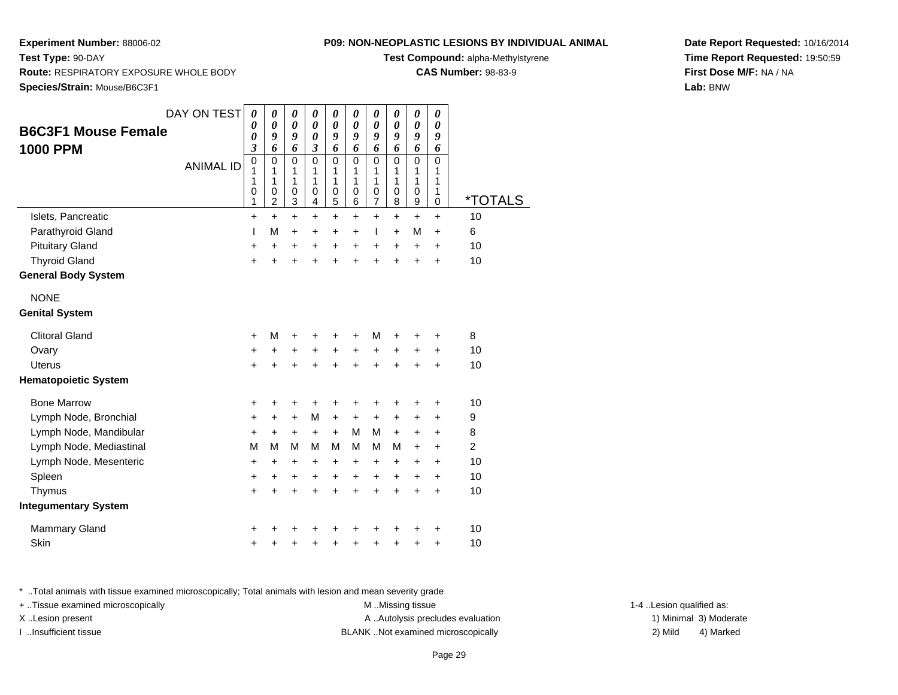## **P09: NON-NEOPLASTIC LESIONS BY INDIVIDUAL ANIMAL**

**Test Compound:** alpha-Methylstyrene

**CAS Number:** 98-83-9

**Date Report Requested:** 10/16/2014**Time Report Requested:** 19:50:59**First Dose M/F:** NA / NA**Lab:** BNW

**Test Type:** 90-DAY **Route:** RESPIRATORY EXPOSURE WHOLE BODY**Species/Strain:** Mouse/B6C3F1

| DAY ON TEST<br><b>B6C3F1 Mouse Female</b> | 0<br>0<br>0           | 0<br>0<br>9                                  | 0<br>$\boldsymbol{\theta}$<br>9 | 0<br>0<br>$\boldsymbol{\theta}$ | 0<br>$\boldsymbol{\theta}$<br>9 | 0<br>$\boldsymbol{\theta}$<br>9 | 0<br>0<br>9                                  | 0<br>$\boldsymbol{\theta}$<br>9           | 0<br>0<br>9                     | 0<br>0<br>9           |                       |
|-------------------------------------------|-----------------------|----------------------------------------------|---------------------------------|---------------------------------|---------------------------------|---------------------------------|----------------------------------------------|-------------------------------------------|---------------------------------|-----------------------|-----------------------|
| <b>1000 PPM</b>                           | 3                     | 6                                            | 6                               | $\mathfrak{z}$                  | 6                               | 6                               | 6                                            | 6                                         | 6                               | 6                     |                       |
| <b>ANIMAL ID</b>                          | 0<br>1<br>1<br>0<br>1 | $\mathbf 0$<br>1<br>1<br>0<br>$\overline{2}$ | $\mathbf 0$<br>1<br>1<br>0<br>3 | $\mathbf 0$<br>1<br>1<br>0<br>4 | $\mathbf 0$<br>1<br>1<br>0<br>5 | $\mathbf 0$<br>1<br>1<br>0<br>6 | $\mathbf 0$<br>1<br>1<br>0<br>$\overline{7}$ | $\mathbf 0$<br>1<br>1<br>$\mathbf 0$<br>8 | $\mathbf 0$<br>1<br>1<br>0<br>9 | 0<br>1<br>1<br>1<br>0 | <i><b>*TOTALS</b></i> |
| Islets, Pancreatic                        | $\ddot{}$             | $+$                                          | $+$                             | $\ddot{}$                       | $\ddot{}$                       | $\ddot{}$                       | $\ddot{}$                                    | $\ddot{}$                                 | $\ddot{}$                       | $\ddot{}$             | 10                    |
| Parathyroid Gland                         | L                     | M                                            | $\ddot{}$                       | $\ddot{}$                       | $\ddot{}$                       | $\ddot{}$                       | $\mathbf{I}$                                 | $\ddot{}$                                 | м                               | $\ddot{}$             | 6                     |
| <b>Pituitary Gland</b>                    | +                     | $\ddot{}$                                    | $\ddot{}$                       | +                               | +                               | $\ddot{}$                       | +                                            | +                                         | +                               | +                     | 10                    |
| <b>Thyroid Gland</b>                      | $\ddot{}$             | $\ddot{}$                                    | $\ddot{}$                       | $\ddot{}$                       | $\ddot{}$                       | $\ddot{}$                       | $\ddot{}$                                    | $\ddot{}$                                 | $\ddot{}$                       | $\ddot{}$             | 10                    |
| <b>General Body System</b>                |                       |                                              |                                 |                                 |                                 |                                 |                                              |                                           |                                 |                       |                       |
| <b>NONE</b>                               |                       |                                              |                                 |                                 |                                 |                                 |                                              |                                           |                                 |                       |                       |
| <b>Genital System</b>                     |                       |                                              |                                 |                                 |                                 |                                 |                                              |                                           |                                 |                       |                       |
| <b>Clitoral Gland</b>                     | $\pm$                 | M                                            | +                               | +                               | +                               | $\ddot{}$                       | м                                            | +                                         | ٠                               | +                     | 8                     |
| Ovary                                     | +                     | +                                            | +                               | +                               | $\ddot{}$                       | $\ddot{}$                       | +                                            | +                                         | +                               | +                     | 10                    |
| Uterus                                    | $\ddot{}$             | $\ddot{}$                                    | $\ddot{}$                       | $\ddot{}$                       | $\ddot{}$                       | $\ddot{}$                       | $\ddot{}$                                    | $\ddot{}$                                 | $\ddot{}$                       | $\ddot{}$             | 10                    |
| <b>Hematopoietic System</b>               |                       |                                              |                                 |                                 |                                 |                                 |                                              |                                           |                                 |                       |                       |
| <b>Bone Marrow</b>                        | +                     | +                                            | +                               | +                               | +                               | +                               | +                                            | +                                         | +                               | +                     | 10                    |
| Lymph Node, Bronchial                     | +                     | $\ddot{}$                                    | $\ddot{}$                       | M                               | $\ddot{}$                       | $\ddot{}$                       | $\ddot{}$                                    | +                                         | +                               | +                     | 9                     |
| Lymph Node, Mandibular                    | +                     | $\ddot{}$                                    | $\ddot{}$                       | $+$                             | $\ddot{}$                       | M                               | м                                            | $\ddot{}$                                 | $\ddot{}$                       | +                     | 8                     |
| Lymph Node, Mediastinal                   | М                     | M                                            | М                               | M                               | м                               | M                               | м                                            | M                                         | +                               | +                     | $\overline{2}$        |
| Lymph Node, Mesenteric                    | +                     | $\ddot{}$                                    | +                               | +                               | $\ddot{}$                       | +                               | $\pm$                                        | +                                         | $\pm$                           | +                     | 10                    |
| Spleen                                    | +                     | $\ddot{}$                                    | +                               | $\ddot{}$                       | $\ddot{}$                       | $\ddot{}$                       | $\ddot{}$                                    | $\ddot{}$                                 | $\ddot{}$                       | +                     | 10                    |
| Thymus                                    | $\ddot{}$             | $\ddot{}$                                    | $\ddot{}$                       | $\ddot{}$                       | $\ddot{}$                       | $\ddot{}$                       | $\ddot{}$                                    | $\ddot{}$                                 | $\ddot{}$                       | $\ddot{}$             | 10                    |
| <b>Integumentary System</b>               |                       |                                              |                                 |                                 |                                 |                                 |                                              |                                           |                                 |                       |                       |
| <b>Mammary Gland</b>                      | +                     |                                              |                                 |                                 |                                 |                                 |                                              |                                           |                                 | ٠                     | 10                    |
| Skin                                      | +                     | +                                            | +                               | +                               | +                               | +                               | +                                            | +                                         | +                               | +                     | 10                    |

\* ..Total animals with tissue examined microscopically; Total animals with lesion and mean severity grade

+ ..Tissue examined microscopically M ...Missing tissue 1-4 ... M ...Missing tissue X..Lesion present **A ..Autolysis precludes evaluation** A ..Autolysis precludes evaluation 1) Minimal 3) Moderate I ..Insufficient tissue BLANK ..Not examined microscopically 2) Mild 4) Marked

1-4 ..Lesion qualified as: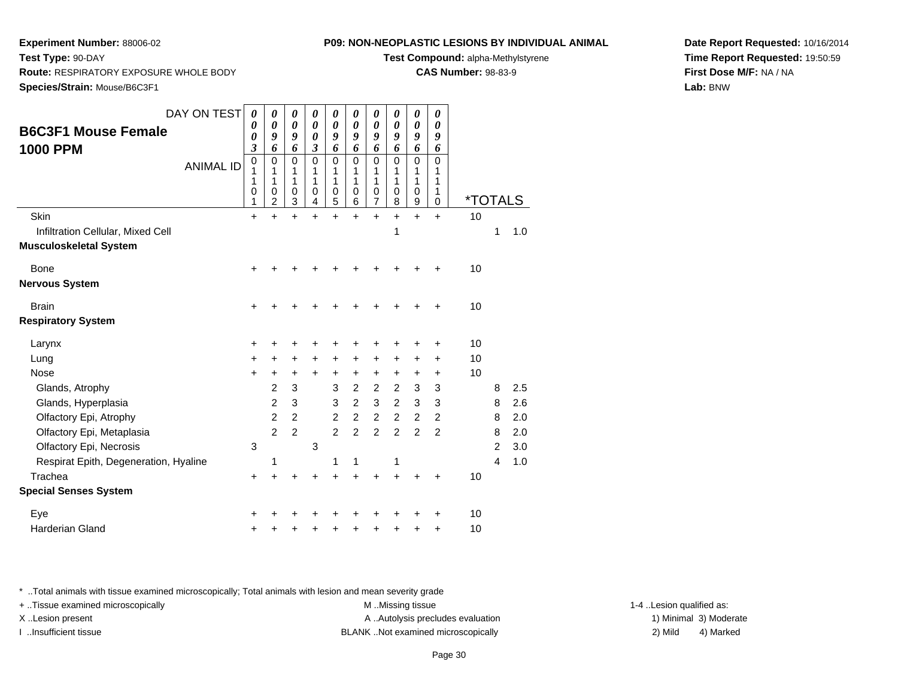**Species/Strain:** Mouse/B6C3F1

**Route:** RESPIRATORY EXPOSURE WHOLE BODY

**Test Type:** 90-DAY

## **P09: NON-NEOPLASTIC LESIONS BY INDIVIDUAL ANIMAL**

**Test Compound:** alpha-Methylstyrene

**CAS Number:** 98-83-9

**Date Report Requested:** 10/16/2014**Time Report Requested:** 19:50:59**First Dose M/F:** NA / NA**Lab:** BNW

| DAY ON TEST                                                        | 0<br>0                               | 0<br>0                                            | 0<br>0                                         | $\boldsymbol{\theta}$<br>0           | $\boldsymbol{\theta}$<br>$\boldsymbol{\theta}$    | 0<br>$\boldsymbol{\theta}$                     | 0<br>0                                            | $\boldsymbol{\theta}$<br>0           | $\boldsymbol{\theta}$<br>$\boldsymbol{\theta}$             | 0<br>0                            |                       |                |     |
|--------------------------------------------------------------------|--------------------------------------|---------------------------------------------------|------------------------------------------------|--------------------------------------|---------------------------------------------------|------------------------------------------------|---------------------------------------------------|--------------------------------------|------------------------------------------------------------|-----------------------------------|-----------------------|----------------|-----|
| <b>B6C3F1 Mouse Female</b>                                         | 0                                    | 9                                                 | 9                                              | 0                                    | 9                                                 | 9                                              | 9                                                 | 9                                    | 9                                                          | 9                                 |                       |                |     |
| 1000 PPM<br><b>ANIMAL ID</b>                                       | 3<br>$\mathbf 0$<br>1<br>1<br>0<br>1 | 6<br>$\mathbf 0$<br>1<br>1<br>0<br>$\overline{c}$ | 6<br>$\mathbf 0$<br>1<br>1<br>$\mathbf 0$<br>3 | 3<br>$\mathbf 0$<br>1<br>1<br>0<br>4 | 6<br>$\mathbf 0$<br>1<br>1<br>0<br>$\overline{5}$ | 6<br>$\mathbf 0$<br>1<br>1<br>$\mathbf 0$<br>6 | 6<br>$\mathbf 0$<br>1<br>1<br>0<br>$\overline{7}$ | 6<br>0<br>1<br>1<br>$\mathbf 0$<br>8 | 6<br>$\Omega$<br>1<br>1<br>$\mathbf 0$<br>$\boldsymbol{9}$ | 6<br>$\Omega$<br>1<br>1<br>1<br>0 | <i><b>*TOTALS</b></i> |                |     |
| Skin                                                               | $\ddot{}$                            | $\ddot{}$                                         | $\ddot{}$                                      | $\ddot{}$                            | $\ddot{}$                                         | $\ddot{}$                                      | $\ddot{}$                                         | $\ddot{}$                            | $+$                                                        | $+$                               | 10                    |                |     |
| Infiltration Cellular, Mixed Cell<br><b>Musculoskeletal System</b> |                                      |                                                   |                                                |                                      |                                                   |                                                |                                                   | 1                                    |                                                            |                                   |                       | 1              | 1.0 |
| Bone                                                               | $\ddot{}$                            | +                                                 |                                                |                                      |                                                   |                                                |                                                   |                                      | +                                                          | +                                 | 10                    |                |     |
| Nervous System                                                     |                                      |                                                   |                                                |                                      |                                                   |                                                |                                                   |                                      |                                                            |                                   |                       |                |     |
| <b>Brain</b>                                                       | +                                    |                                                   |                                                |                                      |                                                   |                                                |                                                   |                                      |                                                            | +                                 | 10                    |                |     |
| <b>Respiratory System</b>                                          |                                      |                                                   |                                                |                                      |                                                   |                                                |                                                   |                                      |                                                            |                                   |                       |                |     |
| Larynx                                                             | +                                    | +                                                 | +                                              |                                      | +                                                 |                                                | +                                                 |                                      | +                                                          | +                                 | 10                    |                |     |
| Lung                                                               | +                                    | +                                                 | +                                              | $\ddot{}$                            | +                                                 | $\ddot{}$                                      | +                                                 | $\ddot{}$                            | $\ddot{}$                                                  | +                                 | 10                    |                |     |
| <b>Nose</b>                                                        | $\ddot{}$                            | +                                                 | +                                              | $\ddot{}$                            | $\ddot{}$                                         | $\ddot{}$                                      | $\ddot{}$                                         | $\ddot{}$                            | $\ddot{}$                                                  | $\ddot{}$                         | 10                    |                |     |
| Glands, Atrophy                                                    |                                      | $\overline{c}$                                    | 3                                              |                                      | 3                                                 | $\overline{2}$                                 | $\overline{c}$                                    | $\overline{c}$                       | 3                                                          | 3                                 |                       | 8              | 2.5 |
| Glands, Hyperplasia                                                |                                      | $\overline{c}$                                    | 3                                              |                                      | 3                                                 | $\overline{a}$                                 | 3                                                 | $\overline{c}$                       | 3                                                          | 3                                 |                       | 8              | 2.6 |
| Olfactory Epi, Atrophy                                             |                                      | $\overline{c}$                                    | $\overline{2}$                                 |                                      | $\overline{c}$                                    | $\overline{a}$                                 | $\overline{2}$                                    | $\overline{2}$                       | $\overline{2}$                                             | $\overline{2}$                    |                       | 8              | 2.0 |
| Olfactory Epi, Metaplasia                                          |                                      | $\overline{2}$                                    | $\overline{2}$                                 |                                      | $\overline{2}$                                    | $\overline{2}$                                 | $\overline{2}$                                    | $\overline{2}$                       | $\overline{2}$                                             | $\overline{2}$                    |                       | 8              | 2.0 |
| Olfactory Epi, Necrosis                                            | 3                                    |                                                   |                                                | 3                                    |                                                   |                                                |                                                   |                                      |                                                            |                                   |                       | $\overline{2}$ | 3.0 |
| Respirat Epith, Degeneration, Hyaline                              |                                      | 1                                                 |                                                |                                      | 1                                                 | 1                                              |                                                   | 1                                    |                                                            |                                   |                       | 4              | 1.0 |
| Trachea                                                            | +                                    | +                                                 | $\ddot{}$                                      | $\ddot{}$                            | $\ddot{}$                                         | $\ddot{}$                                      | $\ddot{}$                                         | $\ddot{}$                            | $\ddot{}$                                                  | $\ddot{}$                         | 10                    |                |     |
| <b>Special Senses System</b>                                       |                                      |                                                   |                                                |                                      |                                                   |                                                |                                                   |                                      |                                                            |                                   |                       |                |     |
| Eye                                                                | ٠                                    |                                                   |                                                |                                      |                                                   |                                                |                                                   |                                      |                                                            | +                                 | 10                    |                |     |
| Harderian Gland                                                    | +                                    | +                                                 | +                                              | +                                    | +                                                 | +                                              | +                                                 | +                                    | +                                                          | +                                 | 10                    |                |     |
|                                                                    |                                      |                                                   |                                                |                                      |                                                   |                                                |                                                   |                                      |                                                            |                                   |                       |                |     |

\* ..Total animals with tissue examined microscopically; Total animals with lesion and mean severity grade

+ ..Tissue examined microscopically examined microscopically examined as:  $M$  ..Missing tissue 1-4 ..Lesion qualified as: X..Lesion present **A ..Autolysis precludes evaluation** A ..Autolysis precludes evaluation 1) Minimal 3) Moderate

I ..Insufficient tissue BLANK ..Not examined microscopically 2) Mild 4) Marked